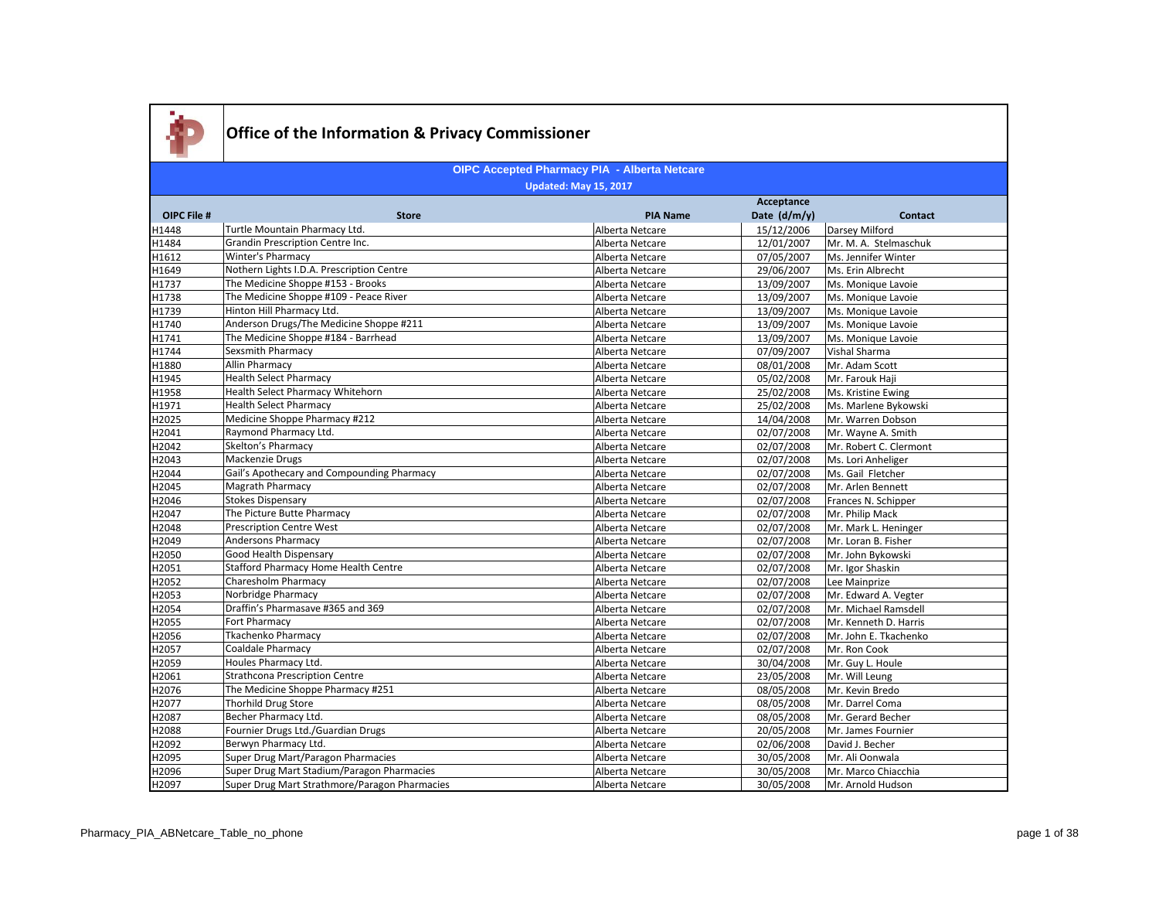

|                    |                                               | Acceptance      |              |                        |
|--------------------|-----------------------------------------------|-----------------|--------------|------------------------|
| <b>OIPC File #</b> | <b>Store</b>                                  | <b>PIA Name</b> | Date (d/m/y) | <b>Contact</b>         |
| H1448              | Turtle Mountain Pharmacy Ltd.                 | Alberta Netcare | 15/12/2006   | Darsey Milford         |
| H1484              | Grandin Prescription Centre Inc.              | Alberta Netcare | 12/01/2007   | Mr. M. A. Stelmaschuk  |
| H1612              | <b>Winter's Pharmacy</b>                      | Alberta Netcare | 07/05/2007   | Ms. Jennifer Winter    |
| H1649              | Nothern Lights I.D.A. Prescription Centre     | Alberta Netcare | 29/06/2007   | Ms. Erin Albrecht      |
| H1737              | The Medicine Shoppe #153 - Brooks             | Alberta Netcare | 13/09/2007   | Ms. Monique Lavoie     |
| H1738              | The Medicine Shoppe #109 - Peace River        | Alberta Netcare | 13/09/2007   | Ms. Monique Lavoie     |
| H1739              | Hinton Hill Pharmacy Ltd.                     | Alberta Netcare | 13/09/2007   | Ms. Monique Lavoie     |
| H1740              | Anderson Drugs/The Medicine Shoppe #211       | Alberta Netcare | 13/09/2007   | Ms. Monique Lavoie     |
| H1741              | The Medicine Shoppe #184 - Barrhead           | Alberta Netcare | 13/09/2007   | Ms. Monique Lavoie     |
| H1744              | Sexsmith Pharmacy                             | Alberta Netcare | 07/09/2007   | Vishal Sharma          |
| H1880              | <b>Allin Pharmacy</b>                         | Alberta Netcare | 08/01/2008   | Mr. Adam Scott         |
| H1945              | <b>Health Select Pharmacy</b>                 | Alberta Netcare | 05/02/2008   | Mr. Farouk Haji        |
| H1958              | <b>Health Select Pharmacy Whitehorn</b>       | Alberta Netcare | 25/02/2008   | Ms. Kristine Ewing     |
| H1971              | <b>Health Select Pharmacy</b>                 | Alberta Netcare | 25/02/2008   | Ms. Marlene Bykowski   |
| H2025              | Medicine Shoppe Pharmacy #212                 | Alberta Netcare | 14/04/2008   | Mr. Warren Dobson      |
| H2041              | Raymond Pharmacy Ltd.                         | Alberta Netcare | 02/07/2008   | Mr. Wayne A. Smith     |
| H2042              | Skelton's Pharmacy                            | Alberta Netcare | 02/07/2008   | Mr. Robert C. Clermont |
| H2043              | Mackenzie Drugs                               | Alberta Netcare | 02/07/2008   | Ms. Lori Anheliger     |
| H2044              | Gail's Apothecary and Compounding Pharmacy    | Alberta Netcare | 02/07/2008   | Ms. Gail Fletcher      |
| H2045              | Magrath Pharmacy                              | Alberta Netcare | 02/07/2008   | Mr. Arlen Bennett      |
| H2046              | <b>Stokes Dispensary</b>                      | Alberta Netcare | 02/07/2008   | Frances N. Schipper    |
| H2047              | The Picture Butte Pharmacy                    | Alberta Netcare | 02/07/2008   | Mr. Philip Mack        |
| H2048              | <b>Prescription Centre West</b>               | Alberta Netcare | 02/07/2008   | Mr. Mark L. Heninger   |
| H2049              | <b>Andersons Pharmacy</b>                     | Alberta Netcare | 02/07/2008   | Mr. Loran B. Fisher    |
| H2050              | Good Health Dispensary                        | Alberta Netcare | 02/07/2008   | Mr. John Bykowski      |
| H2051              | Stafford Pharmacy Home Health Centre          | Alberta Netcare | 02/07/2008   | Mr. Igor Shaskin       |
| H2052              | Charesholm Pharmacy                           | Alberta Netcare | 02/07/2008   | Lee Mainprize          |
| H2053              | Norbridge Pharmacy                            | Alberta Netcare | 02/07/2008   | Mr. Edward A. Vegter   |
| H2054              | Draffin's Pharmasave #365 and 369             | Alberta Netcare | 02/07/2008   | Mr. Michael Ramsdell   |
| H2055              | Fort Pharmacy                                 | Alberta Netcare | 02/07/2008   | Mr. Kenneth D. Harris  |
| H2056              | <b>Tkachenko Pharmacy</b>                     | Alberta Netcare | 02/07/2008   | Mr. John E. Tkachenko  |
| H2057              | <b>Coaldale Pharmacy</b>                      | Alberta Netcare | 02/07/2008   | Mr. Ron Cook           |
| H2059              | Houles Pharmacy Ltd.                          | Alberta Netcare | 30/04/2008   | Mr. Guy L. Houle       |
| H2061              | Strathcona Prescription Centre                | Alberta Netcare | 23/05/2008   | Mr. Will Leung         |
| H2076              | The Medicine Shoppe Pharmacy #251             | Alberta Netcare | 08/05/2008   | Mr. Kevin Bredo        |
| H2077              | Thorhild Drug Store                           | Alberta Netcare | 08/05/2008   | Mr. Darrel Coma        |
| H2087              | Becher Pharmacy Ltd.                          | Alberta Netcare | 08/05/2008   | Mr. Gerard Becher      |
| H2088              | Fournier Drugs Ltd./Guardian Drugs            | Alberta Netcare | 20/05/2008   | Mr. James Fournier     |
| H2092              | Berwyn Pharmacy Ltd.                          | Alberta Netcare | 02/06/2008   | David J. Becher        |
| H2095              | Super Drug Mart/Paragon Pharmacies            | Alberta Netcare | 30/05/2008   | Mr. Ali Oonwala        |
| H2096              | Super Drug Mart Stadium/Paragon Pharmacies    | Alberta Netcare | 30/05/2008   | Mr. Marco Chiacchia    |
| H2097              | Super Drug Mart Strathmore/Paragon Pharmacies | Alberta Netcare | 30/05/2008   | Mr. Arnold Hudson      |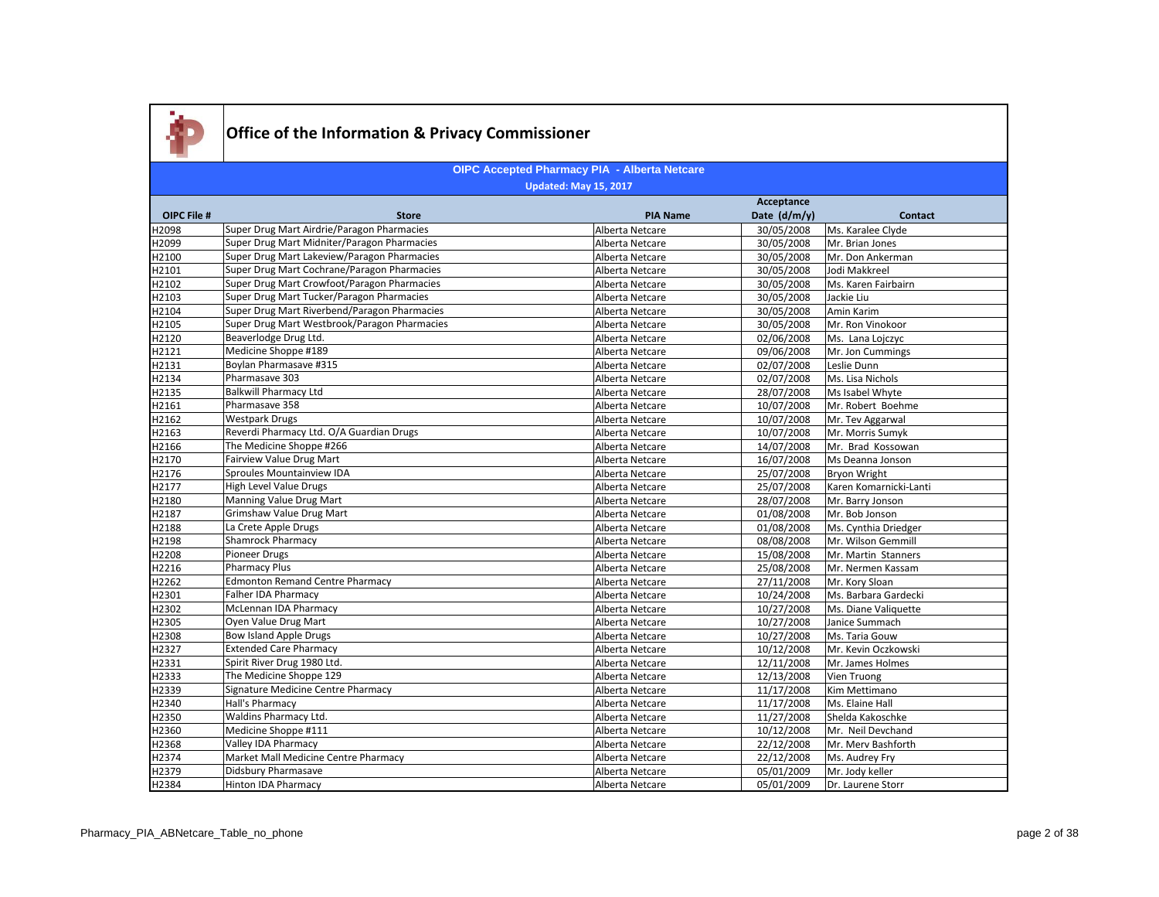

|             | <b>OIPC Accepted Pharmacy PIA - Alberta Netcare</b> |                 |              |                        |  |
|-------------|-----------------------------------------------------|-----------------|--------------|------------------------|--|
|             | <b>Updated: May 15, 2017</b>                        |                 |              |                        |  |
|             |                                                     |                 | Acceptance   |                        |  |
| OIPC File # | <b>Store</b>                                        | <b>PIA Name</b> | Date (d/m/y) | <b>Contact</b>         |  |
| H2098       | Super Drug Mart Airdrie/Paragon Pharmacies          | Alberta Netcare | 30/05/2008   | Ms. Karalee Clyde      |  |
| H2099       | Super Drug Mart Midniter/Paragon Pharmacies         | Alberta Netcare | 30/05/2008   | Mr. Brian Jones        |  |
| H2100       | Super Drug Mart Lakeview/Paragon Pharmacies         | Alberta Netcare | 30/05/2008   | Mr. Don Ankerman       |  |
| H2101       | Super Drug Mart Cochrane/Paragon Pharmacies         | Alberta Netcare | 30/05/2008   | Jodi Makkreel          |  |
| H2102       | Super Drug Mart Crowfoot/Paragon Pharmacies         | Alberta Netcare | 30/05/2008   | Ms. Karen Fairbairn    |  |
| H2103       | Super Drug Mart Tucker/Paragon Pharmacies           | Alberta Netcare | 30/05/2008   | Jackie Liu             |  |
| H2104       | Super Drug Mart Riverbend/Paragon Pharmacies        | Alberta Netcare | 30/05/2008   | Amin Karim             |  |
| H2105       | Super Drug Mart Westbrook/Paragon Pharmacies        | Alberta Netcare | 30/05/2008   | Mr. Ron Vinokoor       |  |
| H2120       | Beaverlodge Drug Ltd.                               | Alberta Netcare | 02/06/2008   | Ms. Lana Lojczyc       |  |
| H2121       | Medicine Shoppe #189                                | Alberta Netcare | 09/06/2008   | Mr. Jon Cummings       |  |
| H2131       | Boylan Pharmasave #315                              | Alberta Netcare | 02/07/2008   | Leslie Dunn            |  |
| H2134       | Pharmasave 303                                      | Alberta Netcare | 02/07/2008   | Ms. Lisa Nichols       |  |
| H2135       | <b>Balkwill Pharmacy Ltd</b>                        | Alberta Netcare | 28/07/2008   | Ms Isabel Whyte        |  |
| H2161       | Pharmasave 358                                      | Alberta Netcare | 10/07/2008   | Mr. Robert Boehme      |  |
| H2162       | <b>Westpark Drugs</b>                               | Alberta Netcare | 10/07/2008   | Mr. Tev Aggarwal       |  |
| H2163       | Reverdi Pharmacy Ltd. O/A Guardian Drugs            | Alberta Netcare | 10/07/2008   | Mr. Morris Sumyk       |  |
| H2166       | The Medicine Shoppe #266                            | Alberta Netcare | 14/07/2008   | Mr. Brad Kossowan      |  |
| H2170       | Fairview Value Drug Mart                            | Alberta Netcare | 16/07/2008   | Ms Deanna Jonson       |  |
| H2176       | Sproules Mountainview IDA                           | Alberta Netcare | 25/07/2008   | Bryon Wright           |  |
| H2177       | High Level Value Drugs                              | Alberta Netcare | 25/07/2008   | Karen Komarnicki-Lanti |  |
| H2180       | Manning Value Drug Mart                             | Alberta Netcare | 28/07/2008   | Mr. Barry Jonson       |  |
| H2187       | <b>Grimshaw Value Drug Mart</b>                     | Alberta Netcare | 01/08/2008   | Mr. Bob Jonson         |  |
| H2188       | La Crete Apple Drugs                                | Alberta Netcare | 01/08/2008   | Ms. Cynthia Driedger   |  |
| H2198       | Shamrock Pharmacy                                   | Alberta Netcare | 08/08/2008   | Mr. Wilson Gemmill     |  |
| H2208       | Pioneer Drugs                                       | Alberta Netcare | 15/08/2008   | Mr. Martin Stanners    |  |
| H2216       | <b>Pharmacy Plus</b>                                | Alberta Netcare | 25/08/2008   | Mr. Nermen Kassam      |  |
| H2262       | <b>Edmonton Remand Centre Pharmacy</b>              | Alberta Netcare | 27/11/2008   | Mr. Kory Sloan         |  |
| H2301       | Falher IDA Pharmacy                                 | Alberta Netcare | 10/24/2008   | Ms. Barbara Gardecki   |  |
| H2302       | McLennan IDA Pharmacy                               | Alberta Netcare | 10/27/2008   | Ms. Diane Valiquette   |  |
| H2305       | Oyen Value Drug Mart                                | Alberta Netcare | 10/27/2008   | Janice Summach         |  |
| H2308       | <b>Bow Island Apple Drugs</b>                       | Alberta Netcare | 10/27/2008   | Ms. Taria Gouw         |  |
| H2327       | <b>Extended Care Pharmacy</b>                       | Alberta Netcare | 10/12/2008   | Mr. Kevin Oczkowski    |  |
| H2331       | Spirit River Drug 1980 Ltd.                         | Alberta Netcare | 12/11/2008   | Mr. James Holmes       |  |
| H2333       | The Medicine Shoppe 129                             | Alberta Netcare | 12/13/2008   | Vien Truong            |  |
| H2339       | Signature Medicine Centre Pharmacy                  | Alberta Netcare | 11/17/2008   | Kim Mettimano          |  |
| H2340       | Hall's Pharmacy                                     | Alberta Netcare | 11/17/2008   | Ms. Elaine Hall        |  |
| H2350       | Waldins Pharmacy Ltd.                               | Alberta Netcare | 11/27/2008   | Shelda Kakoschke       |  |
| H2360       | Medicine Shoppe #111                                | Alberta Netcare | 10/12/2008   | Mr. Neil Devchand      |  |
| H2368       | Valley IDA Pharmacy                                 | Alberta Netcare | 22/12/2008   | Mr. Merv Bashforth     |  |
| H2374       | Market Mall Medicine Centre Pharmacy                | Alberta Netcare | 22/12/2008   | Ms. Audrey Fry         |  |
| H2379       | Didsbury Pharmasave                                 | Alberta Netcare | 05/01/2009   | Mr. Jody keller        |  |
| H2384       | <b>Hinton IDA Pharmacy</b>                          | Alberta Netcare | 05/01/2009   | Dr. Laurene Storr      |  |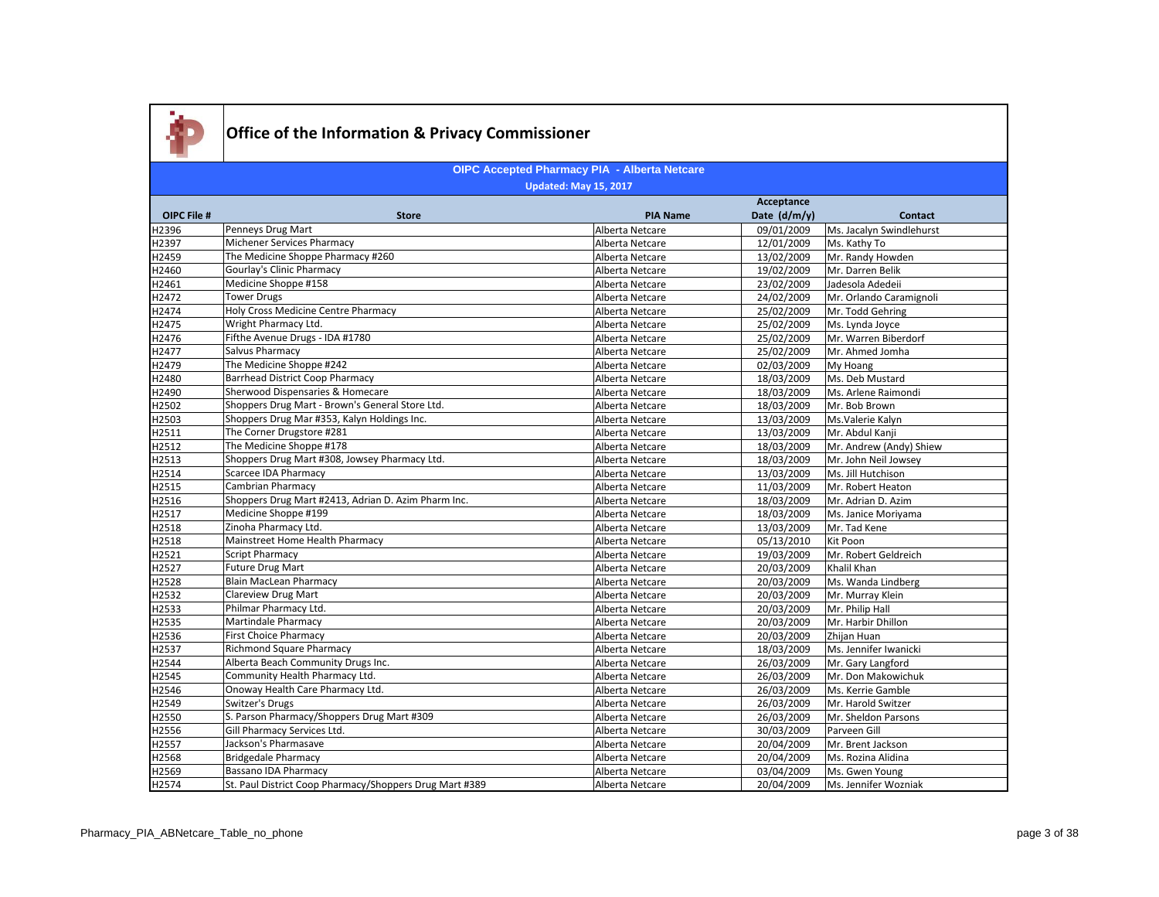

| Acceptance  |                                                         |                 |              |                          |
|-------------|---------------------------------------------------------|-----------------|--------------|--------------------------|
| OIPC File # | <b>Store</b>                                            | <b>PIA Name</b> | Date (d/m/y) | <b>Contact</b>           |
| H2396       | Penneys Drug Mart                                       | Alberta Netcare | 09/01/2009   | Ms. Jacalyn Swindlehurst |
| H2397       | Michener Services Pharmacy                              | Alberta Netcare | 12/01/2009   | Ms. Kathy To             |
| H2459       | The Medicine Shoppe Pharmacy #260                       | Alberta Netcare | 13/02/2009   | Mr. Randy Howden         |
| H2460       | Gourlay's Clinic Pharmacy                               | Alberta Netcare | 19/02/2009   | Mr. Darren Belik         |
| H2461       | Medicine Shoppe #158                                    | Alberta Netcare | 23/02/2009   | Jadesola Adedeii         |
| H2472       | <b>Tower Drugs</b>                                      | Alberta Netcare | 24/02/2009   | Mr. Orlando Caramignoli  |
| H2474       | Holy Cross Medicine Centre Pharmacy                     | Alberta Netcare | 25/02/2009   | Mr. Todd Gehring         |
| H2475       | Wright Pharmacy Ltd.                                    | Alberta Netcare | 25/02/2009   | Ms. Lynda Joyce          |
| H2476       | Fifthe Avenue Drugs - IDA #1780                         | Alberta Netcare | 25/02/2009   | Mr. Warren Biberdorf     |
| H2477       | Salvus Pharmacy                                         | Alberta Netcare | 25/02/2009   | Mr. Ahmed Jomha          |
| H2479       | The Medicine Shoppe #242                                | Alberta Netcare | 02/03/2009   | My Hoang                 |
| H2480       | <b>Barrhead District Coop Pharmacy</b>                  | Alberta Netcare | 18/03/2009   | Ms. Deb Mustard          |
| H2490       | Sherwood Dispensaries & Homecare                        | Alberta Netcare | 18/03/2009   | Ms. Arlene Raimondi      |
| H2502       | Shoppers Drug Mart - Brown's General Store Ltd.         | Alberta Netcare | 18/03/2009   | Mr. Bob Brown            |
| H2503       | Shoppers Drug Mar #353, Kalyn Holdings Inc.             | Alberta Netcare | 13/03/2009   | Ms. Valerie Kalyn        |
| H2511       | The Corner Drugstore #281                               | Alberta Netcare | 13/03/2009   | Mr. Abdul Kanji          |
| H2512       | The Medicine Shoppe #178                                | Alberta Netcare | 18/03/2009   | Mr. Andrew (Andy) Shiew  |
| H2513       | Shoppers Drug Mart #308, Jowsey Pharmacy Ltd.           | Alberta Netcare | 18/03/2009   | Mr. John Neil Jowsey     |
| H2514       | Scarcee IDA Pharmacy                                    | Alberta Netcare | 13/03/2009   | Ms. Jill Hutchison       |
| H2515       | <b>Cambrian Pharmacy</b>                                | Alberta Netcare | 11/03/2009   | Mr. Robert Heaton        |
| H2516       | Shoppers Drug Mart #2413, Adrian D. Azim Pharm Inc.     | Alberta Netcare | 18/03/2009   | Mr. Adrian D. Azim       |
| H2517       | Medicine Shoppe #199                                    | Alberta Netcare | 18/03/2009   | Ms. Janice Moriyama      |
| H2518       | Zinoha Pharmacy Ltd.                                    | Alberta Netcare | 13/03/2009   | Mr. Tad Kene             |
| H2518       | Mainstreet Home Health Pharmacy                         | Alberta Netcare | 05/13/2010   | Kit Poon                 |
| H2521       | Script Pharmacy                                         | Alberta Netcare | 19/03/2009   | Mr. Robert Geldreich     |
| H2527       | Future Drug Mart                                        | Alberta Netcare | 20/03/2009   | Khalil Khan              |
| H2528       | Blain MacLean Pharmacy                                  | Alberta Netcare | 20/03/2009   | Ms. Wanda Lindberg       |
| H2532       | <b>Clareview Drug Mart</b>                              | Alberta Netcare | 20/03/2009   | Mr. Murray Klein         |
| H2533       | Philmar Pharmacy Ltd.                                   | Alberta Netcare | 20/03/2009   | Mr. Philip Hall          |
| H2535       | Martindale Pharmacy                                     | Alberta Netcare | 20/03/2009   | Mr. Harbir Dhillon       |
| H2536       | First Choice Pharmacy                                   | Alberta Netcare | 20/03/2009   | Zhijan Huan              |
| H2537       | <b>Richmond Square Pharmacy</b>                         | Alberta Netcare | 18/03/2009   | Ms. Jennifer Iwanicki    |
| H2544       | Alberta Beach Community Drugs Inc.                      | Alberta Netcare | 26/03/2009   | Mr. Gary Langford        |
| H2545       | Community Health Pharmacy Ltd.                          | Alberta Netcare | 26/03/2009   | Mr. Don Makowichuk       |
| H2546       | Onoway Health Care Pharmacy Ltd.                        | Alberta Netcare | 26/03/2009   | Ms. Kerrie Gamble        |
| H2549       | Switzer's Drugs                                         | Alberta Netcare | 26/03/2009   | Mr. Harold Switzer       |
| H2550       | S. Parson Pharmacy/Shoppers Drug Mart #309              | Alberta Netcare | 26/03/2009   | Mr. Sheldon Parsons      |
| H2556       | Gill Pharmacy Services Ltd.                             | Alberta Netcare | 30/03/2009   | Parveen Gill             |
| H2557       | Jackson's Pharmasave                                    | Alberta Netcare | 20/04/2009   | Mr. Brent Jackson        |
| H2568       | <b>Bridgedale Pharmacy</b>                              | Alberta Netcare | 20/04/2009   | Ms. Rozina Alidina       |
| H2569       | Bassano IDA Pharmacy                                    | Alberta Netcare | 03/04/2009   | Ms. Gwen Young           |
| H2574       | St. Paul District Coop Pharmacy/Shoppers Drug Mart #389 | Alberta Netcare | 20/04/2009   | Ms. Jennifer Wozniak     |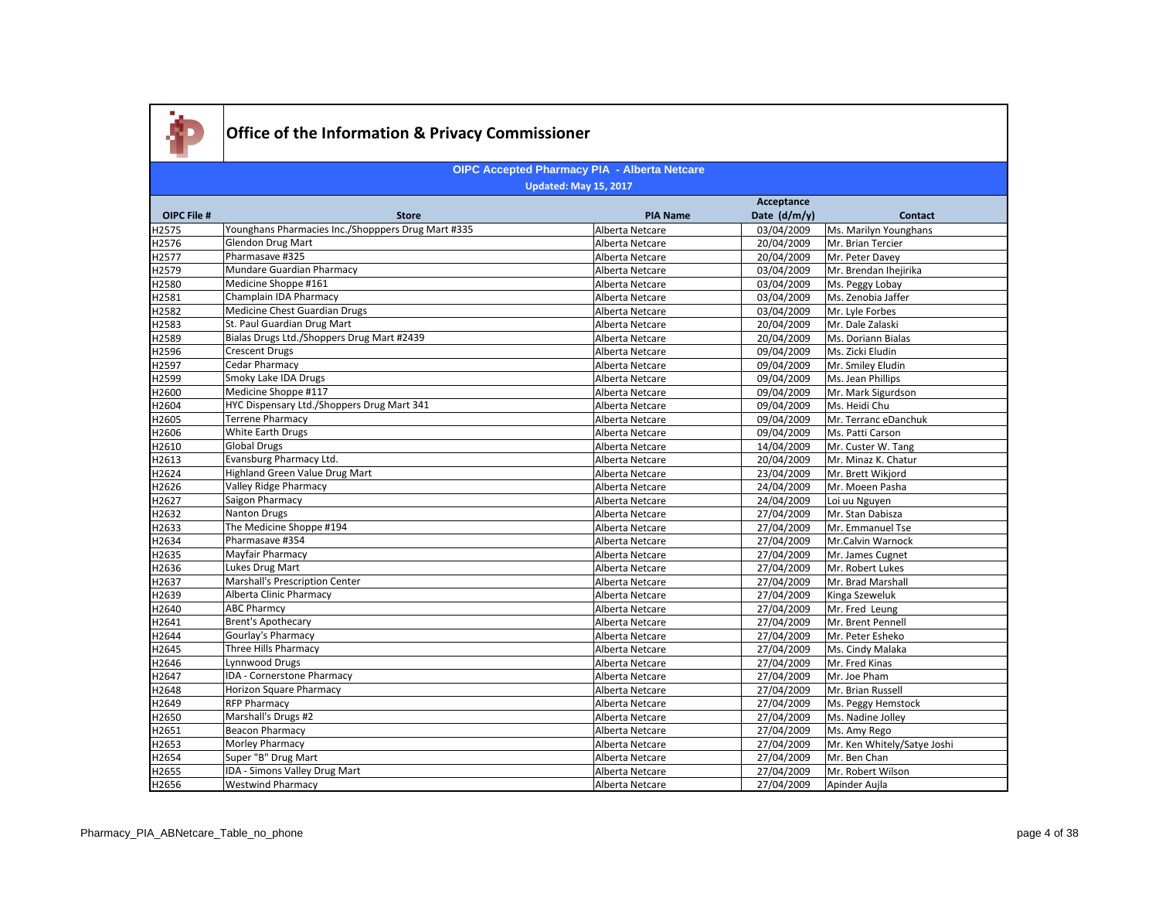

#### **OIPC File # Store PIA Name Acceptance Date (d/m/y) Contact OIPC Accepted Pharmacy PIA - Alberta Netcare Updated: May 15, 2017** H2575 Younghans Pharmacies Inc./Shopppers Drug Mart #335 Alberta Netcare 1998/04/2009 Ms. Marilyn Younghans Alberta Netcare 1998/04/2009 Mr. Brian Tercier<br>H2576 Glendon Drug Mart 1998 Mart 1999 Ms. Mart 1999 Mr. Brian Terc Glendon Drug Mart **Alberta Netcare** 20/04/2009 Mr. Brian Tercier H2577 Pharmasave #325 Pharmasave #325 Pharmasave #325 Pharmasave #325 Pharmasave #325 Pharmasave #325 Pharmasave #325 H2579 Mundare Guardian Pharmacy **Alberta Netcare** Alberta Netcare **Alberta Netcare** (a3/04/2009 Mr. Brendan Ihejirika H2580 Medicine Shoppe #161 Medicine Shoppe #161 Alberta Netcare Alberta Netcare 203/04/2009 Ms. Peggy Lobay<br>H2581 Champlain IDA Pharmacy Champla Dans and Dans Alberta Netcare 203/04/2009 Ms. Zenobia Jaffer Champlain IDA Pharmacy H2582 Medicine Chest Guardian Drugs Alberta Netcare Alberta Netcare 193/04/2009 Mr. Lyle Forbes H2583 St. Paul Guardian Drug Mart Alberta Netcare Alberta Netcare 20/04/2009 Mr. Dale Zalaski H2589 Bialas Drugs Ltd./Shoppers Drug Mart #2439 Alberta Netcare 20/04/2009 Ms. Doriann Bialas H2596 Crescent Drugs Crescent Drugs Crescent Drugs Alberta Netcare 2012 Metric Alberta Netcare 2014/2009 Ms. Zicki Eludin H2597 | Cedar Pharmacy | Cedar Charmacy | Cedar Pharmacy | Cedar Pharmacy | Cedar Pharmacy | Cedar Pharmacy | Cedar Pharmacy | Cedar Pharmacy | Cedar Pharmacy | Cedar Pharmacy | Cedar Pharmacy | Cedar Pharmacy | Cedar Phar H2599 Smoky Lake IDA Drugs National Communication of the Smoky Lake IDA Drugs Alberta Netcare Netcare (199/04/2009 Ms. Jean Phillips H2600 Medicine Shoppe #117 Medicine Shoppe #117 Medicine Shoppe #117 Alberta Netcare Alberta Netcare Mr. Mark Sigurdson H2604 HYC Dispensary Ltd./Shoppers Drug Mart 341 Alberta Netcare 09/04/2009 Ms. Heidi Chu H2605 Terrene Pharmacy Alberta Netcare 09/04/2009 Mr. Terranc eDanchuk H2606 White Earth Drugs Note at the Material State of the Materia Netcare and Alberta Netcare and O9/04/2009 Ms. Patti Carson H2610 Global Drugs Global Drugs Alberta Netcare Alberta Netcare 14/04/2009 Mr. Custer W. Tang H2613 | Evansburg Pharmacy Ltd. Alberta Netcare | 20/04/2009 Mr. Minaz K. Chatur H2624 Highland Green Value Drug Mart Alberta Netcare Alberta Netcare 23/04/2009 Mr. Brett Wikjord H2626 Valley Ridge Pharmacy National Alberta Netcare 24/04/2009 Mr. Moeen Pasha<br>H2627 Saigon Pharmacy 24/04/2009 Loi uu Nguyen H2627 Saigon Pharmacy Alberta Netcare 24/04/2009 Loi uu Nguyen H2632 Nanton Drugs Nation Drugs Alberta Netcare 27/04/2009 Mr. Stan Dabisza H2633 The Medicine Shoppe #194 **The Medicine Shoppe #194** Alberta Netcare 27/04/2009 Mr. Emmanuel Tse H2634 Pharmasave #354 Pharmasave #354 Pharmasave #354 Pharmasave #354 Pharmasave #354 Pharmasave #354 Pharmasave #354 H2635 Mayfair Pharmacy Alberta Netcare 27/04/2009 Mr. James Cugnet H2636 Lukes Drug Mart Lukes and Museum Martin Alberta Netcare 27/04/2009 Mr. Robert Lukes H2637 Marshall's Prescription Center Alberta Netcare Alberta Netcare 27/04/2009 Mr. Brad Marshall H2639 Alberta Clinic Pharmacy Alberta Clinic Pharmacy Alberta Netcare 27/04/2009 Kinga Szeweluk<br>Alberta Netcare 27/04/2009 Mr. Fred Leung H2640 ABC Pharmcy ABC Pharmcy Alberta Netcare 27/04/2009 Mr. Fred Leung H2641 Brent's Apothecary **Brent's Apothecary** Alberta Netcare 27/04/2009 Mr. Brent Pennell H2644 Gourlay's Pharmacy **Alberta Netcare** Alberta Netcare 27/04/2009 Mr. Peter Esheko H2645 Three Hills Pharmacy and the state of the Hills Pharmacy and the state and the Malaka Alberta Netcare and the 27/04/2009 Ms. Cindy Malaka Alberta Netcare 27/04/2009 Mr. Fred Kinas H2646 Lynnwood Drugs **Alberta Netcare** 27/04/2009 Mr. Fred Kinas H2647 IDA - Cornerstone Pharmacy Alberta Netcare 27/04/2009 Mr. Joe Pham H2648 Horizon Square Pharmacy National Alberta Netcare 27/04/2009 Mr. Brian Russell<br>H2649 RFP Pharmacy 27/04/2009 Ms. Peggy Hemst Alberta Netcare 27/04/2009 Ms. Peggy Hemstock H2650 Marshall's Drugs #2 Alberta Netcare 27/04/2009 Ms. Nadine Jolley H2651 Beacon Pharmacy **Beacon Pharmacy Beacon Pharmacy Beacon Pharmacy Alberta Netcare** 27/04/2009 Ms. Amy Rego H2653 Morley Pharmacy **Music and Alberta Netcare** 27/04/2009 Mr. Ken Whitely/Satye Joshi Research 27/04/2009 Mr. Ken Whitely/Satye Joshi Research 27/04/2009 Mr. Ben Chan<br>H2654 Super "B" Drug Mart Super "B" Drug Mart **Alberta Netcare** 27/04/2009 Mr. Ben Channel 27/04/2009 Mr. Ben Channel 27/04/2009 Mr. Ben Chan

H2655 IDA - Simons Valley Drug Mart Natural Alberta Netcare 27/04/2009 Mr. Robert Wilson Nulley Drug Mart Alberta Netcare 27/04/2009 Mr. Robert Wilson Nulley Drug Mart Auto Alberta Netcare 27/04/2009 Apinder Auila H2656 Westwind Pharmacy Alberta Netcare 27/04/2009 Apinder Aujla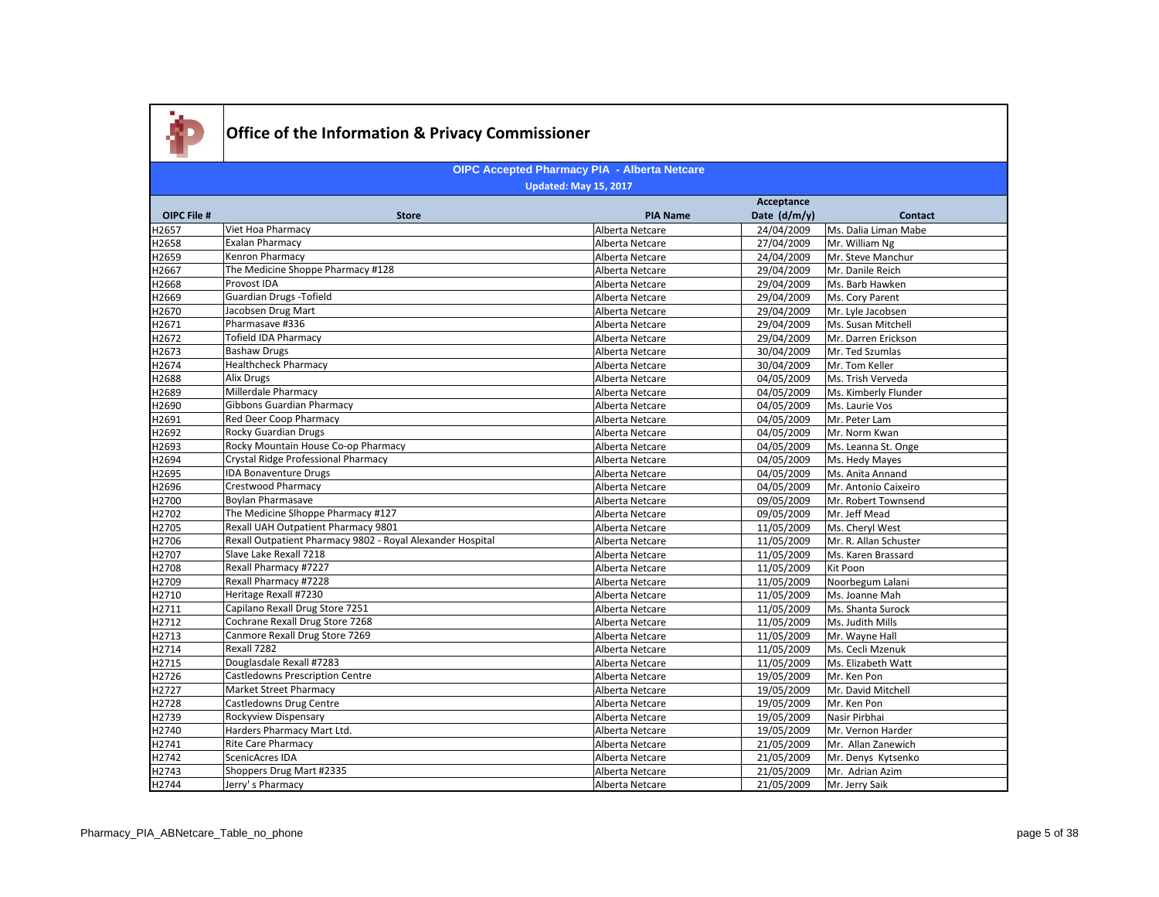

|                    |                                                            | Acceptance      |              |                       |
|--------------------|------------------------------------------------------------|-----------------|--------------|-----------------------|
| <b>OIPC File #</b> | <b>Store</b>                                               | <b>PIA Name</b> | Date (d/m/y) | <b>Contact</b>        |
| H2657              | Viet Hoa Pharmacy                                          | Alberta Netcare | 24/04/2009   | Ms. Dalia Liman Mabe  |
| H2658              | <b>Exalan Pharmacy</b>                                     | Alberta Netcare | 27/04/2009   | Mr. William Ng        |
| H2659              | Kenron Pharmacy                                            | Alberta Netcare | 24/04/2009   | Mr. Steve Manchur     |
| H2667              | The Medicine Shoppe Pharmacy #128                          | Alberta Netcare | 29/04/2009   | Mr. Danile Reich      |
| H2668              | Provost IDA                                                | Alberta Netcare | 29/04/2009   | Ms. Barb Hawken       |
| H2669              | <b>Guardian Drugs -Tofield</b>                             | Alberta Netcare | 29/04/2009   | Ms. Cory Parent       |
| H2670              | Jacobsen Drug Mart                                         | Alberta Netcare | 29/04/2009   | Mr. Lyle Jacobsen     |
| H2671              | Pharmasave #336                                            | Alberta Netcare | 29/04/2009   | Ms. Susan Mitchell    |
| H2672              | <b>Tofield IDA Pharmacy</b>                                | Alberta Netcare | 29/04/2009   | Mr. Darren Erickson   |
| H2673              | <b>Bashaw Drugs</b>                                        | Alberta Netcare | 30/04/2009   | Mr. Ted Szumlas       |
| H2674              | <b>Healthcheck Pharmacy</b>                                | Alberta Netcare | 30/04/2009   | Mr. Tom Keller        |
| H2688              | <b>Alix Drugs</b>                                          | Alberta Netcare | 04/05/2009   | Ms. Trish Verveda     |
| H2689              | Millerdale Pharmacy                                        | Alberta Netcare | 04/05/2009   | Ms. Kimberly Flunder  |
| H2690              | <b>Gibbons Guardian Pharmacy</b>                           | Alberta Netcare | 04/05/2009   | Ms. Laurie Vos        |
| H2691              | Red Deer Coop Pharmacy                                     | Alberta Netcare | 04/05/2009   | Mr. Peter Lam         |
| H2692              | <b>Rocky Guardian Drugs</b>                                | Alberta Netcare | 04/05/2009   | Mr. Norm Kwan         |
| H2693              | Rocky Mountain House Co-op Pharmacy                        | Alberta Netcare | 04/05/2009   | Ms. Leanna St. Onge   |
| H2694              | Crystal Ridge Professional Pharmacy                        | Alberta Netcare | 04/05/2009   | Ms. Hedy Mayes        |
| H2695              | <b>IDA Bonaventure Drugs</b>                               | Alberta Netcare | 04/05/2009   | Ms. Anita Annand      |
| H2696              | Crestwood Pharmacy                                         | Alberta Netcare | 04/05/2009   | Mr. Antonio Caixeiro  |
| H2700              | <b>Boylan Pharmasave</b>                                   | Alberta Netcare | 09/05/2009   | Mr. Robert Townsend   |
| H2702              | The Medicine Slhoppe Pharmacy #127                         | Alberta Netcare | 09/05/2009   | Mr. Jeff Mead         |
| H2705              | Rexall UAH Outpatient Pharmacy 9801                        | Alberta Netcare | 11/05/2009   | Ms. Cheryl West       |
| H2706              | Rexall Outpatient Pharmacy 9802 - Royal Alexander Hospital | Alberta Netcare | 11/05/2009   | Mr. R. Allan Schuster |
| H2707              | Slave Lake Rexall 7218                                     | Alberta Netcare | 11/05/2009   | Ms. Karen Brassard    |
| H2708              | Rexall Pharmacy #7227                                      | Alberta Netcare | 11/05/2009   | Kit Poon              |
| H2709              | Rexall Pharmacy #7228                                      | Alberta Netcare | 11/05/2009   | Noorbegum Lalani      |
| H2710              | Heritage Rexall #7230                                      | Alberta Netcare | 11/05/2009   | Ms. Joanne Mah        |
| H2711              | Capilano Rexall Drug Store 7251                            | Alberta Netcare | 11/05/2009   | Ms. Shanta Surock     |
| H2712              | Cochrane Rexall Drug Store 7268                            | Alberta Netcare | 11/05/2009   | Ms. Judith Mills      |
| H2713              | Canmore Rexall Drug Store 7269                             | Alberta Netcare | 11/05/2009   | Mr. Wayne Hall        |
| H2714              | Rexall 7282                                                | Alberta Netcare | 11/05/2009   | Ms. Cecli Mzenuk      |
| H2715              | Douglasdale Rexall #7283                                   | Alberta Netcare | 11/05/2009   | Ms. Elizabeth Watt    |
| H2726              | <b>Castledowns Prescription Centre</b>                     | Alberta Netcare | 19/05/2009   | Mr. Ken Pon           |
| H2727              | <b>Market Street Pharmacy</b>                              | Alberta Netcare | 19/05/2009   | Mr. David Mitchell    |
| H2728              | Castledowns Drug Centre                                    | Alberta Netcare | 19/05/2009   | Mr. Ken Pon           |
| H2739              | Rockyview Dispensary                                       | Alberta Netcare | 19/05/2009   | Nasir Pirbhai         |
| H2740              | Harders Pharmacy Mart Ltd.                                 | Alberta Netcare | 19/05/2009   | Mr. Vernon Harder     |
| H2741              | <b>Rite Care Pharmacy</b>                                  | Alberta Netcare | 21/05/2009   | Mr. Allan Zanewich    |
| H2742              | <b>ScenicAcres IDA</b>                                     | Alberta Netcare | 21/05/2009   | Mr. Denys Kytsenko    |
| H2743              | Shoppers Drug Mart #2335                                   | Alberta Netcare | 21/05/2009   | Mr. Adrian Azim       |
| H2744              | Jerry's Pharmacy                                           | Alberta Netcare | 21/05/2009   | Mr. Jerry Saik        |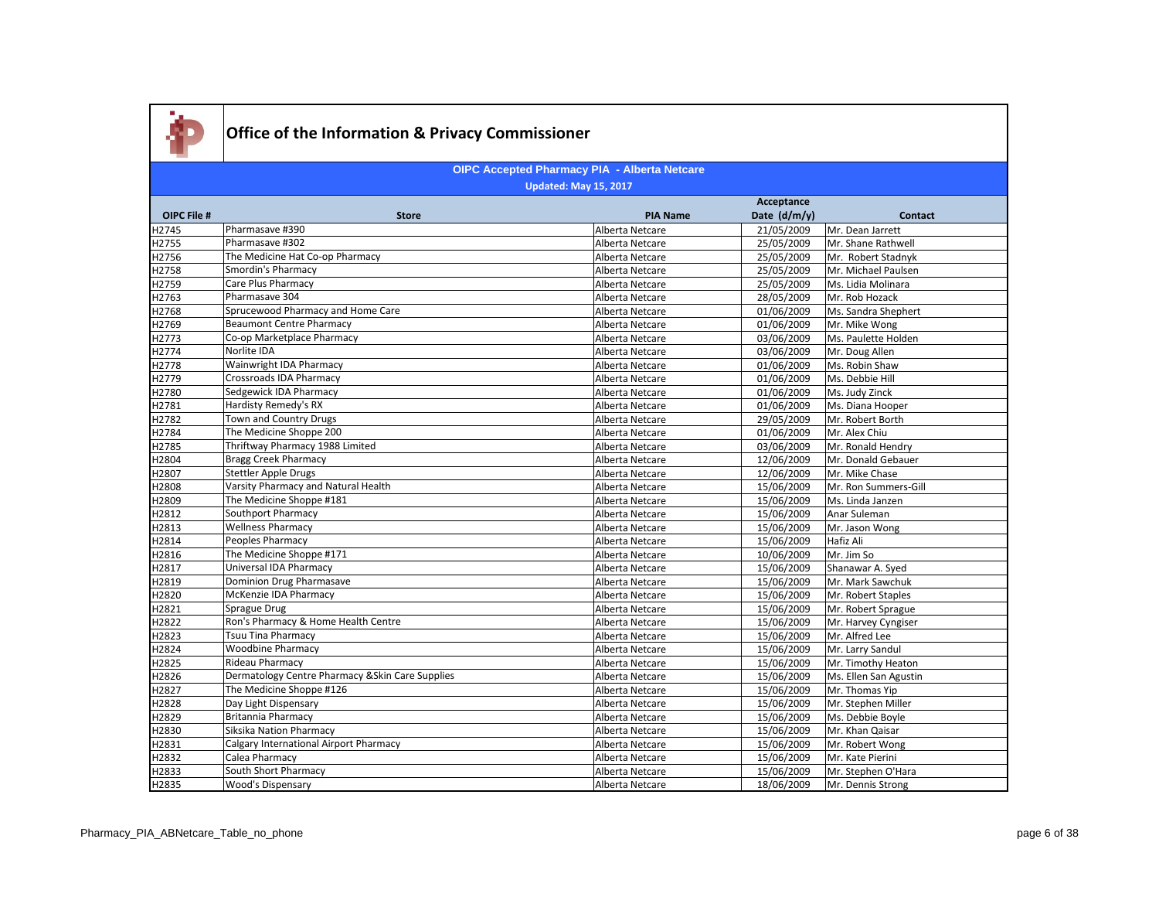

|                    |                                                  | Acceptance      |              |                       |
|--------------------|--------------------------------------------------|-----------------|--------------|-----------------------|
| <b>OIPC File #</b> | <b>Store</b>                                     | <b>PIA Name</b> | Date (d/m/y) | <b>Contact</b>        |
| H2745              | Pharmasave #390                                  | Alberta Netcare | 21/05/2009   | Mr. Dean Jarrett      |
| H2755              | Pharmasave #302                                  | Alberta Netcare | 25/05/2009   | Mr. Shane Rathwell    |
| H2756              | The Medicine Hat Co-op Pharmacy                  | Alberta Netcare | 25/05/2009   | Mr. Robert Stadnyk    |
| H2758              | <b>Smordin's Pharmacy</b>                        | Alberta Netcare | 25/05/2009   | Mr. Michael Paulsen   |
| H2759              | Care Plus Pharmacy                               | Alberta Netcare | 25/05/2009   | Ms. Lidia Molinara    |
| H2763              | Pharmasave 304                                   | Alberta Netcare | 28/05/2009   | Mr. Rob Hozack        |
| H2768              | Sprucewood Pharmacy and Home Care                | Alberta Netcare | 01/06/2009   | Ms. Sandra Shephert   |
| H2769              | <b>Beaumont Centre Pharmacy</b>                  | Alberta Netcare | 01/06/2009   | Mr. Mike Wong         |
| H2773              | Co-op Marketplace Pharmacy                       | Alberta Netcare | 03/06/2009   | Ms. Paulette Holden   |
| H2774              | Norlite IDA                                      | Alberta Netcare | 03/06/2009   | Mr. Doug Allen        |
| H2778              | Wainwright IDA Pharmacy                          | Alberta Netcare | 01/06/2009   | Ms. Robin Shaw        |
| H2779              | Crossroads IDA Pharmacy                          | Alberta Netcare | 01/06/2009   | Ms. Debbie Hill       |
| H2780              | Sedgewick IDA Pharmacy                           | Alberta Netcare | 01/06/2009   | Ms. Judy Zinck        |
| H2781              | <b>Hardisty Remedy's RX</b>                      | Alberta Netcare | 01/06/2009   | Ms. Diana Hooper      |
| H2782              | Town and Country Drugs                           | Alberta Netcare | 29/05/2009   | Mr. Robert Borth      |
| H2784              | The Medicine Shoppe 200                          | Alberta Netcare | 01/06/2009   | Mr. Alex Chiu         |
| H2785              | Thriftway Pharmacy 1988 Limited                  | Alberta Netcare | 03/06/2009   | Mr. Ronald Hendry     |
| H2804              | <b>Bragg Creek Pharmacy</b>                      | Alberta Netcare | 12/06/2009   | Mr. Donald Gebauer    |
| H2807              | <b>Stettler Apple Drugs</b>                      | Alberta Netcare | 12/06/2009   | Mr. Mike Chase        |
| H2808              | Varsity Pharmacy and Natural Health              | Alberta Netcare | 15/06/2009   | Mr. Ron Summers-Gill  |
| H2809              | The Medicine Shoppe #181                         | Alberta Netcare | 15/06/2009   | Ms. Linda Janzen      |
| H2812              | <b>Southport Pharmacy</b>                        | Alberta Netcare | 15/06/2009   | Anar Suleman          |
| H2813              | <b>Wellness Pharmacy</b>                         | Alberta Netcare | 15/06/2009   | Mr. Jason Wong        |
| H2814              | Peoples Pharmacy                                 | Alberta Netcare | 15/06/2009   | Hafiz Ali             |
| H2816              | The Medicine Shoppe #171                         | Alberta Netcare | 10/06/2009   | Mr. Jim So            |
| H2817              | Universal IDA Pharmacy                           | Alberta Netcare | 15/06/2009   | Shanawar A. Syed      |
| H2819              | Dominion Drug Pharmasave                         | Alberta Netcare | 15/06/2009   | Mr. Mark Sawchuk      |
| H2820              | McKenzie IDA Pharmacy                            | Alberta Netcare | 15/06/2009   | Mr. Robert Staples    |
| H2821              | Sprague Drug                                     | Alberta Netcare | 15/06/2009   | Mr. Robert Sprague    |
| H2822              | Ron's Pharmacy & Home Health Centre              | Alberta Netcare | 15/06/2009   | Mr. Harvey Cyngiser   |
| H2823              | <b>Tsuu Tina Pharmacy</b>                        | Alberta Netcare | 15/06/2009   | Mr. Alfred Lee        |
| H2824              | <b>Woodbine Pharmacy</b>                         | Alberta Netcare | 15/06/2009   | Mr. Larry Sandul      |
| H2825              | Rideau Pharmacy                                  | Alberta Netcare | 15/06/2009   | Mr. Timothy Heaton    |
| H2826              | Dermatology Centre Pharmacy & Skin Care Supplies | Alberta Netcare | 15/06/2009   | Ms. Ellen San Agustin |
| H2827              | The Medicine Shoppe #126                         | Alberta Netcare | 15/06/2009   | Mr. Thomas Yip        |
| H2828              | Day Light Dispensary                             | Alberta Netcare | 15/06/2009   | Mr. Stephen Miller    |
| H2829              | <b>Britannia Pharmacy</b>                        | Alberta Netcare | 15/06/2009   | Ms. Debbie Boyle      |
| H2830              | Siksika Nation Pharmacy                          | Alberta Netcare | 15/06/2009   | Mr. Khan Qaisar       |
| H2831              | <b>Calgary International Airport Pharmacy</b>    | Alberta Netcare | 15/06/2009   | Mr. Robert Wong       |
| H2832              | Calea Pharmacy                                   | Alberta Netcare | 15/06/2009   | Mr. Kate Pierini      |
| H2833              | South Short Pharmacy                             | Alberta Netcare | 15/06/2009   | Mr. Stephen O'Hara    |
| H2835              | <b>Wood's Dispensary</b>                         | Alberta Netcare | 18/06/2009   | Mr. Dennis Strong     |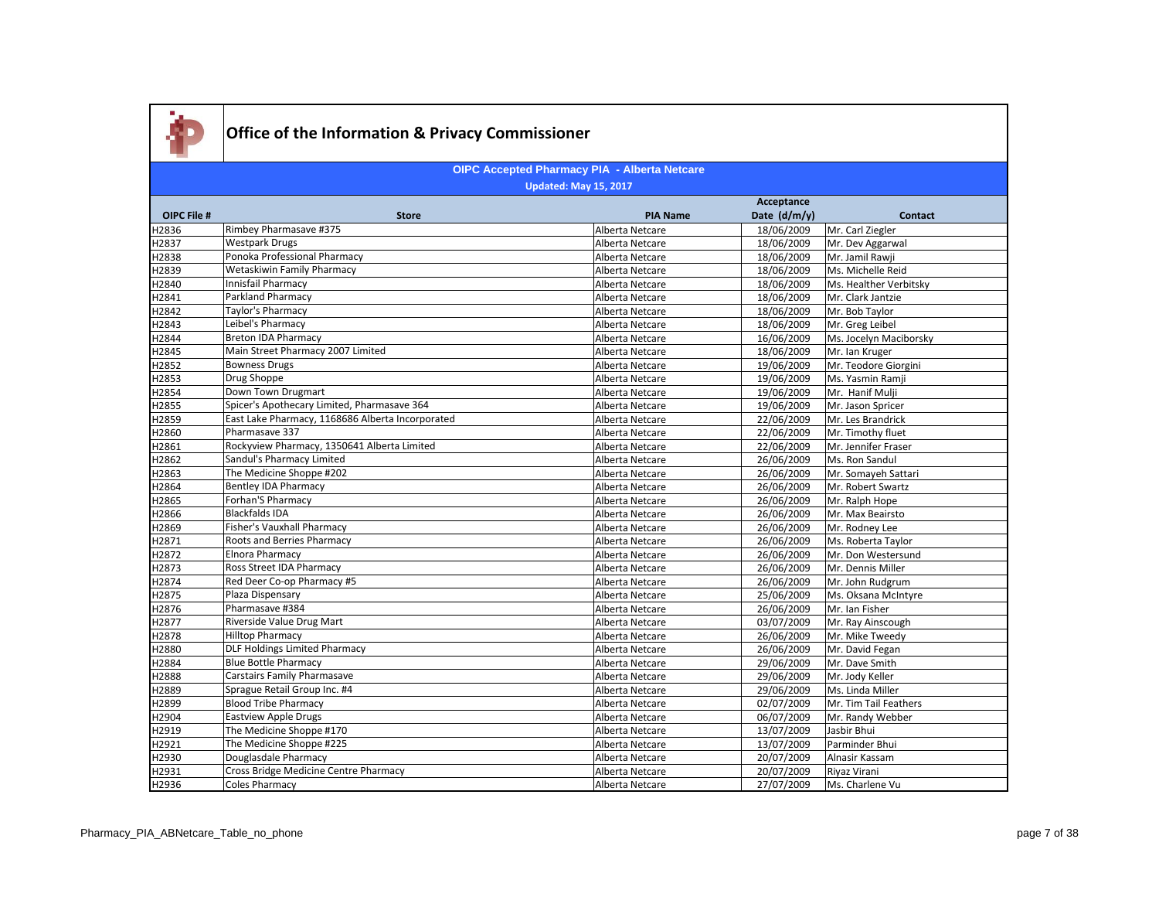

|             |                                                  |                 | Acceptance   |                        |
|-------------|--------------------------------------------------|-----------------|--------------|------------------------|
| OIPC File # | <b>Store</b>                                     | <b>PIA Name</b> | Date (d/m/y) | <b>Contact</b>         |
| H2836       | Rimbey Pharmasave #375                           | Alberta Netcare | 18/06/2009   | Mr. Carl Ziegler       |
| H2837       | <b>Westpark Drugs</b>                            | Alberta Netcare | 18/06/2009   | Mr. Dev Aggarwal       |
| H2838       | Ponoka Professional Pharmacy                     | Alberta Netcare | 18/06/2009   | Mr. Jamil Rawii        |
| H2839       | <b>Wetaskiwin Family Pharmacy</b>                | Alberta Netcare | 18/06/2009   | Ms. Michelle Reid      |
| H2840       | Innisfail Pharmacy                               | Alberta Netcare | 18/06/2009   | Ms. Healther Verbitsky |
| H2841       | <b>Parkland Pharmacy</b>                         | Alberta Netcare | 18/06/2009   | Mr. Clark Jantzie      |
| H2842       | Taylor's Pharmacy                                | Alberta Netcare | 18/06/2009   | Mr. Bob Taylor         |
| H2843       | Leibel's Pharmacy                                | Alberta Netcare | 18/06/2009   | Mr. Greg Leibel        |
| H2844       | Breton IDA Pharmacy                              | Alberta Netcare | 16/06/2009   | Ms. Jocelyn Maciborsky |
| H2845       | Main Street Pharmacy 2007 Limited                | Alberta Netcare | 18/06/2009   | Mr. Ian Kruger         |
| H2852       | <b>Bowness Drugs</b>                             | Alberta Netcare | 19/06/2009   | Mr. Teodore Giorgini   |
| H2853       | Drug Shoppe                                      | Alberta Netcare | 19/06/2009   | Ms. Yasmin Ramji       |
| H2854       | Down Town Drugmart                               | Alberta Netcare | 19/06/2009   | Mr. Hanif Mulji        |
| H2855       | Spicer's Apothecary Limited, Pharmasave 364      | Alberta Netcare | 19/06/2009   | Mr. Jason Spricer      |
| H2859       | East Lake Pharmacy, 1168686 Alberta Incorporated | Alberta Netcare | 22/06/2009   | Mr. Les Brandrick      |
| H2860       | Pharmasave 337                                   | Alberta Netcare | 22/06/2009   | Mr. Timothy fluet      |
| H2861       | Rockyview Pharmacy, 1350641 Alberta Limited      | Alberta Netcare | 22/06/2009   | Mr. Jennifer Fraser    |
| H2862       | Sandul's Pharmacy Limited                        | Alberta Netcare | 26/06/2009   | Ms. Ron Sandul         |
| H2863       | The Medicine Shoppe #202                         | Alberta Netcare | 26/06/2009   | Mr. Somayeh Sattari    |
| H2864       | <b>Bentley IDA Pharmacy</b>                      | Alberta Netcare | 26/06/2009   | Mr. Robert Swartz      |
| H2865       | Forhan'S Pharmacy                                | Alberta Netcare | 26/06/2009   | Mr. Ralph Hope         |
| H2866       | <b>Blackfalds IDA</b>                            | Alberta Netcare | 26/06/2009   | Mr. Max Beairsto       |
| H2869       | Fisher's Vauxhall Pharmacy                       | Alberta Netcare | 26/06/2009   | Mr. Rodney Lee         |
| H2871       | Roots and Berries Pharmacy                       | Alberta Netcare | 26/06/2009   | Ms. Roberta Taylor     |
| H2872       | <b>Elnora Pharmacy</b>                           | Alberta Netcare | 26/06/2009   | Mr. Don Westersund     |
| H2873       | <b>Ross Street IDA Pharmacy</b>                  | Alberta Netcare | 26/06/2009   | Mr. Dennis Miller      |
| H2874       | Red Deer Co-op Pharmacy #5                       | Alberta Netcare | 26/06/2009   | Mr. John Rudgrum       |
| H2875       | Plaza Dispensary                                 | Alberta Netcare | 25/06/2009   | Ms. Oksana McIntyre    |
| H2876       | Pharmasave #384                                  | Alberta Netcare | 26/06/2009   | Mr. Ian Fisher         |
| H2877       | Riverside Value Drug Mart                        | Alberta Netcare | 03/07/2009   | Mr. Ray Ainscough      |
| H2878       | <b>Hilltop Pharmacy</b>                          | Alberta Netcare | 26/06/2009   | Mr. Mike Tweedy        |
| H2880       | <b>DLF Holdings Limited Pharmacy</b>             | Alberta Netcare | 26/06/2009   | Mr. David Fegan        |
| H2884       | <b>Blue Bottle Pharmacy</b>                      | Alberta Netcare | 29/06/2009   | Mr. Dave Smith         |
| H2888       | Carstairs Family Pharmasave                      | Alberta Netcare | 29/06/2009   | Mr. Jody Keller        |
| H2889       | Sprague Retail Group Inc. #4                     | Alberta Netcare | 29/06/2009   | Ms. Linda Miller       |
| H2899       | <b>Blood Tribe Pharmacy</b>                      | Alberta Netcare | 02/07/2009   | Mr. Tim Tail Feathers  |
| H2904       | <b>Eastview Apple Drugs</b>                      | Alberta Netcare | 06/07/2009   | Mr. Randy Webber       |
| H2919       | The Medicine Shoppe #170                         | Alberta Netcare | 13/07/2009   | Jasbir Bhui            |
| H2921       | The Medicine Shoppe #225                         | Alberta Netcare | 13/07/2009   | Parminder Bhui         |
| H2930       | Douglasdale Pharmacy                             | Alberta Netcare | 20/07/2009   | Alnasir Kassam         |
| H2931       | Cross Bridge Medicine Centre Pharmacy            | Alberta Netcare | 20/07/2009   | Riyaz Virani           |
| H2936       | Coles Pharmacy                                   | Alberta Netcare | 27/07/2009   | Ms. Charlene Vu        |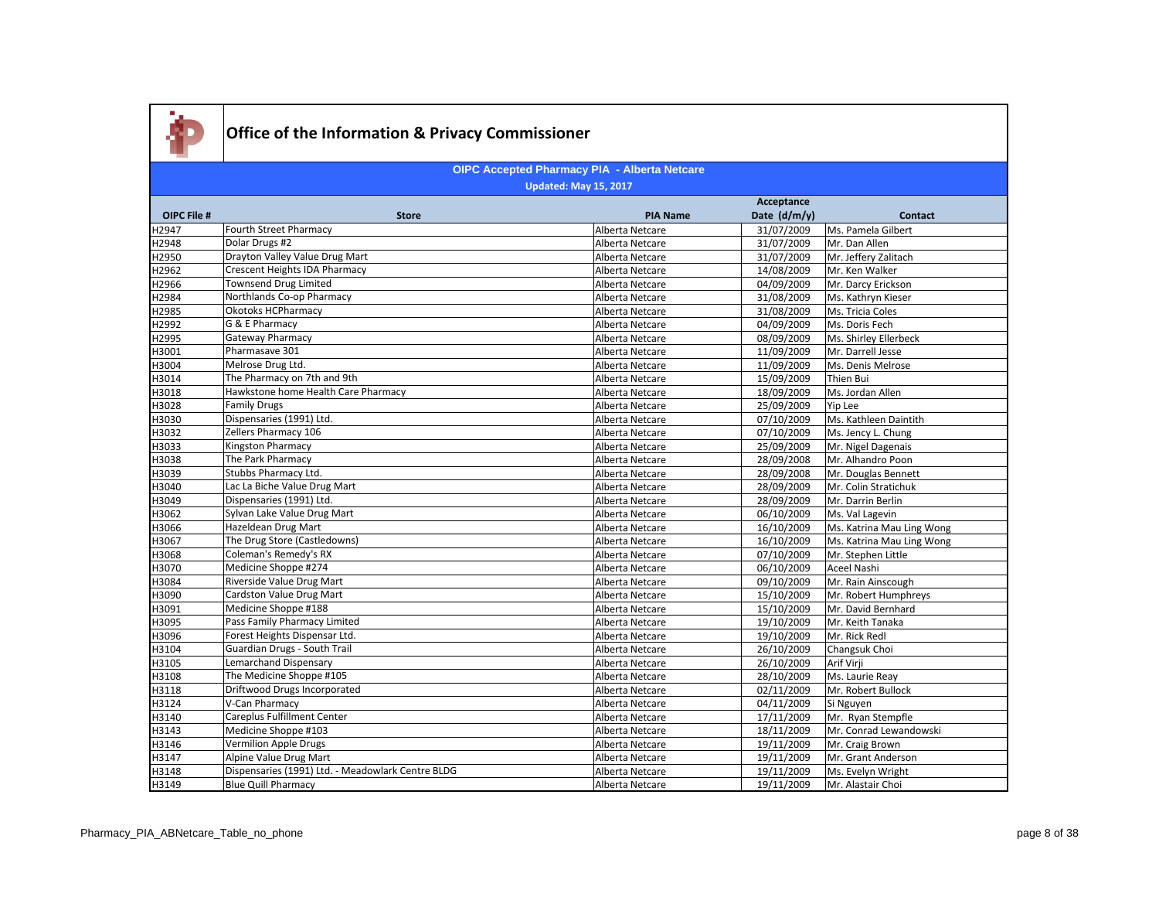

|                    |                                                   | Acceptance      |              |                           |
|--------------------|---------------------------------------------------|-----------------|--------------|---------------------------|
| <b>OIPC File #</b> | <b>Store</b>                                      | <b>PIA Name</b> | Date (d/m/y) | <b>Contact</b>            |
| H2947              | Fourth Street Pharmacy                            | Alberta Netcare | 31/07/2009   | Ms. Pamela Gilbert        |
| H2948              | Dolar Drugs #2                                    | Alberta Netcare | 31/07/2009   | Mr. Dan Allen             |
| H2950              | Drayton Valley Value Drug Mart                    | Alberta Netcare | 31/07/2009   | Mr. Jeffery Zalitach      |
| H2962              | <b>Crescent Heights IDA Pharmacy</b>              | Alberta Netcare | 14/08/2009   | Mr. Ken Walker            |
| H2966              | <b>Townsend Drug Limited</b>                      | Alberta Netcare | 04/09/2009   | Mr. Darcy Erickson        |
| H2984              | Northlands Co-op Pharmacy                         | Alberta Netcare | 31/08/2009   | Ms. Kathryn Kieser        |
| H2985              | <b>Okotoks HCPharmacy</b>                         | Alberta Netcare | 31/08/2009   | Ms. Tricia Coles          |
| H2992              | G & E Pharmacy                                    | Alberta Netcare | 04/09/2009   | Ms. Doris Fech            |
| H2995              | <b>Gateway Pharmacy</b>                           | Alberta Netcare | 08/09/2009   | Ms. Shirley Ellerbeck     |
| H3001              | Pharmasave 301                                    | Alberta Netcare | 11/09/2009   | Mr. Darrell Jesse         |
| H3004              | Melrose Drug Ltd.                                 | Alberta Netcare | 11/09/2009   | Ms. Denis Melrose         |
| H3014              | The Pharmacy on 7th and 9th                       | Alberta Netcare | 15/09/2009   | Thien Bui                 |
| H3018              | Hawkstone home Health Care Pharmacy               | Alberta Netcare | 18/09/2009   | Ms. Jordan Allen          |
| H3028              | <b>Family Drugs</b>                               | Alberta Netcare | 25/09/2009   | Yip Lee                   |
| H3030              | Dispensaries (1991) Ltd.                          | Alberta Netcare | 07/10/2009   | Ms. Kathleen Daintith     |
| H3032              | Zellers Pharmacy 106                              | Alberta Netcare | 07/10/2009   | Ms. Jency L. Chung        |
| H3033              | Kingston Pharmacy                                 | Alberta Netcare | 25/09/2009   | Mr. Nigel Dagenais        |
| H3038              | The Park Pharmacy                                 | Alberta Netcare | 28/09/2008   | Mr. Alhandro Poon         |
| H3039              | Stubbs Pharmacy Ltd.                              | Alberta Netcare | 28/09/2008   | Mr. Douglas Bennett       |
| H3040              | Lac La Biche Value Drug Mart                      | Alberta Netcare | 28/09/2009   | Mr. Colin Stratichuk      |
| H3049              | Dispensaries (1991) Ltd.                          | Alberta Netcare | 28/09/2009   | Mr. Darrin Berlin         |
| H3062              | Sylvan Lake Value Drug Mart                       | Alberta Netcare | 06/10/2009   | Ms. Val Lagevin           |
| H3066              | Hazeldean Drug Mart                               | Alberta Netcare | 16/10/2009   | Ms. Katrina Mau Ling Wong |
| H3067              | The Drug Store (Castledowns)                      | Alberta Netcare | 16/10/2009   | Ms. Katrina Mau Ling Wong |
| H3068              | Coleman's Remedy's RX                             | Alberta Netcare | 07/10/2009   | Mr. Stephen Little        |
| H3070              | Medicine Shoppe #274                              | Alberta Netcare | 06/10/2009   | Aceel Nashi               |
| H3084              | Riverside Value Drug Mart                         | Alberta Netcare | 09/10/2009   | Mr. Rain Ainscough        |
| H3090              | Cardston Value Drug Mart                          | Alberta Netcare | 15/10/2009   | Mr. Robert Humphreys      |
| H3091              | Medicine Shoppe #188                              | Alberta Netcare | 15/10/2009   | Mr. David Bernhard        |
| H3095              | Pass Family Pharmacy Limited                      | Alberta Netcare | 19/10/2009   | Mr. Keith Tanaka          |
| H3096              | Forest Heights Dispensar Ltd.                     | Alberta Netcare | 19/10/2009   | Mr. Rick Redl             |
| H3104              | Guardian Drugs - South Trail                      | Alberta Netcare | 26/10/2009   | Changsuk Choi             |
| H3105              | <b>Lemarchand Dispensary</b>                      | Alberta Netcare | 26/10/2009   | Arif Virji                |
| H3108              | The Medicine Shoppe #105                          | Alberta Netcare | 28/10/2009   | Ms. Laurie Reav           |
| H3118              | Driftwood Drugs Incorporated                      | Alberta Netcare | 02/11/2009   | Mr. Robert Bullock        |
| H3124              | V-Can Pharmacy                                    | Alberta Netcare | 04/11/2009   | Si Nguyen                 |
| H3140              | Careplus Fulfillment Center                       | Alberta Netcare | 17/11/2009   | Mr. Rvan Stempfle         |
| H3143              | Medicine Shoppe #103                              | Alberta Netcare | 18/11/2009   | Mr. Conrad Lewandowski    |
| H3146              | Vermilion Apple Drugs                             | Alberta Netcare | 19/11/2009   | Mr. Craig Brown           |
| H3147              | Alpine Value Drug Mart                            | Alberta Netcare | 19/11/2009   | Mr. Grant Anderson        |
| H3148              | Dispensaries (1991) Ltd. - Meadowlark Centre BLDG | Alberta Netcare | 19/11/2009   | Ms. Evelyn Wright         |
| H3149              | <b>Blue Quill Pharmacy</b>                        | Alberta Netcare | 19/11/2009   | Mr. Alastair Choi         |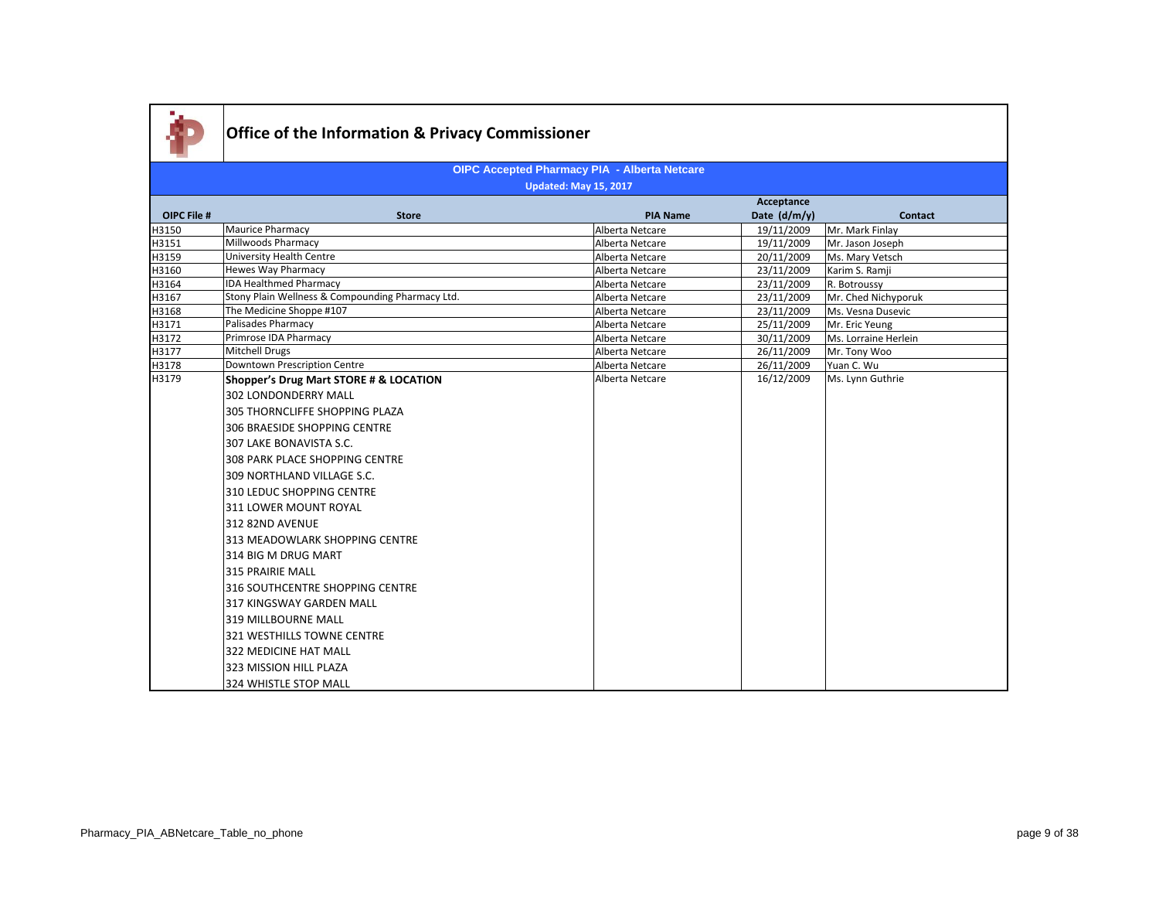

|                |                                                  |                                    | Acceptance               |                                |
|----------------|--------------------------------------------------|------------------------------------|--------------------------|--------------------------------|
| OIPC File #    | <b>Store</b>                                     | <b>PIA Name</b>                    | Date (d/m/y)             | Contact                        |
| H3150          | Maurice Pharmacy                                 | Alberta Netcare                    | 19/11/2009               | Mr. Mark Finlay                |
| H3151          | Millwoods Pharmacy                               | Alberta Netcare                    | 19/11/2009               | Mr. Jason Joseph               |
| H3159          | University Health Centre                         | Alberta Netcare                    | 20/11/2009               | Ms. Mary Vetsch                |
| H3160          | Hewes Way Pharmacy                               | Alberta Netcare                    | 23/11/2009               | Karim S. Ramji                 |
| H3164          | <b>IDA Healthmed Pharmacy</b>                    | Alberta Netcare                    | 23/11/2009               | R. Botroussy                   |
| H3167          | Stony Plain Wellness & Compounding Pharmacy Ltd. | Alberta Netcare                    | 23/11/2009               | Mr. Ched Nichyporuk            |
| H3168          | The Medicine Shoppe #107                         | Alberta Netcare                    | 23/11/2009               | Ms. Vesna Dusevic              |
| H3171          | Palisades Pharmacy                               | Alberta Netcare                    | 25/11/2009               | Mr. Eric Yeung                 |
| H3172          | Primrose IDA Pharmacy                            | Alberta Netcare                    | 30/11/2009               | Ms. Lorraine Herlein           |
| H3177<br>H3178 | Mitchell Drugs<br>Downtown Prescription Centre   | Alberta Netcare                    | 26/11/2009               | Mr. Tony Woo                   |
| H3179          | Shopper's Drug Mart STORE # & LOCATION           | Alberta Netcare<br>Alberta Netcare | 26/11/2009<br>16/12/2009 | Yuan C. Wu<br>Ms. Lynn Guthrie |
|                |                                                  |                                    |                          |                                |
|                | 302 LONDONDERRY MALL                             |                                    |                          |                                |
|                | 305 THORNCLIFFE SHOPPING PLAZA                   |                                    |                          |                                |
|                | 306 BRAESIDE SHOPPING CENTRE                     |                                    |                          |                                |
|                | 307 LAKE BONAVISTA S.C.                          |                                    |                          |                                |
|                | 308 PARK PLACE SHOPPING CENTRE                   |                                    |                          |                                |
|                | 1309 NORTHLAND VILLAGE S.C.                      |                                    |                          |                                |
|                | 310 LEDUC SHOPPING CENTRE                        |                                    |                          |                                |
|                | 311 LOWER MOUNT ROYAL                            |                                    |                          |                                |
|                | 312 82ND AVENUE                                  |                                    |                          |                                |
|                | 313 MEADOWLARK SHOPPING CENTRE                   |                                    |                          |                                |
|                | 314 BIG M DRUG MART                              |                                    |                          |                                |
|                | 315 PRAIRIE MALL                                 |                                    |                          |                                |
|                | 316 SOUTHCENTRE SHOPPING CENTRE                  |                                    |                          |                                |
|                | 317 KINGSWAY GARDEN MALL                         |                                    |                          |                                |
|                | 319 MILLBOURNE MALL                              |                                    |                          |                                |
|                | 321 WESTHILLS TOWNE CENTRE                       |                                    |                          |                                |
|                | 322 MEDICINE HAT MALL                            |                                    |                          |                                |
|                | 323 MISSION HILL PLAZA                           |                                    |                          |                                |
|                | 324 WHISTLE STOP MALL                            |                                    |                          |                                |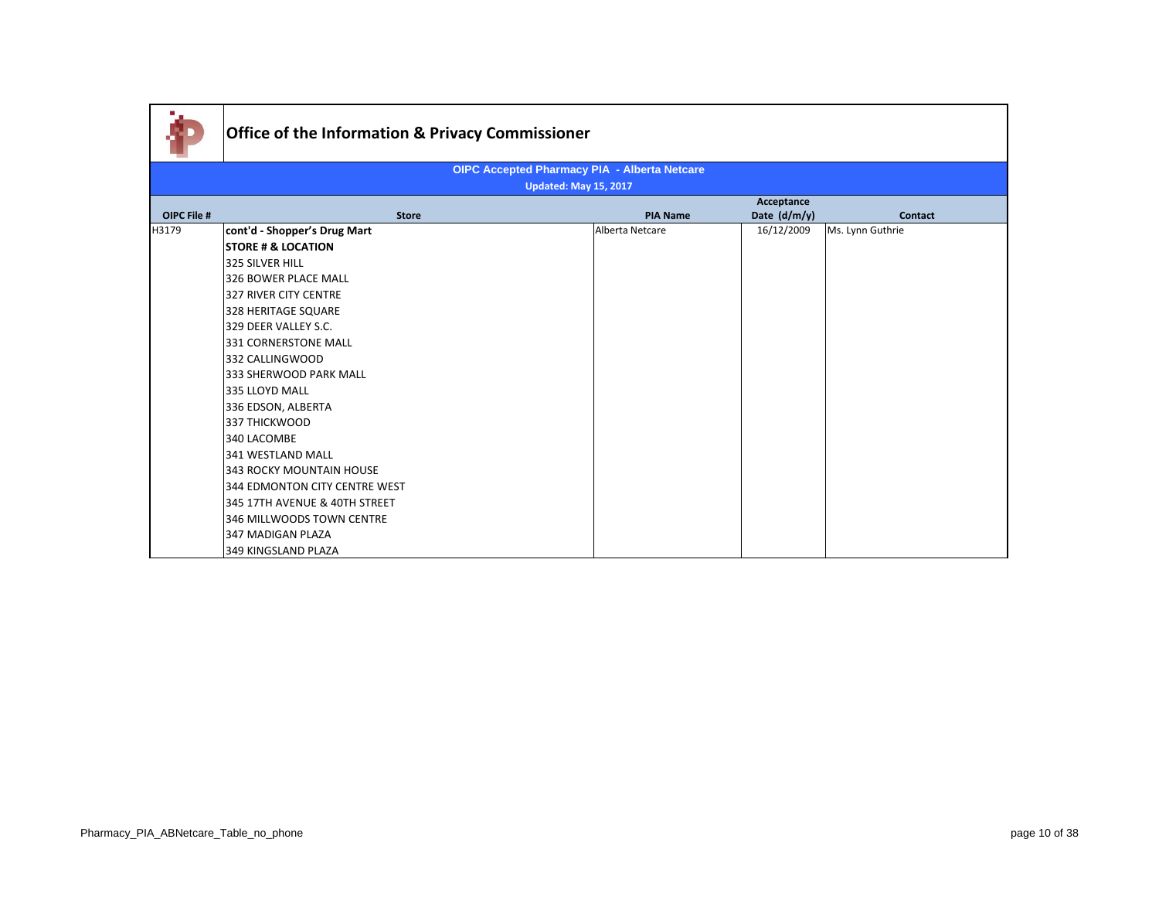|             | <b>Office of the Information &amp; Privacy Commissioner</b> |                              |                                                     |                |                  |
|-------------|-------------------------------------------------------------|------------------------------|-----------------------------------------------------|----------------|------------------|
|             |                                                             |                              | <b>OIPC Accepted Pharmacy PIA - Alberta Netcare</b> |                |                  |
|             |                                                             | <b>Updated: May 15, 2017</b> |                                                     |                |                  |
|             |                                                             |                              |                                                     | Acceptance     |                  |
| OIPC File # | <b>Store</b>                                                |                              | <b>PIA Name</b>                                     | Date $(d/m/y)$ | <b>Contact</b>   |
| H3179       | cont'd - Shopper's Drug Mart                                |                              | Alberta Netcare                                     | 16/12/2009     | Ms. Lynn Guthrie |
|             | <b>STORE # &amp; LOCATION</b>                               |                              |                                                     |                |                  |
|             | 325 SILVER HILL                                             |                              |                                                     |                |                  |
|             | 326 BOWER PLACE MALL                                        |                              |                                                     |                |                  |
|             | 327 RIVER CITY CENTRE                                       |                              |                                                     |                |                  |
|             | 328 HERITAGE SQUARE                                         |                              |                                                     |                |                  |
|             | 329 DEER VALLEY S.C.                                        |                              |                                                     |                |                  |
|             | 331 CORNERSTONE MALL                                        |                              |                                                     |                |                  |
|             | 332 CALLINGWOOD                                             |                              |                                                     |                |                  |
|             | 333 SHERWOOD PARK MALL                                      |                              |                                                     |                |                  |
|             | 335 LLOYD MALL                                              |                              |                                                     |                |                  |
|             | 336 EDSON, ALBERTA                                          |                              |                                                     |                |                  |
|             | 337 THICKWOOD                                               |                              |                                                     |                |                  |
|             | 340 LACOMBE                                                 |                              |                                                     |                |                  |
|             | 341 WESTLAND MALL                                           |                              |                                                     |                |                  |
|             | 343 ROCKY MOUNTAIN HOUSE                                    |                              |                                                     |                |                  |
|             | 344 EDMONTON CITY CENTRE WEST                               |                              |                                                     |                |                  |
|             | 345 17TH AVENUE & 40TH STREET                               |                              |                                                     |                |                  |
|             | 346 MILLWOODS TOWN CENTRE                                   |                              |                                                     |                |                  |
|             | 347 MADIGAN PLAZA                                           |                              |                                                     |                |                  |
|             | 349 KINGSLAND PLAZA                                         |                              |                                                     |                |                  |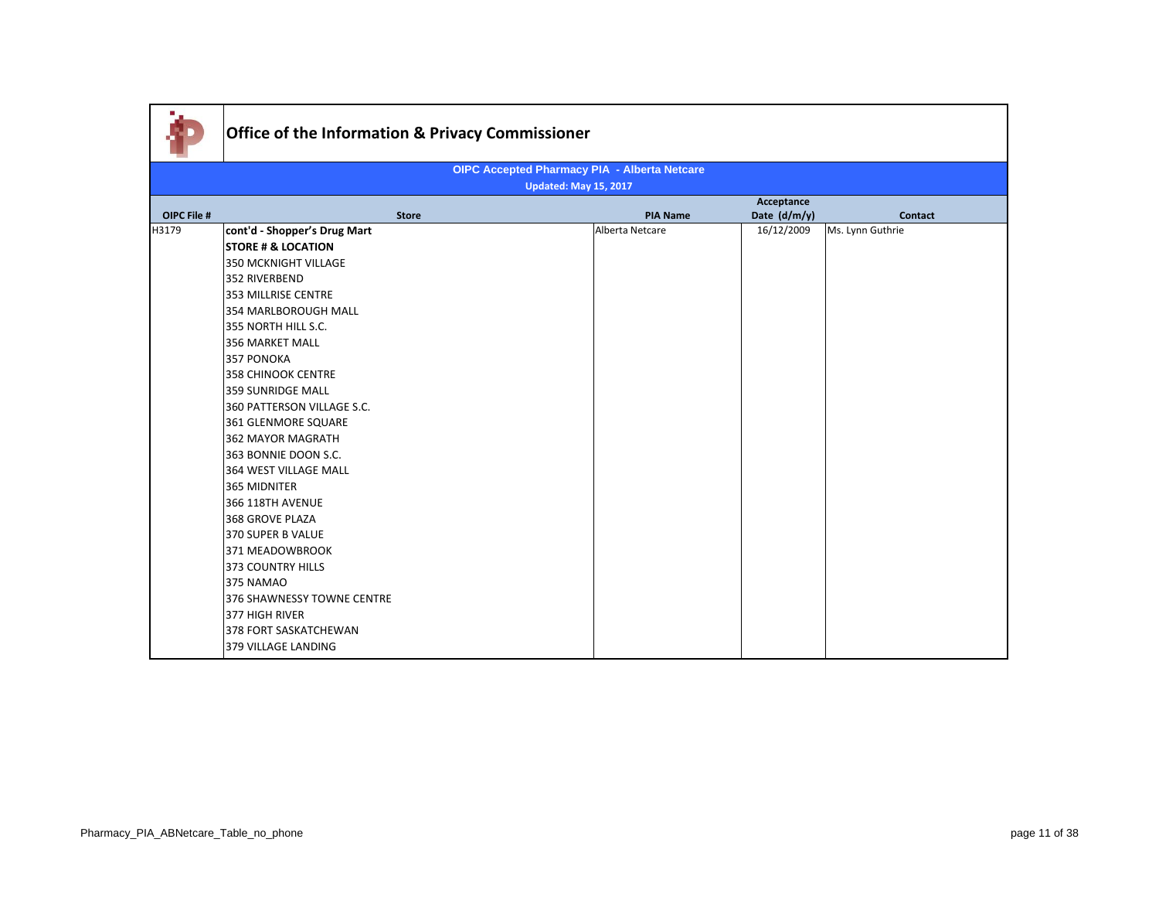|             | Office of the Information & Privacy Commissioner |                                                     |              |                  |  |  |
|-------------|--------------------------------------------------|-----------------------------------------------------|--------------|------------------|--|--|
|             |                                                  | <b>OIPC Accepted Pharmacy PIA - Alberta Netcare</b> |              |                  |  |  |
|             | <b>Updated: May 15, 2017</b>                     |                                                     |              |                  |  |  |
|             |                                                  |                                                     | Acceptance   |                  |  |  |
| OIPC File # | <b>Store</b>                                     | <b>PIA Name</b>                                     | Date (d/m/y) | <b>Contact</b>   |  |  |
| H3179       | cont'd - Shopper's Drug Mart                     | Alberta Netcare                                     | 16/12/2009   | Ms. Lynn Guthrie |  |  |
|             | <b>STORE # &amp; LOCATION</b>                    |                                                     |              |                  |  |  |
|             | <b>350 MCKNIGHT VILLAGE</b>                      |                                                     |              |                  |  |  |
|             | 352 RIVERBEND                                    |                                                     |              |                  |  |  |
|             | 353 MILLRISE CENTRE                              |                                                     |              |                  |  |  |
|             | 354 MARLBOROUGH MALL                             |                                                     |              |                  |  |  |
|             | 355 NORTH HILL S.C.                              |                                                     |              |                  |  |  |
|             | 356 MARKET MALL                                  |                                                     |              |                  |  |  |
|             | 357 PONOKA                                       |                                                     |              |                  |  |  |
|             | <b>358 CHINOOK CENTRE</b>                        |                                                     |              |                  |  |  |
|             | <b>359 SUNRIDGE MALL</b>                         |                                                     |              |                  |  |  |
|             | 360 PATTERSON VILLAGE S.C.                       |                                                     |              |                  |  |  |
|             | 361 GLENMORE SQUARE                              |                                                     |              |                  |  |  |
|             | 362 MAYOR MAGRATH                                |                                                     |              |                  |  |  |
|             | 363 BONNIE DOON S.C.                             |                                                     |              |                  |  |  |
|             | <b>364 WEST VILLAGE MALL</b>                     |                                                     |              |                  |  |  |
|             | 365 MIDNITER                                     |                                                     |              |                  |  |  |
|             | <b>366 118TH AVENUE</b>                          |                                                     |              |                  |  |  |
|             | 368 GROVE PLAZA                                  |                                                     |              |                  |  |  |
|             | 370 SUPER B VALUE                                |                                                     |              |                  |  |  |
|             | 371 MEADOWBROOK                                  |                                                     |              |                  |  |  |
|             | 373 COUNTRY HILLS                                |                                                     |              |                  |  |  |
|             | 375 NAMAO                                        |                                                     |              |                  |  |  |
|             | 376 SHAWNESSY TOWNE CENTRE                       |                                                     |              |                  |  |  |
|             | 377 HIGH RIVER                                   |                                                     |              |                  |  |  |
|             | 378 FORT SASKATCHEWAN                            |                                                     |              |                  |  |  |
|             | 379 VILLAGE LANDING                              |                                                     |              |                  |  |  |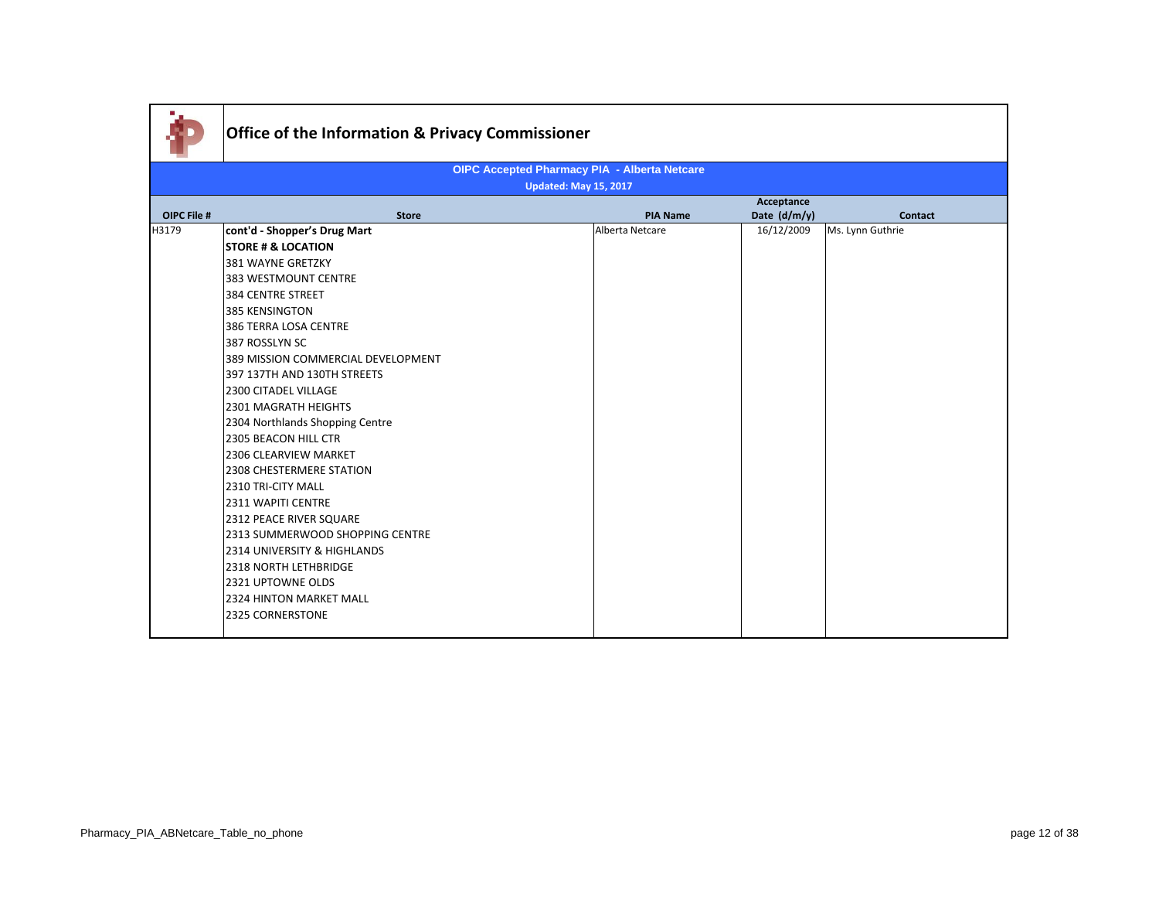|             | <b>Office of the Information &amp; Privacy Commissioner</b> |                                                     |                 |              |                  |
|-------------|-------------------------------------------------------------|-----------------------------------------------------|-----------------|--------------|------------------|
|             |                                                             | <b>OIPC Accepted Pharmacy PIA - Alberta Netcare</b> |                 |              |                  |
|             |                                                             | <b>Updated: May 15, 2017</b>                        |                 |              |                  |
|             |                                                             |                                                     |                 | Acceptance   |                  |
| OIPC File # | <b>Store</b>                                                |                                                     | <b>PIA Name</b> | Date (d/m/y) | <b>Contact</b>   |
| H3179       | cont'd - Shopper's Drug Mart                                |                                                     | Alberta Netcare | 16/12/2009   | Ms. Lynn Guthrie |
|             | <b>STORE # &amp; LOCATION</b>                               |                                                     |                 |              |                  |
|             | 381 WAYNE GRETZKY                                           |                                                     |                 |              |                  |
|             | 383 WESTMOUNT CENTRE                                        |                                                     |                 |              |                  |
|             | 384 CENTRE STREET                                           |                                                     |                 |              |                  |
|             | 385 KENSINGTON                                              |                                                     |                 |              |                  |
|             | 386 TERRA LOSA CENTRE                                       |                                                     |                 |              |                  |
|             | 387 ROSSLYN SC                                              |                                                     |                 |              |                  |
|             | 389 MISSION COMMERCIAL DEVELOPMENT                          |                                                     |                 |              |                  |
|             | 397 137TH AND 130TH STREETS                                 |                                                     |                 |              |                  |
|             | 2300 CITADEL VILLAGE                                        |                                                     |                 |              |                  |
|             | 2301 MAGRATH HEIGHTS                                        |                                                     |                 |              |                  |
|             | 2304 Northlands Shopping Centre                             |                                                     |                 |              |                  |
|             | 2305 BEACON HILL CTR                                        |                                                     |                 |              |                  |
|             | 2306 CLEARVIEW MARKET                                       |                                                     |                 |              |                  |
|             | 2308 CHESTERMERE STATION                                    |                                                     |                 |              |                  |
|             | 2310 TRI-CITY MALL                                          |                                                     |                 |              |                  |
|             | 2311 WAPITI CENTRE                                          |                                                     |                 |              |                  |
|             | 2312 PEACE RIVER SQUARE                                     |                                                     |                 |              |                  |
|             | 2313 SUMMERWOOD SHOPPING CENTRE                             |                                                     |                 |              |                  |
|             | 2314 UNIVERSITY & HIGHLANDS                                 |                                                     |                 |              |                  |
|             | 2318 NORTH LETHBRIDGE                                       |                                                     |                 |              |                  |
|             | 2321 UPTOWNE OLDS                                           |                                                     |                 |              |                  |
|             | <b>2324 HINTON MARKET MALL</b>                              |                                                     |                 |              |                  |
|             | 2325 CORNERSTONE                                            |                                                     |                 |              |                  |
|             |                                                             |                                                     |                 |              |                  |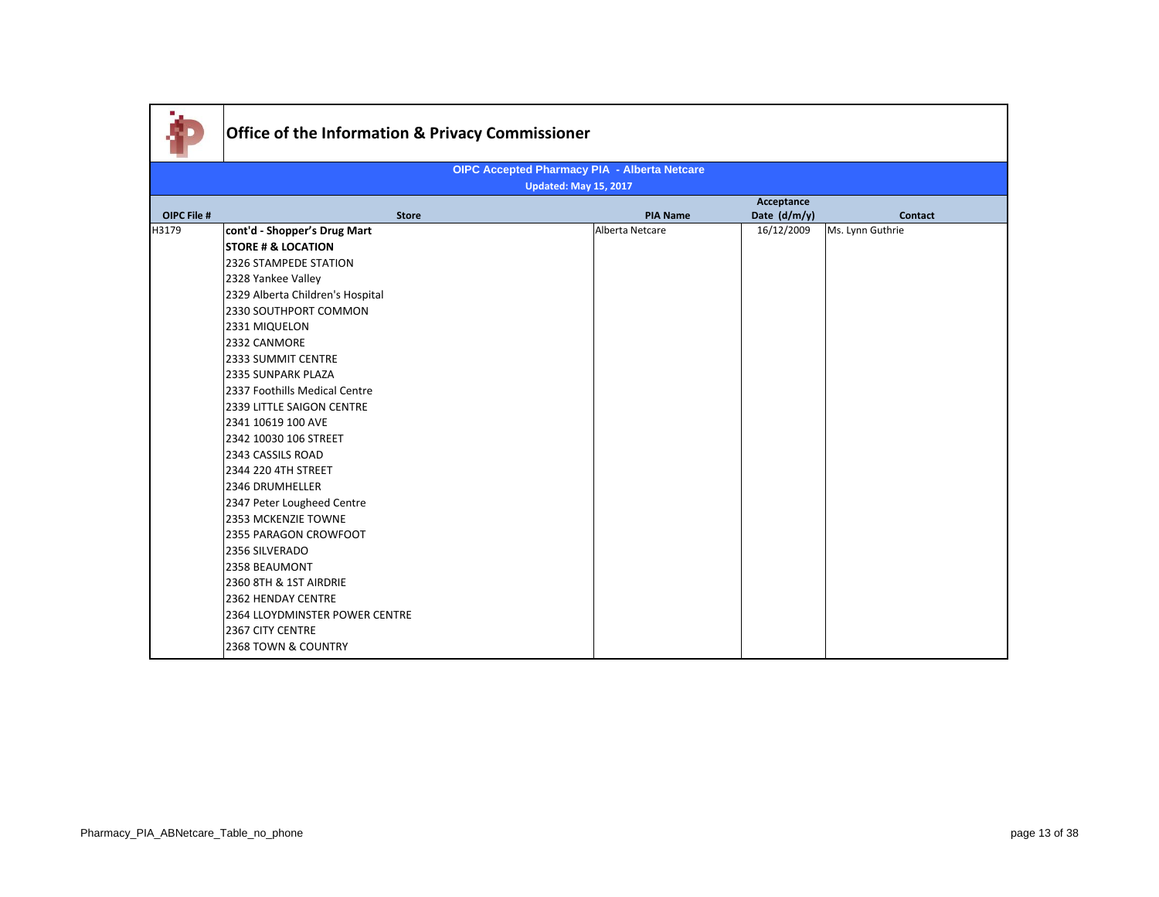| <b>OIPC Accepted Pharmacy PIA - Alberta Netcare</b> |                                  |                              |                            |                  |  |  |
|-----------------------------------------------------|----------------------------------|------------------------------|----------------------------|------------------|--|--|
|                                                     |                                  | <b>Updated: May 15, 2017</b> |                            |                  |  |  |
| OIPC File #                                         | <b>Store</b>                     | <b>PIA Name</b>              | Acceptance<br>Date (d/m/y) | <b>Contact</b>   |  |  |
| H3179                                               | cont'd - Shopper's Drug Mart     | Alberta Netcare              | 16/12/2009                 | Ms. Lynn Guthrie |  |  |
|                                                     | <b>STORE # &amp; LOCATION</b>    |                              |                            |                  |  |  |
|                                                     | 2326 STAMPEDE STATION            |                              |                            |                  |  |  |
|                                                     | 2328 Yankee Valley               |                              |                            |                  |  |  |
|                                                     | 2329 Alberta Children's Hospital |                              |                            |                  |  |  |
|                                                     | 2330 SOUTHPORT COMMON            |                              |                            |                  |  |  |
|                                                     | 2331 MIQUELON                    |                              |                            |                  |  |  |
|                                                     | 2332 CANMORE                     |                              |                            |                  |  |  |
|                                                     | 2333 SUMMIT CENTRE               |                              |                            |                  |  |  |
|                                                     | 2335 SUNPARK PLAZA               |                              |                            |                  |  |  |
|                                                     | 2337 Foothills Medical Centre    |                              |                            |                  |  |  |
|                                                     | 2339 LITTLE SAIGON CENTRE        |                              |                            |                  |  |  |
|                                                     | 2341 10619 100 AVE               |                              |                            |                  |  |  |
|                                                     | 2342 10030 106 STREET            |                              |                            |                  |  |  |
|                                                     | 2343 CASSILS ROAD                |                              |                            |                  |  |  |
|                                                     | 2344 220 4TH STREET              |                              |                            |                  |  |  |
|                                                     | 2346 DRUMHELLER                  |                              |                            |                  |  |  |
|                                                     | 2347 Peter Lougheed Centre       |                              |                            |                  |  |  |
|                                                     | 2353 MCKENZIE TOWNE              |                              |                            |                  |  |  |
|                                                     | 2355 PARAGON CROWFOOT            |                              |                            |                  |  |  |
|                                                     | 2356 SILVERADO                   |                              |                            |                  |  |  |
|                                                     | 2358 BEAUMONT                    |                              |                            |                  |  |  |
|                                                     | 2360 8TH & 1ST AIRDRIE           |                              |                            |                  |  |  |
|                                                     | 2362 HENDAY CENTRE               |                              |                            |                  |  |  |
|                                                     | 2364 LLOYDMINSTER POWER CENTRE   |                              |                            |                  |  |  |
|                                                     | 2367 CITY CENTRE                 |                              |                            |                  |  |  |
|                                                     | 2368 TOWN & COUNTRY              |                              |                            |                  |  |  |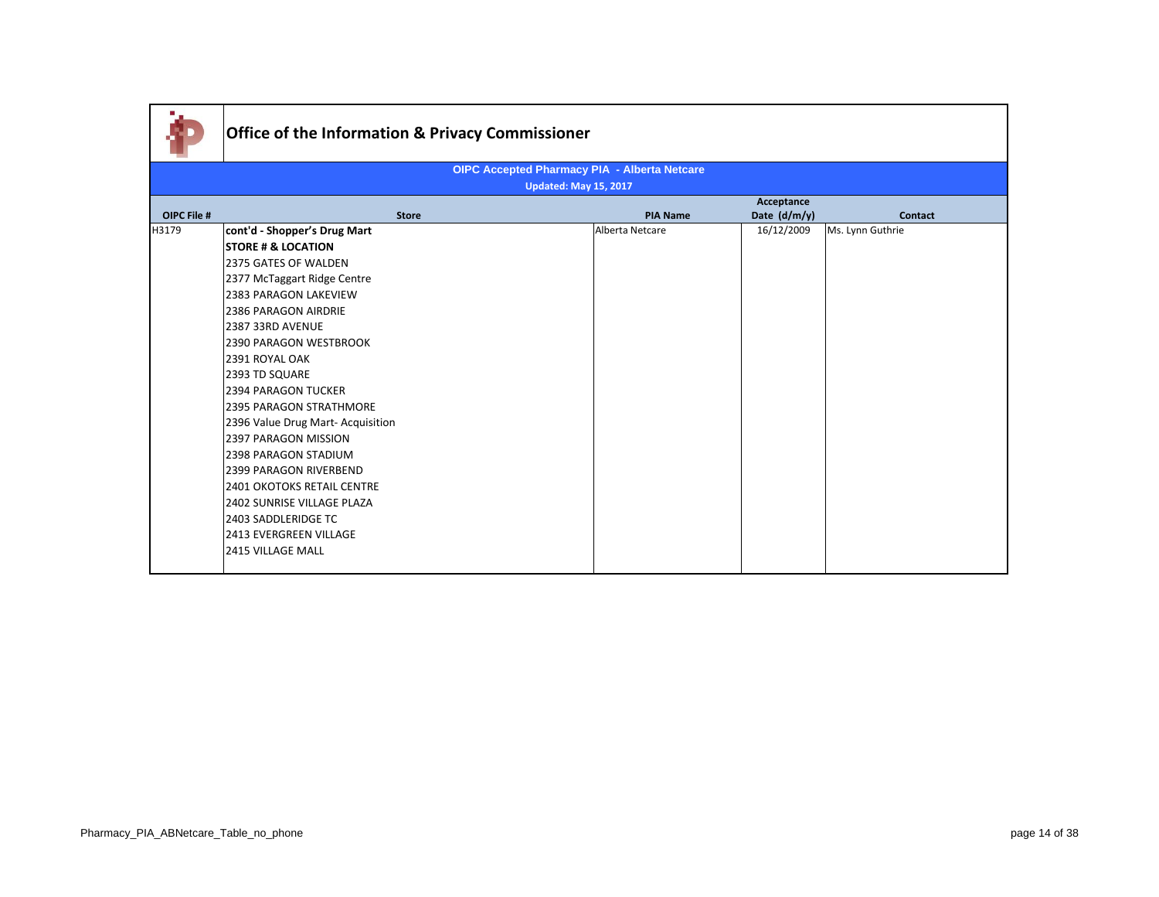|                    | Office of the Information & Privacy Commissioner |                                              |                 |                |                  |
|--------------------|--------------------------------------------------|----------------------------------------------|-----------------|----------------|------------------|
|                    |                                                  | OIPC Accepted Pharmacy PIA - Alberta Netcare |                 |                |                  |
|                    |                                                  | <b>Updated: May 15, 2017</b>                 |                 |                |                  |
|                    |                                                  |                                              |                 | Acceptance     |                  |
| <b>OIPC File #</b> | <b>Store</b>                                     |                                              | <b>PIA Name</b> | Date $(d/m/y)$ | Contact          |
| H3179              | cont'd - Shopper's Drug Mart                     |                                              | Alberta Netcare | 16/12/2009     | Ms. Lynn Guthrie |
|                    | <b>STORE # &amp; LOCATION</b>                    |                                              |                 |                |                  |
|                    | 2375 GATES OF WALDEN                             |                                              |                 |                |                  |
|                    | 2377 McTaggart Ridge Centre                      |                                              |                 |                |                  |
|                    | <b>2383 PARAGON LAKEVIEW</b>                     |                                              |                 |                |                  |
|                    | <b>2386 PARAGON AIRDRIE</b>                      |                                              |                 |                |                  |
|                    | 2387 33RD AVENUE                                 |                                              |                 |                |                  |
|                    | 2390 PARAGON WESTBROOK                           |                                              |                 |                |                  |
|                    | 2391 ROYAL OAK                                   |                                              |                 |                |                  |
|                    | 2393 TD SQUARE                                   |                                              |                 |                |                  |
|                    | <b>2394 PARAGON TUCKER</b>                       |                                              |                 |                |                  |
|                    | <b>2395 PARAGON STRATHMORE</b>                   |                                              |                 |                |                  |
|                    | 2396 Value Drug Mart-Acquisition                 |                                              |                 |                |                  |
|                    | 2397 PARAGON MISSION                             |                                              |                 |                |                  |
|                    | <b>2398 PARAGON STADIUM</b>                      |                                              |                 |                |                  |
|                    | 2399 PARAGON RIVERBEND                           |                                              |                 |                |                  |
|                    | <b>2401 OKOTOKS RETAIL CENTRE</b>                |                                              |                 |                |                  |
|                    | 2402 SUNRISE VILLAGE PLAZA                       |                                              |                 |                |                  |
|                    | 2403 SADDLERIDGE TC                              |                                              |                 |                |                  |
|                    | <b>2413 EVERGREEN VILLAGE</b>                    |                                              |                 |                |                  |
|                    | 2415 VILLAGE MALL                                |                                              |                 |                |                  |
|                    |                                                  |                                              |                 |                |                  |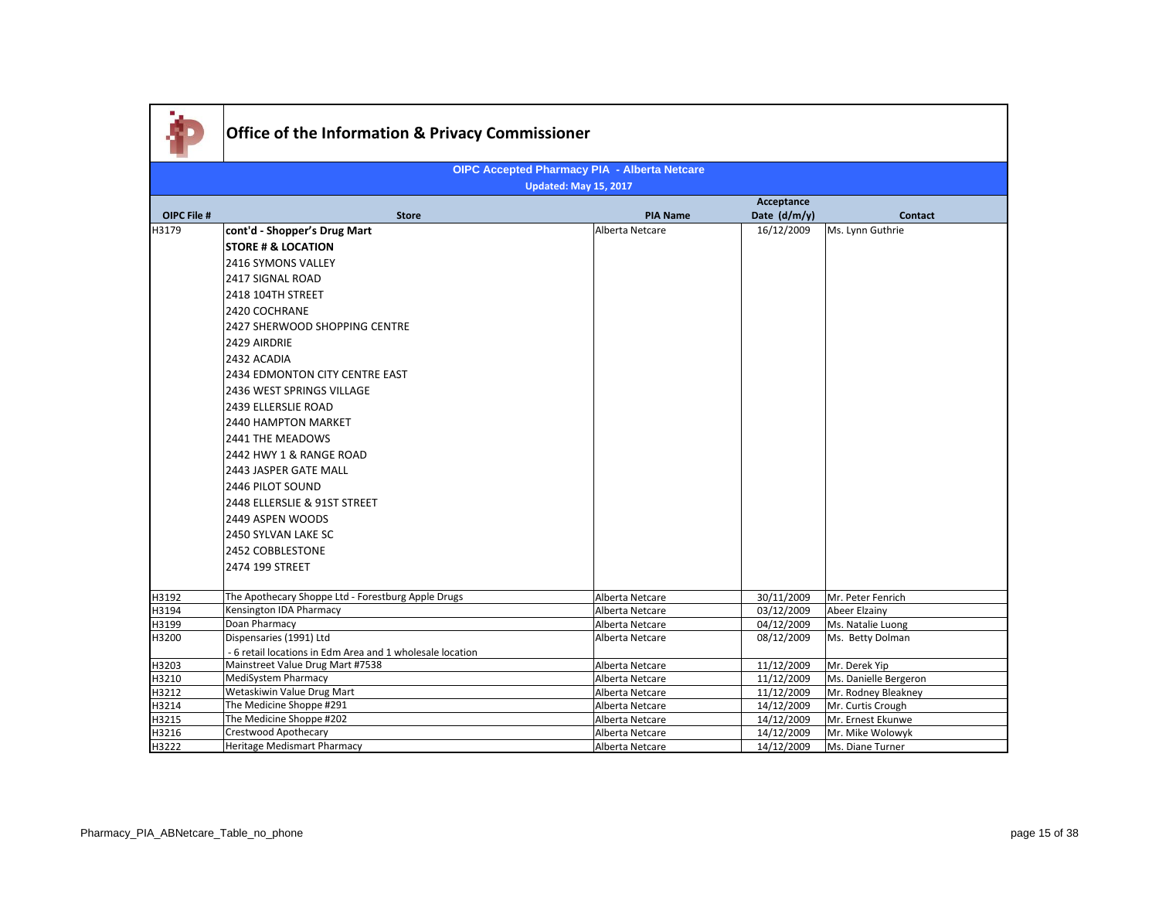|                    | <b>Office of the Information &amp; Privacy Commissioner</b>     |                                                     |                          |                                              |  |  |  |
|--------------------|-----------------------------------------------------------------|-----------------------------------------------------|--------------------------|----------------------------------------------|--|--|--|
|                    |                                                                 | <b>OIPC Accepted Pharmacy PIA - Alberta Netcare</b> |                          |                                              |  |  |  |
|                    | <b>Updated: May 15, 2017</b>                                    |                                                     |                          |                                              |  |  |  |
|                    |                                                                 |                                                     | Acceptance               |                                              |  |  |  |
| <b>OIPC File #</b> | <b>Store</b>                                                    | <b>PIA Name</b>                                     | Date (d/m/y)             | <b>Contact</b>                               |  |  |  |
| H3179              | cont'd - Shopper's Drug Mart                                    | Alberta Netcare                                     | 16/12/2009               | Ms. Lynn Guthrie                             |  |  |  |
|                    | <b>STORE # &amp; LOCATION</b>                                   |                                                     |                          |                                              |  |  |  |
|                    | <b>2416 SYMONS VALLEY</b>                                       |                                                     |                          |                                              |  |  |  |
|                    | 2417 SIGNAL ROAD                                                |                                                     |                          |                                              |  |  |  |
|                    | 2418 104TH STREET                                               |                                                     |                          |                                              |  |  |  |
|                    | 2420 COCHRANE                                                   |                                                     |                          |                                              |  |  |  |
|                    | 2427 SHERWOOD SHOPPING CENTRE                                   |                                                     |                          |                                              |  |  |  |
|                    | 2429 AIRDRIE                                                    |                                                     |                          |                                              |  |  |  |
|                    | 2432 ACADIA                                                     |                                                     |                          |                                              |  |  |  |
|                    | 2434 EDMONTON CITY CENTRE EAST                                  |                                                     |                          |                                              |  |  |  |
|                    | 2436 WEST SPRINGS VILLAGE                                       |                                                     |                          |                                              |  |  |  |
|                    |                                                                 |                                                     |                          |                                              |  |  |  |
|                    | 2439 ELLERSLIE ROAD                                             |                                                     |                          |                                              |  |  |  |
|                    | <b>2440 HAMPTON MARKET</b>                                      |                                                     |                          |                                              |  |  |  |
|                    | 2441 THE MEADOWS                                                |                                                     |                          |                                              |  |  |  |
|                    | 2442 HWY 1 & RANGE ROAD                                         |                                                     |                          |                                              |  |  |  |
|                    | 2443 JASPER GATE MALL                                           |                                                     |                          |                                              |  |  |  |
|                    | 2446 PILOT SOUND                                                |                                                     |                          |                                              |  |  |  |
|                    | 2448 ELLERSLIE & 91ST STREET                                    |                                                     |                          |                                              |  |  |  |
|                    | 2449 ASPEN WOODS                                                |                                                     |                          |                                              |  |  |  |
|                    | 2450 SYLVAN LAKE SC                                             |                                                     |                          |                                              |  |  |  |
|                    | 2452 COBBLESTONE                                                |                                                     |                          |                                              |  |  |  |
|                    | 2474 199 STREET                                                 |                                                     |                          |                                              |  |  |  |
|                    |                                                                 |                                                     |                          |                                              |  |  |  |
| H3192              | The Apothecary Shoppe Ltd - Forestburg Apple Drugs              | Alberta Netcare                                     | 30/11/2009               | Mr. Peter Fenrich                            |  |  |  |
| H3194              | Kensington IDA Pharmacy                                         | Alberta Netcare                                     | 03/12/2009               | <b>Abeer Elzainy</b>                         |  |  |  |
| H3199              | Doan Pharmacy                                                   | Alberta Netcare                                     | 04/12/2009               | Ms. Natalie Luong                            |  |  |  |
| H3200              | Dispensaries (1991) Ltd                                         | Alberta Netcare                                     | 08/12/2009               | Ms. Betty Dolman                             |  |  |  |
|                    | - 6 retail locations in Edm Area and 1 wholesale location       |                                                     |                          |                                              |  |  |  |
| H3203              | Mainstreet Value Drug Mart #7538                                | Alberta Netcare                                     | 11/12/2009               | Mr. Derek Yip                                |  |  |  |
| H3210<br>H3212     | <b>MediSystem Pharmacy</b><br><b>Wetaskiwin Value Drug Mart</b> | Alberta Netcare<br>Alberta Netcare                  | 11/12/2009<br>11/12/2009 | Ms. Danielle Bergeron<br>Mr. Rodney Bleakney |  |  |  |
| H3214              | The Medicine Shoppe #291                                        | Alberta Netcare                                     | 14/12/2009               | Mr. Curtis Crough                            |  |  |  |
| H3215              | The Medicine Shoppe #202                                        | Alberta Netcare                                     | 14/12/2009               | Mr. Ernest Ekunwe                            |  |  |  |
| H3216              | <b>Crestwood Apothecary</b>                                     | Alberta Netcare                                     | 14/12/2009               | Mr. Mike Wolowyk                             |  |  |  |
| H3222              | <b>Heritage Medismart Pharmacy</b>                              | Alberta Netcare                                     | 14/12/2009               | Ms. Diane Turner                             |  |  |  |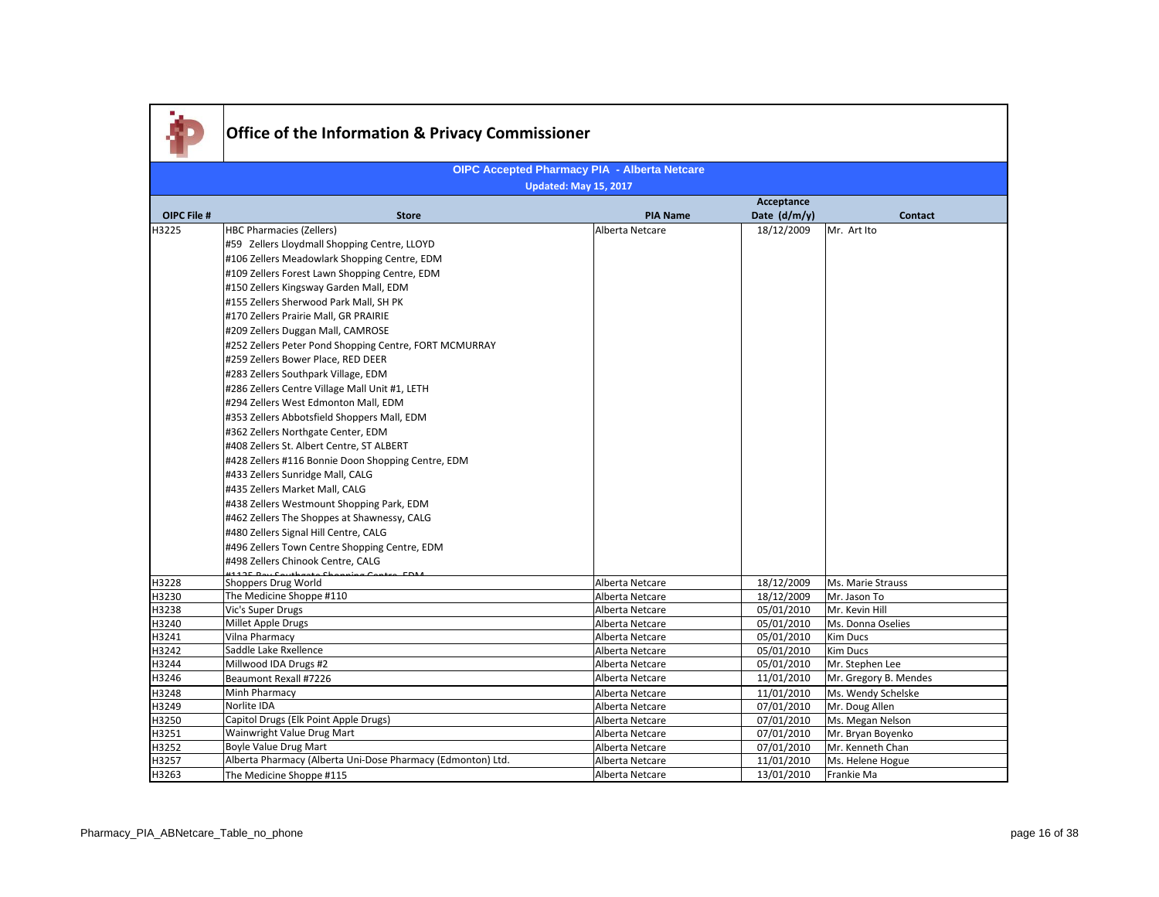|                    | Office of the Information & Privacy Commissioner                       |                                                     |                            |                                      |
|--------------------|------------------------------------------------------------------------|-----------------------------------------------------|----------------------------|--------------------------------------|
|                    |                                                                        | <b>OIPC Accepted Pharmacy PIA - Alberta Netcare</b> |                            |                                      |
|                    |                                                                        | <b>Updated: May 15, 2017</b>                        |                            |                                      |
| <b>OIPC File #</b> | <b>Store</b>                                                           | <b>PIA Name</b>                                     | Acceptance<br>Date (d/m/y) | <b>Contact</b>                       |
| H3225              | <b>HBC Pharmacies (Zellers)</b>                                        | Alberta Netcare                                     | 18/12/2009                 | Mr. Art Ito                          |
|                    | #59 Zellers Lloydmall Shopping Centre, LLOYD                           |                                                     |                            |                                      |
|                    | #106 Zellers Meadowlark Shopping Centre, EDM                           |                                                     |                            |                                      |
|                    | #109 Zellers Forest Lawn Shopping Centre, EDM                          |                                                     |                            |                                      |
|                    | #150 Zellers Kingsway Garden Mall, EDM                                 |                                                     |                            |                                      |
|                    | #155 Zellers Sherwood Park Mall, SH PK                                 |                                                     |                            |                                      |
|                    | #170 Zellers Prairie Mall, GR PRAIRIE                                  |                                                     |                            |                                      |
|                    | #209 Zellers Duggan Mall, CAMROSE                                      |                                                     |                            |                                      |
|                    | #252 Zellers Peter Pond Shopping Centre, FORT MCMURRAY                 |                                                     |                            |                                      |
|                    | #259 Zellers Bower Place, RED DEER                                     |                                                     |                            |                                      |
|                    | #283 Zellers Southpark Village, EDM                                    |                                                     |                            |                                      |
|                    | #286 Zellers Centre Village Mall Unit #1, LETH                         |                                                     |                            |                                      |
|                    | #294 Zellers West Edmonton Mall, EDM                                   |                                                     |                            |                                      |
|                    | #353 Zellers Abbotsfield Shoppers Mall, EDM                            |                                                     |                            |                                      |
|                    | #362 Zellers Northgate Center, EDM                                     |                                                     |                            |                                      |
|                    | #408 Zellers St. Albert Centre, ST ALBERT                              |                                                     |                            |                                      |
|                    | #428 Zellers #116 Bonnie Doon Shopping Centre, EDM                     |                                                     |                            |                                      |
|                    | #433 Zellers Sunridge Mall, CALG                                       |                                                     |                            |                                      |
|                    | #435 Zellers Market Mall, CALG                                         |                                                     |                            |                                      |
|                    | #438 Zellers Westmount Shopping Park, EDM                              |                                                     |                            |                                      |
|                    | #462 Zellers The Shoppes at Shawnessy, CALG                            |                                                     |                            |                                      |
|                    | #480 Zellers Signal Hill Centre, CALG                                  |                                                     |                            |                                      |
|                    | #496 Zellers Town Centre Shopping Centre, EDM                          |                                                     |                            |                                      |
|                    | #498 Zellers Chinook Centre, CALG<br>1449F Barr Cardbooks Chappens Cap |                                                     |                            |                                      |
| H3228              | Shoppers Drug World                                                    | Alberta Netcare                                     | 18/12/2009                 | Ms. Marie Strauss                    |
| H3230              | The Medicine Shoppe #110                                               | Alberta Netcare                                     | 18/12/2009                 | Mr. Jason To                         |
| H3238              | Vic's Super Drugs                                                      | Alberta Netcare                                     | 05/01/2010                 | Mr. Kevin Hill                       |
| H3240              | Millet Apple Drugs                                                     | Alberta Netcare                                     | 05/01/2010                 | Ms. Donna Oselies                    |
| H3241              | Vilna Pharmacy                                                         | Alberta Netcare                                     | 05/01/2010                 | Kim Ducs                             |
| H3242              | Saddle Lake Rxellence                                                  | Alberta Netcare                                     | 05/01/2010                 | Kim Ducs                             |
| H3244<br>H3246     | Millwood IDA Drugs #2                                                  | Alberta Netcare<br>Alberta Netcare                  | 05/01/2010<br>11/01/2010   | Mr. Stephen Lee                      |
|                    | Beaumont Rexall #7226<br>Minh Pharmacy                                 |                                                     |                            | Mr. Gregory B. Mendes                |
| H3248<br>H3249     | Norlite IDA                                                            | Alberta Netcare<br>Alberta Netcare                  | 11/01/2010<br>07/01/2010   | Ms. Wendy Schelske<br>Mr. Doug Allen |
| H3250              | Capitol Drugs (Elk Point Apple Drugs)                                  | Alberta Netcare                                     | 07/01/2010                 | Ms. Megan Nelson                     |
| H3251              | Wainwright Value Drug Mart                                             | Alberta Netcare                                     | 07/01/2010                 | Mr. Bryan Boyenko                    |
| H3252              | Boyle Value Drug Mart                                                  | Alberta Netcare                                     | 07/01/2010                 | Mr. Kenneth Chan                     |
| H3257              | Alberta Pharmacy (Alberta Uni-Dose Pharmacy (Edmonton) Ltd.            | Alberta Netcare                                     | 11/01/2010                 | Ms. Helene Hogue                     |
| H3263              | The Medicine Shoppe #115                                               | Alberta Netcare                                     | 13/01/2010                 | Frankie Ma                           |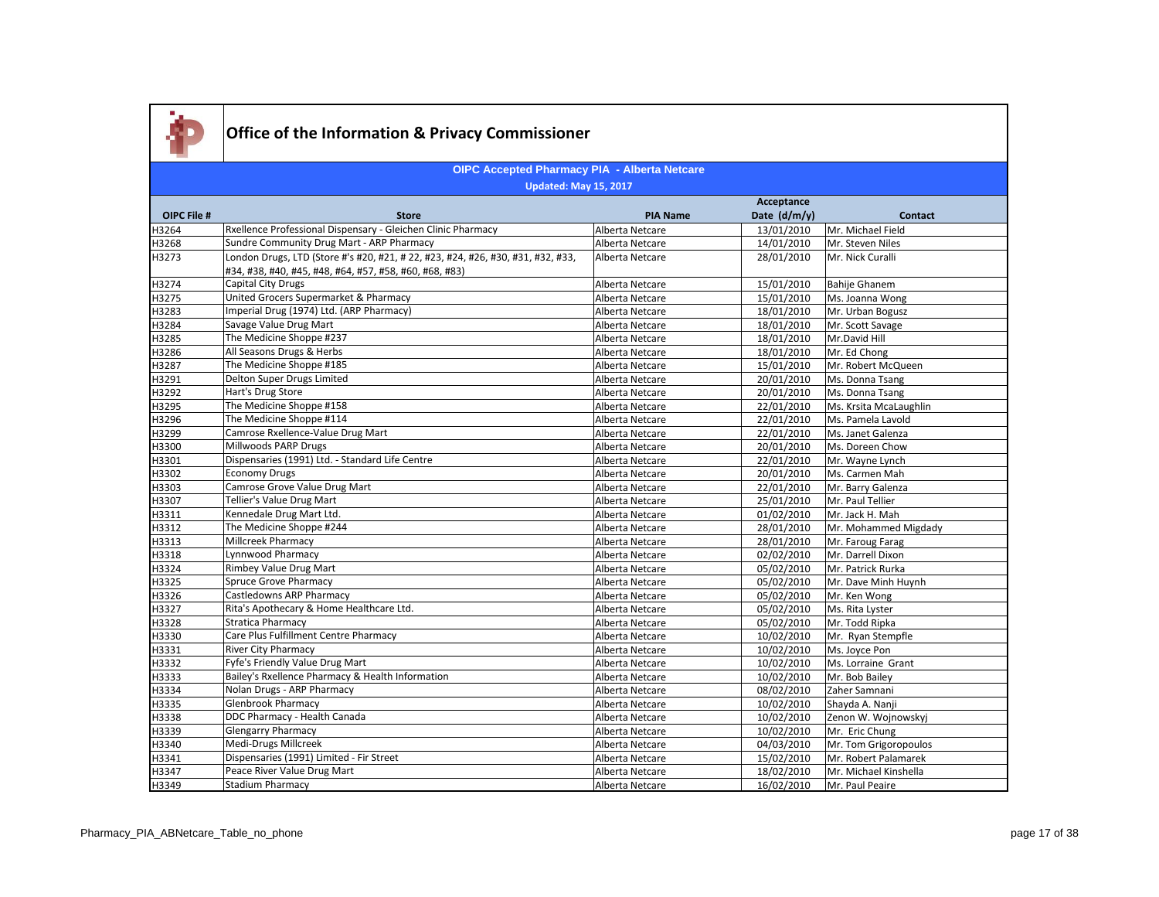

#### **OIPC File # Store PIA Name Acceptance Date (d/m/y) Contact OIPC Accepted Pharmacy PIA - Alberta Netcare Updated: May 15, 2017** H3264 Rxellence Professional Dispensary - Gleichen Clinic Pharmacy Alberta Netcare 13/01/2010 Mr. Michael Field<br>H3268 Sundre Community Drug Mart - ARP Pharmacy Alberta Netcare 14/01/2010 Mr. Steven Niles Sundre Community Drug Mart - ARP Pharmacy **Alberta Netcare** Alberta Netcare 14/01/2010 Mr. Steven Niles H3273 London Drugs, LTD (Store #'s #20, #21, # 22, #23, #24, #26, #30, #31, #32, #33, #34, #38, #40, #45, #48, #64, #57, #58, #60, #68, #83) Alberta Netcare 28/01/2010 Mr. Nick Curalli H3274 Capital City Drugs Capital City Drugs Alberta Netcare 25/01/2010 Bahije Ghanem H2275 United Grocers Supermarket & Pharmacy Alberta Netcare 15/01/2010 Ms. Joanna Wong<br>Alberta Netcare 13/01/2010 Mr. Urban Bogusz (1974) Ltd. (ARP Pharmacy) Alberta Netcare 18/01/2010 Mr. Urban Bogusz H3283 Imperial Drug (1974) Ltd. (ARP Pharmacy) Alberta Netcare 18/01/2010 Mr. Urban Bogusz H3284 Savage Value Drug Mart **Alberta Netcare** 18/01/2010 Mr. Scott Savage H3285 The Medicine Shoppe #237 **Alberta Netcare** 28/01/2010 Mr.David Hill Hill Alberta Netcare 2012 18/01/2010 Mr.David Hill Material Netcare All Seasons Drugs & Herbs Alberta Netcare Alberta Netcare and Music and Alberta Netcare and Alberta Netcare and Alberta Netcare and Alberta Netcare and Alberta Netcare and Alberta Netcare and Alberta Netca H3287 The Medicine Shoppe #185 Alberta Netcare 15/01/2010 H3291 Delton Super Drugs Limited Netcare Alberta Netcare 20/01/2010 Ms. Donna Tsang<br>H3292 Hart's Drug Store 20/01/2010 Ms. Donna Tsang H3292 Hart's Drug Store **Alberta Netcare** Alberta Netcare 20/01/2010 Ms. Donna Tsang H3295 The Medicine Shoppe #158 **Alberta Netcare** Alberta Netcare **22/01/2010** Ms. Krsita McaLaughlin H3296 The Medicine Shoppe #114 The Medicine Shoppe #114 Alberta Netcare 22/01/2010 Ms. Pamela Lavold H3299 Camrose Rxellence-Value Drug Mart Natural Alberta Netcare 22/01/2010 Ms. Janet Galenza<br>H3300 Millwoods PARP Drugs Changes Alberta Netcare 20/01/2010 Ms. Doreen Chow Millwoods PARP Drugs **Alberta Netcare** 2013 Ms. Doreen Chow Millwoods PARP Drugs Alberta Netcare H3301 Dispensaries (1991) Ltd. - Standard Life Centre Alberta Netcare Alberta Netcare 22/01/2010 Mr. Wayne Lynch H3302 Economy Drugs **Alberta Netcare** 20/01/2010 Ms. Carmen Mah H3303 Camrose Grove Value Drug Mart Natural Alberta Netcare 22/01/2010 Mr. Barry Galenza<br>H3307 Tellier's Value Drug Mart Alberta Netcare 25/01/2010 Mr. Paul Tellier H3307 Tellier's Value Drug Mart Alberta Netcare 25/01/2010 Mr. Paul Tellier H3311 Kennedale Drug Mart Ltd. Alberta Netcare Alberta Netcare 1992/2010 Mr. Jack H. Mah H3312 The Medicine Shoppe #244 **Alberta Netcare** 28/01/2010 Mr. Mohammed Migdady H3313 Millcreek Pharmacy **Millcreek Pharmacy** Alberta Netcare 28/01/2010 Mr. Faroug Farag H3318 |Lynnwood Pharmacy | Communication Communication | Alberta Netcare | 02/02/2010 |Mr. Darrell Dixon H3324 Rimbey Value Drug Mart Netcare Alberta Netcare 05/02/2010 Mr. Patrick Rurka<br>H3325 Spruce Grove Pharmacy Alberta Netcare Alberta Netcare 05/02/2010 Mr. Dave Minh Hu Alberta Netcare 1983 Contract Communication Contract Alberta Netcare 105/02/2010 Mr. Dave Minh Huynh H3326 Castledowns ARP Pharmacy **Alberta Netcare** Alberta Netcare **Alberta Netcare** (GS/02/2010 Mr. Ken Wong H3327 Rita's Apothecary & Home Healthcare Ltd. Alberta Netcare Alberta Netcare 195/02/2010 Ms. Rita Lyster H3328 Stratica Pharmacy Stratica Pharmacy Stratica Pharmacy Alberta Netcare 2012 Alberta Netcare 35/02/2010 Mr. Todd Ripka H3330 Care Plus Fulfillment Centre Pharmacy Care and Care and Alberta Netcare and Alberta Netcare and Care and Mr. Ryan Stempfle and Richards (Alberta Netcare and Alberta Netcare and Alberta Netcare and Alberta Netcare and H3331 River City Pharmacy River City Pharmacy Alberta Netcare 2012 10/02/2010 Ms. Joyce Pon H3332 Fyfe's Friendly Value Drug Mart Alberta Netcare 10/02/2010 Ms. Lorraine Grant H3333 Bailey's Rxellence Pharmacy & Health Information Alberta Netcare 10/02/2010 Mr. Bob Bailey H3334 Nolan Drugs - ARP Pharmacy Nolan Drugs - ARP Pharmacy Nolan Are Communication Communication Communicatio<br>H3335 Glenbrook Pharmacy National Alberta Netcare 10/02/2010 Shayda A. Nanj H3335 Glenbrook Pharmacy Alberta Netcare 10/02/2010 Shayda A. Nanji H3338 DDC Pharmacy - Health Canada Netcare Alberta Netcare 2010/02/2010 Zenon W. Wojnowskyj<br>H3339 Glengarry Pharmacy Alberta Netcare 2010/02/2010 Mr. Eric Chung H3339 Glengarry Pharmacy **Contracts and Contracts Contracts and Contracts** Alberta Netcare 10/02/2010 Mr. Eric Chung H3340 Medi-Drugs Millcreek Alberta Netcare 04/03/2010 Mr. Tom Grigoropoulos H2341 Dispensaries (1991) Limited - Fir Street Alberta Netcare Alberta Netcare 15/02/2010 Mr. Robert Palamarek<br>H2347 Peace River Value Drug Mart Alberta Netcare Alberta Netcare 18/02/2010 Mr. Michael Kinshella H3347 Peace River Value Drug Mart Alberta Netcare 18/02/2010<br>H3349 Stadium Pharmacy Alberta Netcare 16/02/2010 16/02/2010 Mr. Paul Peaire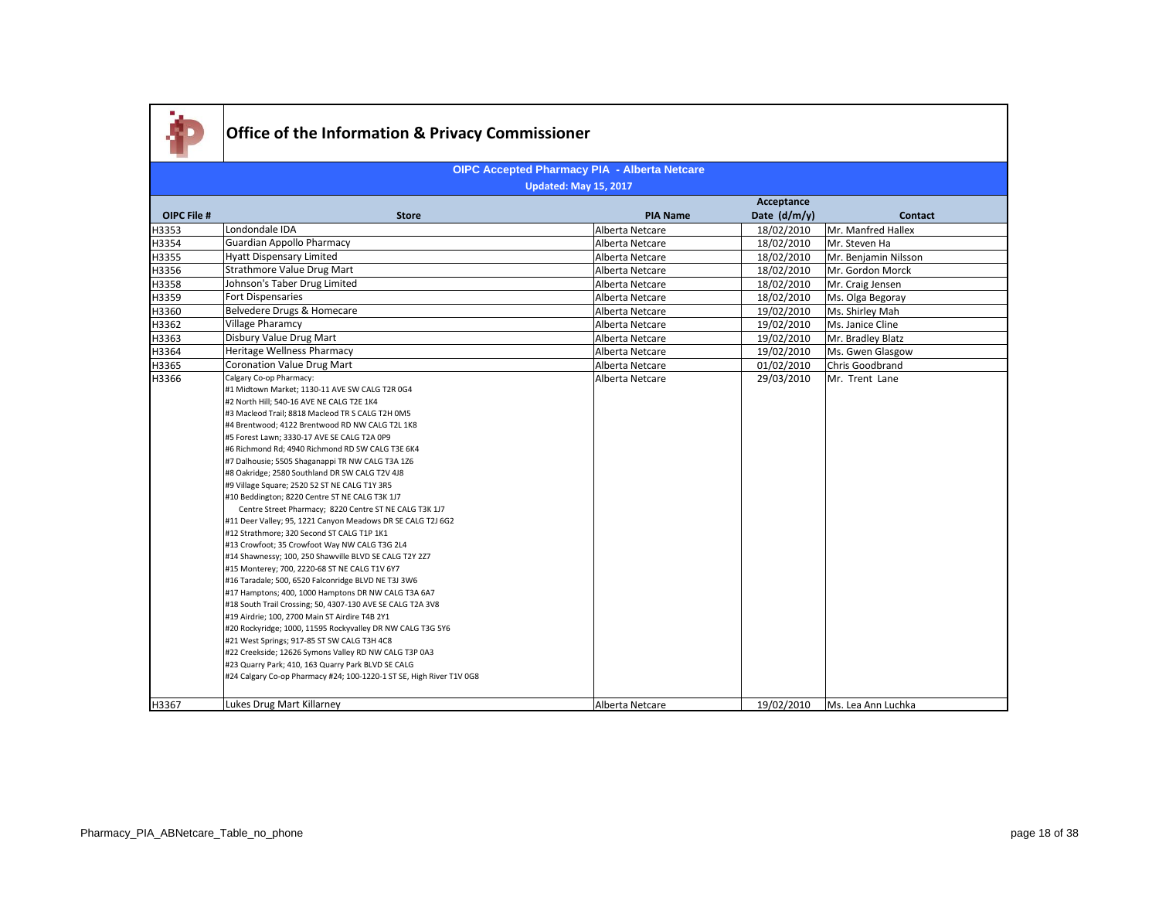

#### **OIPC File # Store PIA Name Acceptance Date (d/m/y) Contact OIPC Accepted Pharmacy PIA - Alberta Netcare Updated: May 15, 2017** H3353 Londondale IDA Alberta Netcare 2012 | Alberta Netcare 2012/2010 Mr. Manfred Hallex H3354 Guardian Appollo Pharmacy **Alberta Netcare** 18/02/2010 Mr. Steven Ha H3355 Hyatt Dispensary Limited Alberta Netcare 18/02/2010 Mr. Benjamin Nilsson H3356 Strathmore Value Drug Mart Alberta Netcare 2012 | Alberta Netcare 18/02/2010 Mr. Gordon Morck H3358 Johnson's Taber Drug Limited Netcare Alberta Netcare 18/02/2010 Mr. Craig Jensen Alberta Netcare 18/02/2010 Mr. Craig Jensen Alberta Netcare 18/02/2010 Ms. Olga Begora H3359 Fort Dispensaries **Fort Dispensaries** Alberta Netcare 18/02/2010 Ms. Olga Begoray H3360 Belvedere Drugs & Homecare National Alberta Netcare 19/02/2010 Ms. Shirley Mah (19/02/2010 Ms. Shirley Mah (19/02/2010 Ms. Janice Cline) H3362 | Village Pharamcy | Niterior Communication | Alberta Netcare | 19/02/2010 | Ms. Janice Cline H3363 Disbury Value Drug Mart Alberta Netcare 2012 | 19/02/2010 Mr. Bradley Blatz H2364 Heritage Wellness Pharmacy National Communication of Alberta Netcare 201/02/2010 Ms. Gwen Glasgow H2365 Coronation Value Drug Mart (19/02/2010 Ms. Gwen Glasgow Alberta Netcare 201/02/2010 Chris Goodbrand H3365 Coronation Value Drug Mart<br>H3366 Calgary Co-op Pharmacy: Calgary Co-op Pharmacy: #1 Midtown Market; 1130-11 AVE SW CALG T2R 0G4 #2 North Hill: 540-16 AVE NE CALG T2E 1K4 #3 Macleod Trail; 8818 Macleod TR S CALG T2H 0M5 #4 Brentwood; 4122 Brentwood RD NW CALG T2L 1K8 #5 Forest Lawn; 3330-17 AVE SE CALG T2A 0P9 #6 Richmond Rd; 4940 Richmond RD SW CALG T3E 6K4 #7 Dalhousie; 5505 Shaganappi TR NW CALG T3A 1Z6 #8 Oakridge; 2580 Southland DR SW CALG T2V 4J8 #9 Village Square; 2520 52 ST NE CALG T1Y 3R5 #10 Beddington; 8220 Centre ST NE CALG T3K 1J7 Centre Street Pharmacy; 8220 Centre ST NE CALG T3K 1J7 #11 Deer Valley; 95, 1221 Canyon Meadows DR SE CALG T2J 6G2 #12 Strathmore; 320 Second ST CALG T1P 1K1 #13 Crowfoot; 35 Crowfoot Way NW CALG T3G 2L4 #14 Shawnessy; 100, 250 Shawville BLVD SE CALG T2Y 2Z7 #15 Monterey; 700, 2220-68 ST NE CALG T1V 6Y7 #16 Taradale; 500, 6520 Falconridge BLVD NE T3J 3W6 #17 Hamptons; 400, 1000 Hamptons DR NW CALG T3A 6A7 #18 South Trail Crossing; 50, 4307-130 AVE SE CALG T2A 3V8 #19 Airdrie; 100, 2700 Main ST Airdire T4B 2Y1 #20 Rockyridge; 1000, 11595 Rockyvalley DR NW CALG T3G 5Y6 #21 West Springs; 917-85 ST SW CALG T3H 4C8 #22 Creekside; 12626 Symons Valley RD NW CALG T3P 0A3 #23 Quarry Park; 410, 163 Quarry Park BLVD SE CALG #24 Calgary Co-op Pharmacy #24; 100-1220-1 ST SE, High River T1V 0G8 Alberta Netcare 29/03/2010 Mr. Trent Lane H3367 Lukes Drug Mart Killarney National Alberta Netcare 2012 | Alberta Netcare 2013 | 19/02/2010 Ms. Lea Ann Luchka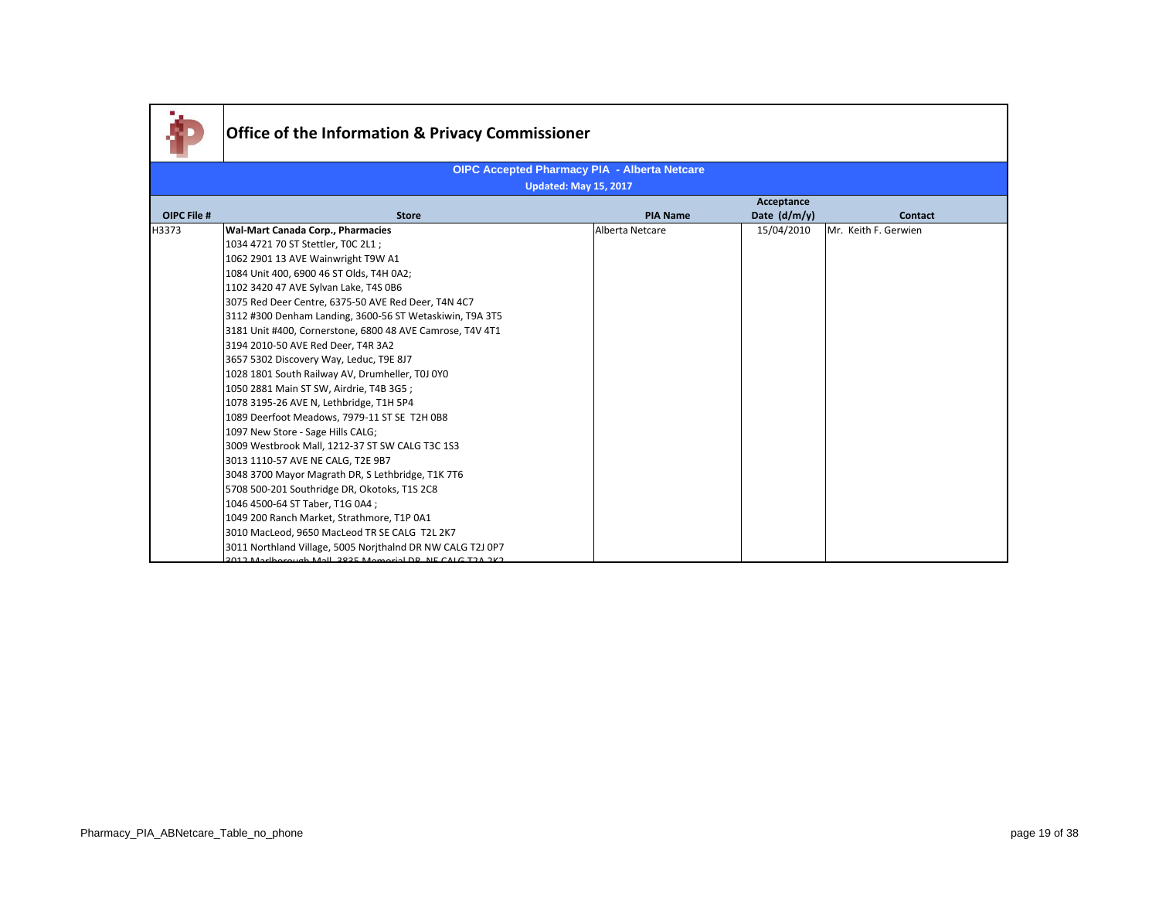|             | <b>Office of the Information &amp; Privacy Commissioner</b> |                                                     |                |                      |
|-------------|-------------------------------------------------------------|-----------------------------------------------------|----------------|----------------------|
|             |                                                             | <b>OIPC Accepted Pharmacy PIA - Alberta Netcare</b> |                |                      |
|             |                                                             | <b>Updated: May 15, 2017</b>                        |                |                      |
|             |                                                             |                                                     | Acceptance     |                      |
| OIPC File # | <b>Store</b>                                                | <b>PIA Name</b>                                     | Date $(d/m/y)$ | <b>Contact</b>       |
| H3373       | Wal-Mart Canada Corp., Pharmacies                           | Alberta Netcare                                     | 15/04/2010     | Mr. Keith F. Gerwien |
|             | 1034 4721 70 ST Stettler, TOC 2L1 ;                         |                                                     |                |                      |
|             | 1062 2901 13 AVE Wainwright T9W A1                          |                                                     |                |                      |
|             | 1084 Unit 400, 6900 46 ST Olds, T4H 0A2;                    |                                                     |                |                      |
|             | 1102 3420 47 AVE Sylvan Lake, T4S 0B6                       |                                                     |                |                      |
|             | 3075 Red Deer Centre, 6375-50 AVE Red Deer, T4N 4C7         |                                                     |                |                      |
|             | 3112 #300 Denham Landing, 3600-56 ST Wetaskiwin, T9A 3T5    |                                                     |                |                      |
|             | 3181 Unit #400, Cornerstone, 6800 48 AVE Camrose, T4V 4T1   |                                                     |                |                      |
|             | 3194 2010-50 AVE Red Deer, T4R 3A2                          |                                                     |                |                      |
|             | 3657 5302 Discovery Way, Leduc, T9E 8J7                     |                                                     |                |                      |
|             | 1028 1801 South Railway AV, Drumheller, T0J 0Y0             |                                                     |                |                      |
|             | 1050 2881 Main ST SW, Airdrie, T4B 3G5;                     |                                                     |                |                      |
|             | 1078 3195-26 AVE N, Lethbridge, T1H 5P4                     |                                                     |                |                      |
|             | 1089 Deerfoot Meadows, 7979-11 ST SE T2H 0B8                |                                                     |                |                      |
|             | 1097 New Store - Sage Hills CALG;                           |                                                     |                |                      |
|             | 3009 Westbrook Mall, 1212-37 ST SW CALG T3C 1S3             |                                                     |                |                      |
|             | 3013 1110-57 AVE NE CALG, T2E 9B7                           |                                                     |                |                      |
|             | 3048 3700 Mayor Magrath DR, S Lethbridge, T1K 7T6           |                                                     |                |                      |
|             | 5708 500-201 Southridge DR, Okotoks, T1S 2C8                |                                                     |                |                      |
|             | 1046 4500-64 ST Taber, T1G 0A4 ;                            |                                                     |                |                      |
|             | 1049 200 Ranch Market, Strathmore, T1P 0A1                  |                                                     |                |                      |
|             | 3010 MacLeod, 9650 MacLeod TR SE CALG T2L 2K7               |                                                     |                |                      |
|             | 3011 Northland Village, 5005 Norjthalnd DR NW CALG T2J 0P7  |                                                     |                |                      |
|             | 2012 Markarayah Mall 2025 Memorial DD NE CALC T2A 2K2       |                                                     |                |                      |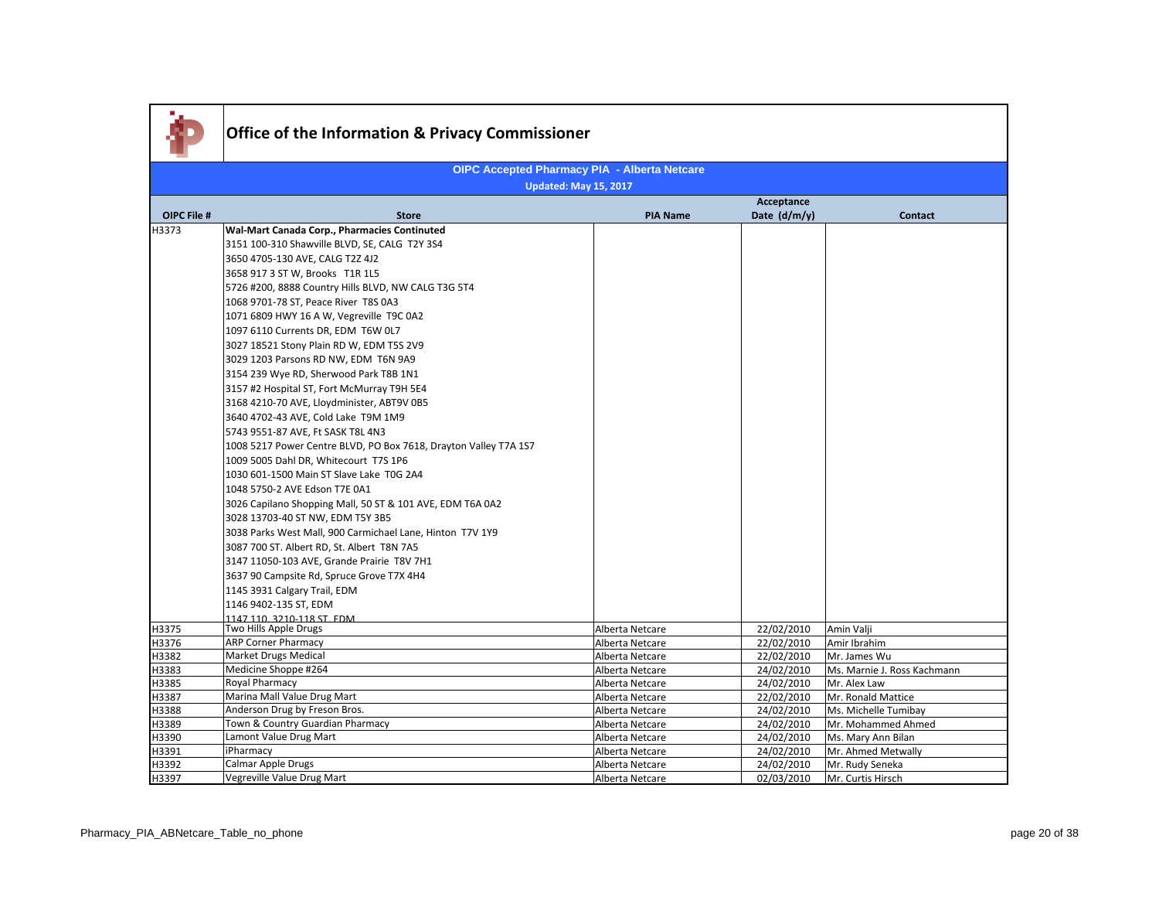|                    | <b>Office of the Information &amp; Privacy Commissioner</b>      |                              |              |                             |  |  |
|--------------------|------------------------------------------------------------------|------------------------------|--------------|-----------------------------|--|--|
|                    | <b>OIPC Accepted Pharmacy PIA - Alberta Netcare</b>              |                              |              |                             |  |  |
|                    |                                                                  | <b>Updated: May 15, 2017</b> | Acceptance   |                             |  |  |
| <b>OIPC File #</b> | <b>Store</b>                                                     | <b>PIA Name</b>              | Date (d/m/y) | <b>Contact</b>              |  |  |
| H3373              | Wal-Mart Canada Corp., Pharmacies Continuted                     |                              |              |                             |  |  |
|                    | 3151 100-310 Shawville BLVD, SE, CALG T2Y 3S4                    |                              |              |                             |  |  |
|                    | 3650 4705-130 AVE, CALG T2Z 4J2                                  |                              |              |                             |  |  |
|                    | 3658 917 3 ST W, Brooks T1R 1L5                                  |                              |              |                             |  |  |
|                    | 5726 #200, 8888 Country Hills BLVD, NW CALG T3G 5T4              |                              |              |                             |  |  |
|                    | 1068 9701-78 ST, Peace River T8S 0A3                             |                              |              |                             |  |  |
|                    | 1071 6809 HWY 16 A W, Vegreville T9C 0A2                         |                              |              |                             |  |  |
|                    | 1097 6110 Currents DR, EDM T6W 0L7                               |                              |              |                             |  |  |
|                    | 3027 18521 Stony Plain RD W, EDM T5S 2V9                         |                              |              |                             |  |  |
|                    | 3029 1203 Parsons RD NW, EDM T6N 9A9                             |                              |              |                             |  |  |
|                    | 3154 239 Wye RD, Sherwood Park T8B 1N1                           |                              |              |                             |  |  |
|                    | 3157 #2 Hospital ST, Fort McMurray T9H 5E4                       |                              |              |                             |  |  |
|                    | 3168 4210-70 AVE, Lloydminister, ABT9V 0B5                       |                              |              |                             |  |  |
|                    | 3640 4702-43 AVE, Cold Lake T9M 1M9                              |                              |              |                             |  |  |
|                    | 5743 9551-87 AVE, Ft SASK T8L 4N3                                |                              |              |                             |  |  |
|                    | 1008 5217 Power Centre BLVD, PO Box 7618, Drayton Valley T7A 1S7 |                              |              |                             |  |  |
|                    | 1009 5005 Dahl DR, Whitecourt T7S 1P6                            |                              |              |                             |  |  |
|                    | 1030 601-1500 Main ST Slave Lake T0G 2A4                         |                              |              |                             |  |  |
|                    | 1048 5750-2 AVE Edson T7E 0A1                                    |                              |              |                             |  |  |
|                    | 3026 Capilano Shopping Mall, 50 ST & 101 AVE, EDM T6A 0A2        |                              |              |                             |  |  |
|                    | 3028 13703-40 ST NW, EDM T5Y 3B5                                 |                              |              |                             |  |  |
|                    | 3038 Parks West Mall, 900 Carmichael Lane, Hinton T7V 1Y9        |                              |              |                             |  |  |
|                    | 3087 700 ST. Albert RD, St. Albert T8N 7A5                       |                              |              |                             |  |  |
|                    | 3147 11050-103 AVE, Grande Prairie T8V 7H1                       |                              |              |                             |  |  |
|                    | 3637 90 Campsite Rd, Spruce Grove T7X 4H4                        |                              |              |                             |  |  |
|                    | 1145 3931 Calgary Trail, EDM                                     |                              |              |                             |  |  |
|                    | 1146 9402-135 ST, EDM                                            |                              |              |                             |  |  |
|                    | 1147 110, 3210-118 ST, EDM                                       |                              |              |                             |  |  |
| H3375              | Two Hills Apple Drugs                                            | Alberta Netcare              | 22/02/2010   | Amin Valji                  |  |  |
| H3376              | <b>ARP Corner Pharmacy</b>                                       | Alberta Netcare              | 22/02/2010   | Amir Ibrahim                |  |  |
| H3382              | <b>Market Drugs Medical</b>                                      | Alberta Netcare              | 22/02/2010   | Mr. James Wu                |  |  |
| H3383              | Medicine Shoppe #264                                             | Alberta Netcare              | 24/02/2010   | Ms. Marnie J. Ross Kachmann |  |  |
| H3385              | Royal Pharmacy                                                   | Alberta Netcare              | 24/02/2010   | Mr. Alex Law                |  |  |
| H3387              | Marina Mall Value Drug Mart                                      | Alberta Netcare              | 22/02/2010   | Mr. Ronald Mattice          |  |  |
| H3388              | Anderson Drug by Freson Bros.                                    | Alberta Netcare              | 24/02/2010   | Ms. Michelle Tumibay        |  |  |
| H3389              | Town & Country Guardian Pharmacy                                 | Alberta Netcare              | 24/02/2010   | Mr. Mohammed Ahmed          |  |  |
| H3390              | Lamont Value Drug Mart                                           | Alberta Netcare              | 24/02/2010   | Ms. Mary Ann Bilan          |  |  |
| H3391              | iPharmacy                                                        | Alberta Netcare              | 24/02/2010   | Mr. Ahmed Metwally          |  |  |
| H3392              | Calmar Apple Drugs                                               | Alberta Netcare              | 24/02/2010   | Mr. Rudy Seneka             |  |  |
| H3397              | Vegreville Value Drug Mart                                       | Alberta Netcare              | 02/03/2010   | Mr. Curtis Hirsch           |  |  |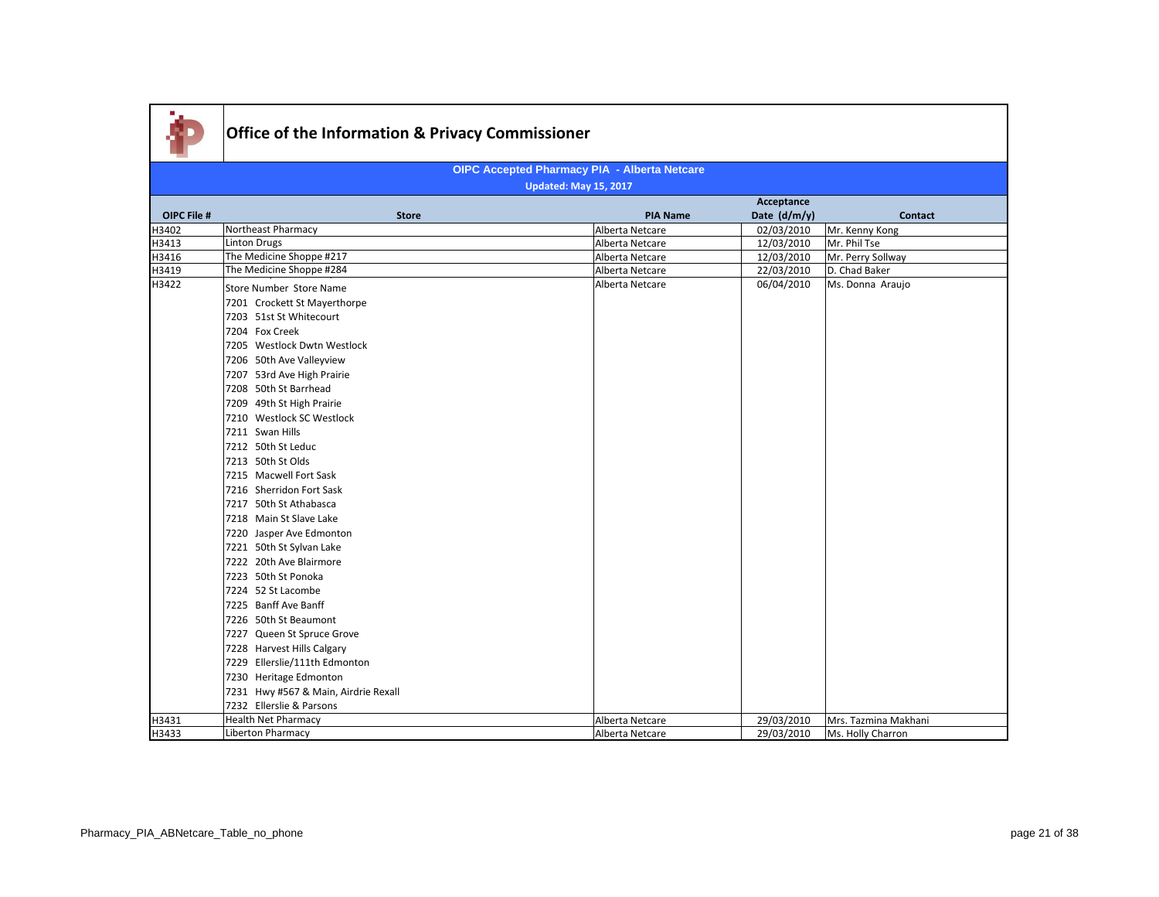|             |                                      |                 | Acceptance   |                      |
|-------------|--------------------------------------|-----------------|--------------|----------------------|
| OIPC File # | <b>Store</b>                         | <b>PIA Name</b> | Date (d/m/y) | <b>Contact</b>       |
| H3402       | Northeast Pharmacy                   | Alberta Netcare | 02/03/2010   | Mr. Kenny Kong       |
| H3413       | <b>Linton Drugs</b>                  | Alberta Netcare | 12/03/2010   | Mr. Phil Tse         |
| H3416       | The Medicine Shoppe #217             | Alberta Netcare | 12/03/2010   | Mr. Perry Sollway    |
| H3419       | The Medicine Shoppe #284             | Alberta Netcare | 22/03/2010   | D. Chad Baker        |
| H3422       | Store Number Store Name              | Alberta Netcare | 06/04/2010   | Ms. Donna Araujo     |
|             | 7201 Crockett St Mayerthorpe         |                 |              |                      |
|             | 7203 51st St Whitecourt              |                 |              |                      |
|             | 7204 Fox Creek                       |                 |              |                      |
|             | 7205 Westlock Dwtn Westlock          |                 |              |                      |
|             | 7206 50th Ave Valleyview             |                 |              |                      |
|             | 7207 53rd Ave High Prairie           |                 |              |                      |
|             | 7208 50th St Barrhead                |                 |              |                      |
|             | 7209 49th St High Prairie            |                 |              |                      |
|             | 7210 Westlock SC Westlock            |                 |              |                      |
|             | 7211 Swan Hills                      |                 |              |                      |
|             | 7212 50th St Leduc                   |                 |              |                      |
|             | 7213 50th St Olds                    |                 |              |                      |
|             | 7215 Macwell Fort Sask               |                 |              |                      |
|             | 7216 Sherridon Fort Sask             |                 |              |                      |
|             | 7217 50th St Athabasca               |                 |              |                      |
|             | 7218 Main St Slave Lake              |                 |              |                      |
|             | 7220 Jasper Ave Edmonton             |                 |              |                      |
|             | 7221 50th St Sylvan Lake             |                 |              |                      |
|             | 7222 20th Ave Blairmore              |                 |              |                      |
|             | 7223 50th St Ponoka                  |                 |              |                      |
|             | 7224 52 St Lacombe                   |                 |              |                      |
|             | 7225 Banff Ave Banff                 |                 |              |                      |
|             | 7226 50th St Beaumont                |                 |              |                      |
|             | 7227 Queen St Spruce Grove           |                 |              |                      |
|             | 7228 Harvest Hills Calgary           |                 |              |                      |
|             | 7229 Ellerslie/111th Edmonton        |                 |              |                      |
|             | 7230 Heritage Edmonton               |                 |              |                      |
|             | 7231 Hwy #567 & Main, Airdrie Rexall |                 |              |                      |
|             | 7232 Ellerslie & Parsons             |                 |              |                      |
| H3431       | <b>Health Net Pharmacy</b>           | Alberta Netcare | 29/03/2010   | Mrs. Tazmina Makhani |
| H3433       | Liberton Pharmacy                    | Alberta Netcare | 29/03/2010   | Ms. Holly Charron    |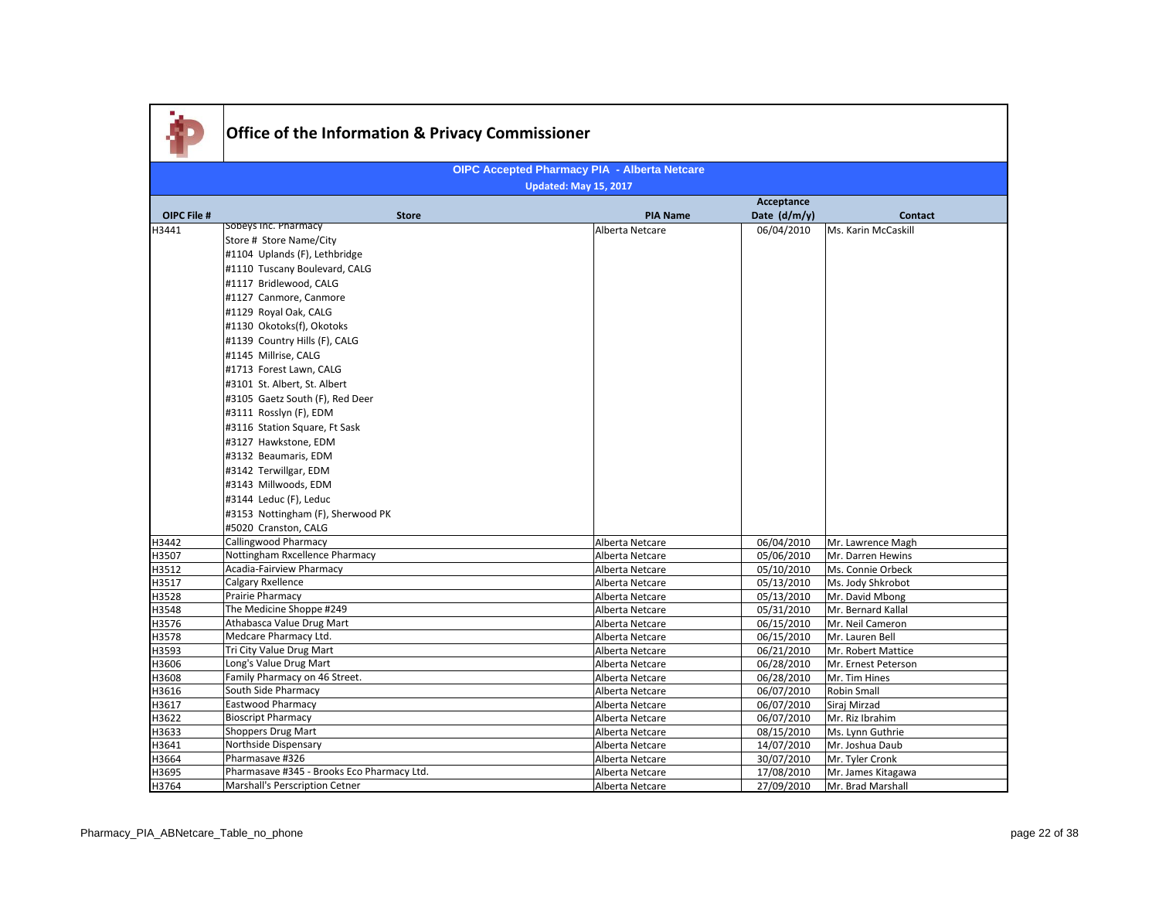|             | <b>Office of the Information &amp; Privacy Commissioner</b>                                                                                                                                                                                                                                                                                                                                                                                                                                                                                                                                                                           |                                                     |                 |              |                     |
|-------------|---------------------------------------------------------------------------------------------------------------------------------------------------------------------------------------------------------------------------------------------------------------------------------------------------------------------------------------------------------------------------------------------------------------------------------------------------------------------------------------------------------------------------------------------------------------------------------------------------------------------------------------|-----------------------------------------------------|-----------------|--------------|---------------------|
|             |                                                                                                                                                                                                                                                                                                                                                                                                                                                                                                                                                                                                                                       |                                                     |                 |              |                     |
|             |                                                                                                                                                                                                                                                                                                                                                                                                                                                                                                                                                                                                                                       | <b>OIPC Accepted Pharmacy PIA - Alberta Netcare</b> |                 |              |                     |
|             |                                                                                                                                                                                                                                                                                                                                                                                                                                                                                                                                                                                                                                       | <b>Updated: May 15, 2017</b>                        |                 |              |                     |
|             |                                                                                                                                                                                                                                                                                                                                                                                                                                                                                                                                                                                                                                       |                                                     |                 | Acceptance   |                     |
| OIPC File # | <b>Store</b>                                                                                                                                                                                                                                                                                                                                                                                                                                                                                                                                                                                                                          |                                                     | <b>PIA Name</b> | Date (d/m/y) | <b>Contact</b>      |
| H3441       | Sobeys Inc. Pharmacy<br>Store # Store Name/City<br>#1104 Uplands (F), Lethbridge<br>#1110 Tuscany Boulevard, CALG<br>#1117 Bridlewood, CALG<br>#1127 Canmore, Canmore<br>#1129 Royal Oak, CALG<br>#1130 Okotoks(f), Okotoks<br>#1139 Country Hills (F), CALG<br>#1145 Millrise, CALG<br>#1713 Forest Lawn, CALG<br>#3101 St. Albert, St. Albert<br>#3105 Gaetz South (F), Red Deer<br>#3111 Rosslyn (F), EDM<br>#3116 Station Square, Ft Sask<br>#3127 Hawkstone, EDM<br>#3132 Beaumaris, EDM<br>#3142 Terwillgar, EDM<br>#3143 Millwoods, EDM<br>#3144 Leduc (F), Leduc<br>#3153 Nottingham (F), Sherwood PK<br>#5020 Cranston, CALG |                                                     | Alberta Netcare | 06/04/2010   | Ms. Karin McCaskill |
| H3442       | Callingwood Pharmacy                                                                                                                                                                                                                                                                                                                                                                                                                                                                                                                                                                                                                  |                                                     | Alberta Netcare | 06/04/2010   | Mr. Lawrence Magh   |
| H3507       | Nottingham Rxcellence Pharmacy                                                                                                                                                                                                                                                                                                                                                                                                                                                                                                                                                                                                        |                                                     | Alberta Netcare | 05/06/2010   | Mr. Darren Hewins   |
| H3512       | Acadia-Fairview Pharmacy                                                                                                                                                                                                                                                                                                                                                                                                                                                                                                                                                                                                              |                                                     | Alberta Netcare | 05/10/2010   | Ms. Connie Orbeck   |
| H3517       | Calgary Rxellence                                                                                                                                                                                                                                                                                                                                                                                                                                                                                                                                                                                                                     |                                                     | Alberta Netcare | 05/13/2010   | Ms. Jody Shkrobot   |
| H3528       | Prairie Pharmacy                                                                                                                                                                                                                                                                                                                                                                                                                                                                                                                                                                                                                      |                                                     | Alberta Netcare | 05/13/2010   | Mr. David Mbong     |
| H3548       | The Medicine Shoppe #249                                                                                                                                                                                                                                                                                                                                                                                                                                                                                                                                                                                                              |                                                     | Alberta Netcare | 05/31/2010   | Mr. Bernard Kallal  |
| H3576       | Athabasca Value Drug Mart                                                                                                                                                                                                                                                                                                                                                                                                                                                                                                                                                                                                             |                                                     | Alberta Netcare | 06/15/2010   | Mr. Neil Cameron    |
| H3578       | Medcare Pharmacy Ltd.                                                                                                                                                                                                                                                                                                                                                                                                                                                                                                                                                                                                                 |                                                     | Alberta Netcare | 06/15/2010   | Mr. Lauren Bell     |
| H3593       | Tri City Value Drug Mart                                                                                                                                                                                                                                                                                                                                                                                                                                                                                                                                                                                                              |                                                     | Alberta Netcare | 06/21/2010   | Mr. Robert Mattice  |
| H3606       | Long's Value Drug Mart                                                                                                                                                                                                                                                                                                                                                                                                                                                                                                                                                                                                                |                                                     | Alberta Netcare | 06/28/2010   | Mr. Ernest Peterson |
| H3608       | Family Pharmacy on 46 Street.                                                                                                                                                                                                                                                                                                                                                                                                                                                                                                                                                                                                         |                                                     | Alberta Netcare | 06/28/2010   | Mr. Tim Hines       |
|             | South Side Pharmacy                                                                                                                                                                                                                                                                                                                                                                                                                                                                                                                                                                                                                   |                                                     |                 | 06/07/2010   | Robin Small         |
| H3616       | Eastwood Pharmacy                                                                                                                                                                                                                                                                                                                                                                                                                                                                                                                                                                                                                     |                                                     | Alberta Netcare |              | Siraj Mirzad        |
| H3617       |                                                                                                                                                                                                                                                                                                                                                                                                                                                                                                                                                                                                                                       |                                                     | Alberta Netcare | 06/07/2010   |                     |
| H3622       | <b>Bioscript Pharmacy</b>                                                                                                                                                                                                                                                                                                                                                                                                                                                                                                                                                                                                             |                                                     | Alberta Netcare | 06/07/2010   | Mr. Riz Ibrahim     |
| H3633       | <b>Shoppers Drug Mart</b>                                                                                                                                                                                                                                                                                                                                                                                                                                                                                                                                                                                                             |                                                     | Alberta Netcare | 08/15/2010   | Ms. Lynn Guthrie    |
| H3641       | Northside Dispensary                                                                                                                                                                                                                                                                                                                                                                                                                                                                                                                                                                                                                  |                                                     | Alberta Netcare | 14/07/2010   | Mr. Joshua Daub     |
| H3664       | Pharmasave #326                                                                                                                                                                                                                                                                                                                                                                                                                                                                                                                                                                                                                       |                                                     | Alberta Netcare | 30/07/2010   | Mr. Tyler Cronk     |
| H3695       | Pharmasave #345 - Brooks Eco Pharmacy Ltd.                                                                                                                                                                                                                                                                                                                                                                                                                                                                                                                                                                                            |                                                     | Alberta Netcare | 17/08/2010   | Mr. James Kitagawa  |
| H3764       | Marshall's Perscription Cetner                                                                                                                                                                                                                                                                                                                                                                                                                                                                                                                                                                                                        |                                                     | Alberta Netcare | 27/09/2010   | Mr. Brad Marshall   |

×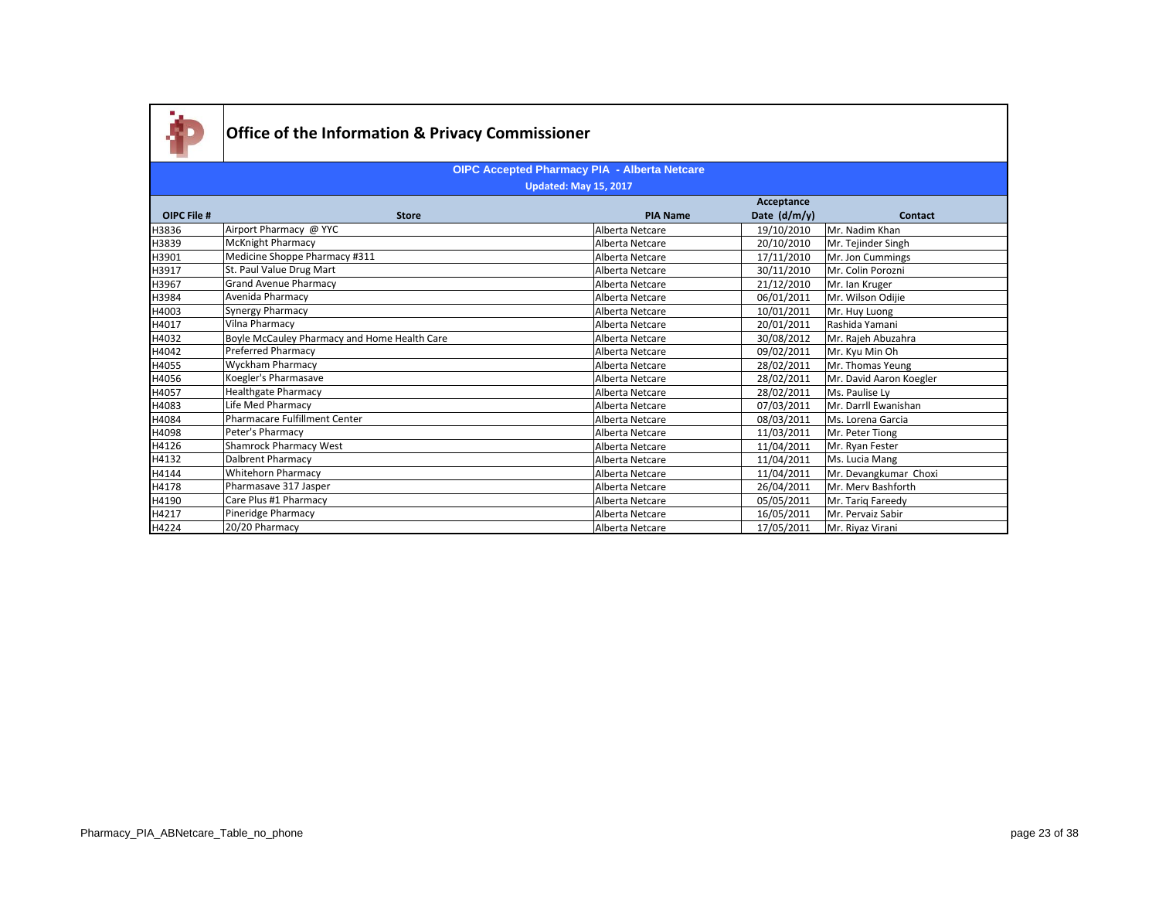

|                    |                                              |                 | Acceptance     |                         |
|--------------------|----------------------------------------------|-----------------|----------------|-------------------------|
| <b>OIPC File #</b> | <b>Store</b>                                 | <b>PIA Name</b> | Date $(d/m/y)$ | <b>Contact</b>          |
| H3836              | Airport Pharmacy @ YYC                       | Alberta Netcare | 19/10/2010     | Mr. Nadim Khan          |
| H3839              | <b>McKnight Pharmacy</b>                     | Alberta Netcare | 20/10/2010     | Mr. Tejinder Singh      |
| H3901              | Medicine Shoppe Pharmacy #311                | Alberta Netcare | 17/11/2010     | Mr. Jon Cummings        |
| H3917              | St. Paul Value Drug Mart                     | Alberta Netcare | 30/11/2010     | Mr. Colin Porozni       |
| H3967              | <b>Grand Avenue Pharmacy</b>                 | Alberta Netcare | 21/12/2010     | Mr. Ian Kruger          |
| H3984              | Avenida Pharmacy                             | Alberta Netcare | 06/01/2011     | Mr. Wilson Odijie       |
| H4003              | Synergy Pharmacy                             | Alberta Netcare | 10/01/2011     | Mr. Huy Luong           |
| H4017              | Vilna Pharmacy                               | Alberta Netcare | 20/01/2011     | Rashida Yamani          |
| H4032              | Boyle McCauley Pharmacy and Home Health Care | Alberta Netcare | 30/08/2012     | Mr. Rajeh Abuzahra      |
| H4042              | Preferred Pharmacy                           | Alberta Netcare | 09/02/2011     | Mr. Kyu Min Oh          |
| H4055              | <b>Wyckham Pharmacy</b>                      | Alberta Netcare | 28/02/2011     | Mr. Thomas Yeung        |
| H4056              | Koegler's Pharmasave                         | Alberta Netcare | 28/02/2011     | Mr. David Aaron Koegler |
| H4057              | Healthgate Pharmacy                          | Alberta Netcare | 28/02/2011     | Ms. Paulise Ly          |
| H4083              | Life Med Pharmacy                            | Alberta Netcare | 07/03/2011     | Mr. Darrll Ewanishan    |
| H4084              | Pharmacare Fulfillment Center                | Alberta Netcare | 08/03/2011     | Ms. Lorena Garcia       |
| H4098              | Peter's Pharmacy                             | Alberta Netcare | 11/03/2011     | Mr. Peter Tiong         |
| H4126              | Shamrock Pharmacy West                       | Alberta Netcare | 11/04/2011     | Mr. Ryan Fester         |
| H4132              | Dalbrent Pharmacy                            | Alberta Netcare | 11/04/2011     | Ms. Lucia Mang          |
| H4144              | Whitehorn Pharmacy                           | Alberta Netcare | 11/04/2011     | Mr. Devangkumar Choxi   |
| H4178              | Pharmasave 317 Jasper                        | Alberta Netcare | 26/04/2011     | Mr. Merv Bashforth      |
| H4190              | Care Plus #1 Pharmacy                        | Alberta Netcare | 05/05/2011     | Mr. Tariq Fareedy       |
| H4217              | Pineridge Pharmacy                           | Alberta Netcare | 16/05/2011     | Mr. Pervaiz Sabir       |
| H4224              | 20/20 Pharmacy                               | Alberta Netcare | 17/05/2011     | Mr. Riyaz Virani        |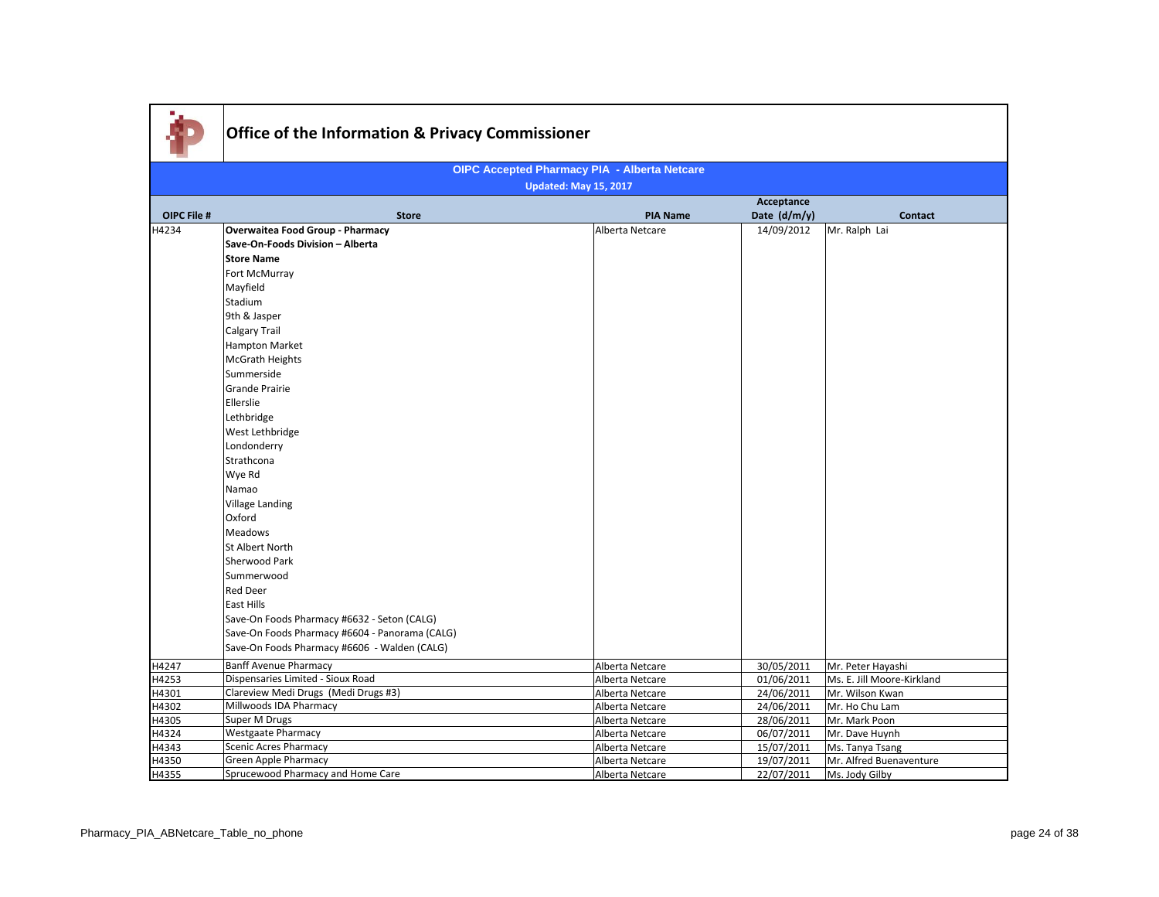| <b>OIPC Accepted Pharmacy PIA - Alberta Netcare</b><br><b>Updated: May 15, 2017</b><br>Acceptance<br>OIPC File #<br>Date (d/m/y)<br><b>Store</b><br><b>PIA Name</b><br><b>Contact</b><br><b>Overwaitea Food Group - Pharmacy</b><br>14/09/2012<br>H4234<br>Alberta Netcare<br>Mr. Ralph Lai<br>Save-On-Foods Division - Alberta<br><b>Store Name</b><br>Fort McMurray<br>Mayfield<br>Stadium<br>9th & Jasper<br>Calgary Trail<br>Hampton Market<br><b>McGrath Heights</b><br>Summerside<br><b>Grande Prairie</b><br>Ellerslie<br>Lethbridge<br>West Lethbridge<br>Londonderry<br>Strathcona<br>Wye Rd<br>Namao<br>Village Landing<br>Oxford<br>Meadows<br>St Albert North<br>Sherwood Park<br>Summerwood<br><b>Red Deer</b><br>East Hills<br>Save-On Foods Pharmacy #6632 - Seton (CALG)<br>Save-On Foods Pharmacy #6604 - Panorama (CALG)<br>Save-On Foods Pharmacy #6606 - Walden (CALG)<br><b>Banff Avenue Pharmacy</b><br>30/05/2011<br>Mr. Peter Hayashi<br>H4247<br>Alberta Netcare<br>Dispensaries Limited - Sioux Road<br>H4253<br>01/06/2011<br>Ms. E. Jill Moore-Kirkland<br>Alberta Netcare<br>Clareview Medi Drugs (Medi Drugs #3)<br>24/06/2011<br>H4301<br>Alberta Netcare<br>Mr. Wilson Kwan<br>Millwoods IDA Pharmacy<br>H4302<br>24/06/2011<br>Alberta Netcare<br>Mr. Ho Chu Lam<br>Super M Drugs<br>H4305<br>Alberta Netcare<br>28/06/2011<br>Mr. Mark Poon<br><b>Westgaate Pharmacy</b><br>H4324<br>Alberta Netcare<br>06/07/2011<br>Mr. Dave Huynh<br><b>Scenic Acres Pharmacy</b><br>H4343<br>Alberta Netcare<br>15/07/2011<br>Ms. Tanya Tsang<br>H4350<br>Green Apple Pharmacy<br>19/07/2011<br>Alberta Netcare<br>Mr. Alfred Buenaventure |       | Office of the Information & Privacy Commissioner |                 |            |                |  |  |  |
|------------------------------------------------------------------------------------------------------------------------------------------------------------------------------------------------------------------------------------------------------------------------------------------------------------------------------------------------------------------------------------------------------------------------------------------------------------------------------------------------------------------------------------------------------------------------------------------------------------------------------------------------------------------------------------------------------------------------------------------------------------------------------------------------------------------------------------------------------------------------------------------------------------------------------------------------------------------------------------------------------------------------------------------------------------------------------------------------------------------------------------------------------------------------------------------------------------------------------------------------------------------------------------------------------------------------------------------------------------------------------------------------------------------------------------------------------------------------------------------------------------------------------------------------------------------------------------------------------------------------------------------------------------------|-------|--------------------------------------------------|-----------------|------------|----------------|--|--|--|
|                                                                                                                                                                                                                                                                                                                                                                                                                                                                                                                                                                                                                                                                                                                                                                                                                                                                                                                                                                                                                                                                                                                                                                                                                                                                                                                                                                                                                                                                                                                                                                                                                                                                  |       |                                                  |                 |            |                |  |  |  |
|                                                                                                                                                                                                                                                                                                                                                                                                                                                                                                                                                                                                                                                                                                                                                                                                                                                                                                                                                                                                                                                                                                                                                                                                                                                                                                                                                                                                                                                                                                                                                                                                                                                                  |       |                                                  |                 |            |                |  |  |  |
|                                                                                                                                                                                                                                                                                                                                                                                                                                                                                                                                                                                                                                                                                                                                                                                                                                                                                                                                                                                                                                                                                                                                                                                                                                                                                                                                                                                                                                                                                                                                                                                                                                                                  |       |                                                  |                 |            |                |  |  |  |
|                                                                                                                                                                                                                                                                                                                                                                                                                                                                                                                                                                                                                                                                                                                                                                                                                                                                                                                                                                                                                                                                                                                                                                                                                                                                                                                                                                                                                                                                                                                                                                                                                                                                  |       |                                                  |                 |            |                |  |  |  |
|                                                                                                                                                                                                                                                                                                                                                                                                                                                                                                                                                                                                                                                                                                                                                                                                                                                                                                                                                                                                                                                                                                                                                                                                                                                                                                                                                                                                                                                                                                                                                                                                                                                                  |       |                                                  |                 |            |                |  |  |  |
|                                                                                                                                                                                                                                                                                                                                                                                                                                                                                                                                                                                                                                                                                                                                                                                                                                                                                                                                                                                                                                                                                                                                                                                                                                                                                                                                                                                                                                                                                                                                                                                                                                                                  |       |                                                  |                 |            |                |  |  |  |
|                                                                                                                                                                                                                                                                                                                                                                                                                                                                                                                                                                                                                                                                                                                                                                                                                                                                                                                                                                                                                                                                                                                                                                                                                                                                                                                                                                                                                                                                                                                                                                                                                                                                  |       |                                                  |                 |            |                |  |  |  |
|                                                                                                                                                                                                                                                                                                                                                                                                                                                                                                                                                                                                                                                                                                                                                                                                                                                                                                                                                                                                                                                                                                                                                                                                                                                                                                                                                                                                                                                                                                                                                                                                                                                                  |       |                                                  |                 |            |                |  |  |  |
|                                                                                                                                                                                                                                                                                                                                                                                                                                                                                                                                                                                                                                                                                                                                                                                                                                                                                                                                                                                                                                                                                                                                                                                                                                                                                                                                                                                                                                                                                                                                                                                                                                                                  |       |                                                  |                 |            |                |  |  |  |
|                                                                                                                                                                                                                                                                                                                                                                                                                                                                                                                                                                                                                                                                                                                                                                                                                                                                                                                                                                                                                                                                                                                                                                                                                                                                                                                                                                                                                                                                                                                                                                                                                                                                  |       |                                                  |                 |            |                |  |  |  |
|                                                                                                                                                                                                                                                                                                                                                                                                                                                                                                                                                                                                                                                                                                                                                                                                                                                                                                                                                                                                                                                                                                                                                                                                                                                                                                                                                                                                                                                                                                                                                                                                                                                                  |       |                                                  |                 |            |                |  |  |  |
|                                                                                                                                                                                                                                                                                                                                                                                                                                                                                                                                                                                                                                                                                                                                                                                                                                                                                                                                                                                                                                                                                                                                                                                                                                                                                                                                                                                                                                                                                                                                                                                                                                                                  |       |                                                  |                 |            |                |  |  |  |
|                                                                                                                                                                                                                                                                                                                                                                                                                                                                                                                                                                                                                                                                                                                                                                                                                                                                                                                                                                                                                                                                                                                                                                                                                                                                                                                                                                                                                                                                                                                                                                                                                                                                  |       |                                                  |                 |            |                |  |  |  |
|                                                                                                                                                                                                                                                                                                                                                                                                                                                                                                                                                                                                                                                                                                                                                                                                                                                                                                                                                                                                                                                                                                                                                                                                                                                                                                                                                                                                                                                                                                                                                                                                                                                                  |       |                                                  |                 |            |                |  |  |  |
|                                                                                                                                                                                                                                                                                                                                                                                                                                                                                                                                                                                                                                                                                                                                                                                                                                                                                                                                                                                                                                                                                                                                                                                                                                                                                                                                                                                                                                                                                                                                                                                                                                                                  |       |                                                  |                 |            |                |  |  |  |
|                                                                                                                                                                                                                                                                                                                                                                                                                                                                                                                                                                                                                                                                                                                                                                                                                                                                                                                                                                                                                                                                                                                                                                                                                                                                                                                                                                                                                                                                                                                                                                                                                                                                  |       |                                                  |                 |            |                |  |  |  |
|                                                                                                                                                                                                                                                                                                                                                                                                                                                                                                                                                                                                                                                                                                                                                                                                                                                                                                                                                                                                                                                                                                                                                                                                                                                                                                                                                                                                                                                                                                                                                                                                                                                                  |       |                                                  |                 |            |                |  |  |  |
|                                                                                                                                                                                                                                                                                                                                                                                                                                                                                                                                                                                                                                                                                                                                                                                                                                                                                                                                                                                                                                                                                                                                                                                                                                                                                                                                                                                                                                                                                                                                                                                                                                                                  |       |                                                  |                 |            |                |  |  |  |
|                                                                                                                                                                                                                                                                                                                                                                                                                                                                                                                                                                                                                                                                                                                                                                                                                                                                                                                                                                                                                                                                                                                                                                                                                                                                                                                                                                                                                                                                                                                                                                                                                                                                  |       |                                                  |                 |            |                |  |  |  |
|                                                                                                                                                                                                                                                                                                                                                                                                                                                                                                                                                                                                                                                                                                                                                                                                                                                                                                                                                                                                                                                                                                                                                                                                                                                                                                                                                                                                                                                                                                                                                                                                                                                                  |       |                                                  |                 |            |                |  |  |  |
|                                                                                                                                                                                                                                                                                                                                                                                                                                                                                                                                                                                                                                                                                                                                                                                                                                                                                                                                                                                                                                                                                                                                                                                                                                                                                                                                                                                                                                                                                                                                                                                                                                                                  |       |                                                  |                 |            |                |  |  |  |
|                                                                                                                                                                                                                                                                                                                                                                                                                                                                                                                                                                                                                                                                                                                                                                                                                                                                                                                                                                                                                                                                                                                                                                                                                                                                                                                                                                                                                                                                                                                                                                                                                                                                  |       |                                                  |                 |            |                |  |  |  |
|                                                                                                                                                                                                                                                                                                                                                                                                                                                                                                                                                                                                                                                                                                                                                                                                                                                                                                                                                                                                                                                                                                                                                                                                                                                                                                                                                                                                                                                                                                                                                                                                                                                                  |       |                                                  |                 |            |                |  |  |  |
|                                                                                                                                                                                                                                                                                                                                                                                                                                                                                                                                                                                                                                                                                                                                                                                                                                                                                                                                                                                                                                                                                                                                                                                                                                                                                                                                                                                                                                                                                                                                                                                                                                                                  |       |                                                  |                 |            |                |  |  |  |
|                                                                                                                                                                                                                                                                                                                                                                                                                                                                                                                                                                                                                                                                                                                                                                                                                                                                                                                                                                                                                                                                                                                                                                                                                                                                                                                                                                                                                                                                                                                                                                                                                                                                  | H4355 | Sprucewood Pharmacy and Home Care                | Alberta Netcare | 22/07/2011 | Ms. Jody Gilby |  |  |  |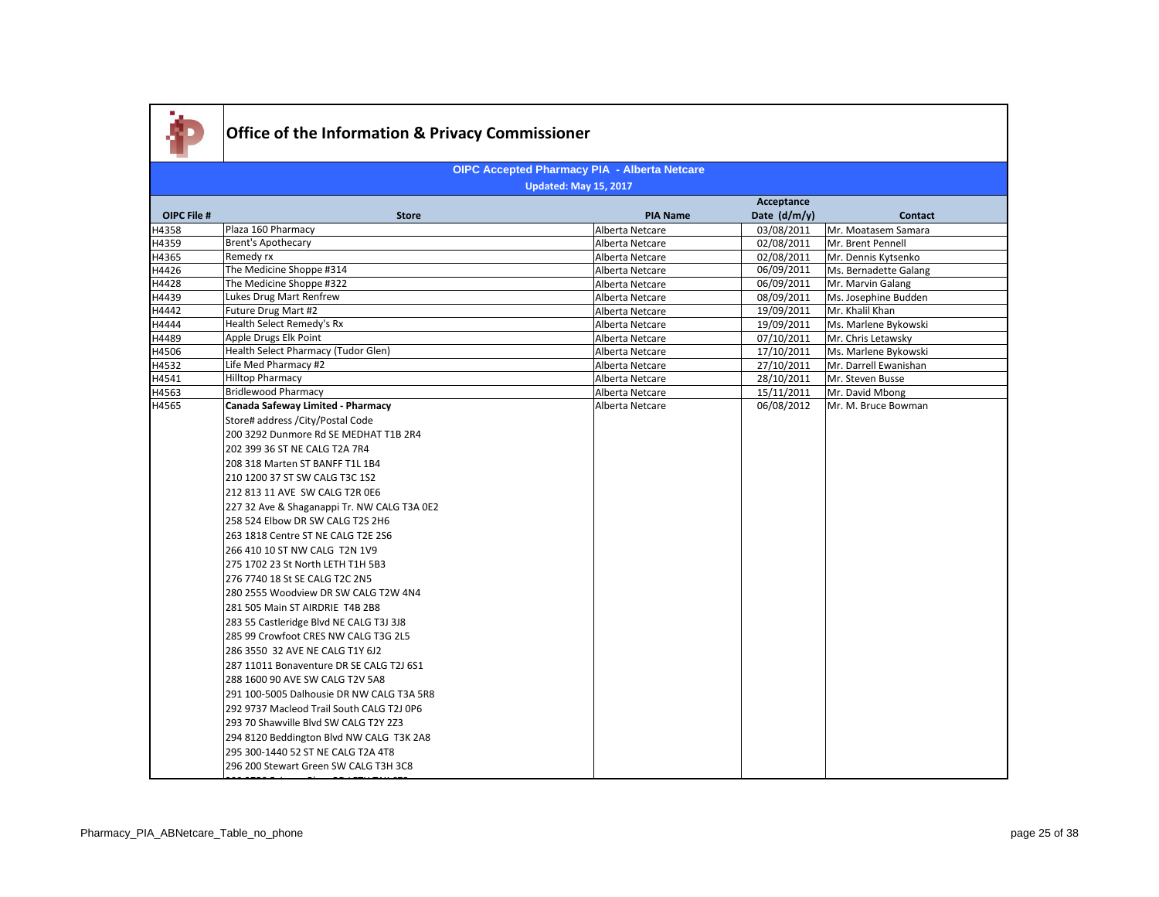

|                    |                                             |                 | Acceptance   |                       |
|--------------------|---------------------------------------------|-----------------|--------------|-----------------------|
| <b>OIPC File #</b> | <b>Store</b>                                | <b>PIA Name</b> | Date (d/m/y) | <b>Contact</b>        |
| H4358              | Plaza 160 Pharmacy                          | Alberta Netcare | 03/08/2011   | Mr. Moatasem Samara   |
| H4359              | Brent's Apothecary                          | Alberta Netcare | 02/08/2011   | Mr. Brent Pennell     |
| H4365              | Remedy rx                                   | Alberta Netcare | 02/08/2011   | Mr. Dennis Kytsenko   |
| H4426              | The Medicine Shoppe #314                    | Alberta Netcare | 06/09/2011   | Ms. Bernadette Galang |
| H4428              | The Medicine Shoppe #322                    | Alberta Netcare | 06/09/2011   | Mr. Marvin Galang     |
| H4439              | Lukes Drug Mart Renfrew                     | Alberta Netcare | 08/09/2011   | Ms. Josephine Budden  |
| H4442              | Future Drug Mart #2                         | Alberta Netcare | 19/09/2011   | Mr. Khalil Khan       |
| H4444              | Health Select Remedy's Rx                   | Alberta Netcare | 19/09/2011   | Ms. Marlene Bykowski  |
| H4489              | Apple Drugs Elk Point                       | Alberta Netcare | 07/10/2011   | Mr. Chris Letawsky    |
| H4506              | Health Select Pharmacy (Tudor Glen)         | Alberta Netcare | 17/10/2011   | Ms. Marlene Bykowski  |
| H4532              | Life Med Pharmacy #2                        | Alberta Netcare | 27/10/2011   | Mr. Darrell Ewanishan |
| H4541              | <b>Hilltop Pharmacy</b>                     | Alberta Netcare | 28/10/2011   | Mr. Steven Busse      |
| H4563              | <b>Bridlewood Pharmacy</b>                  | Alberta Netcare | 15/11/2011   | Mr. David Mbong       |
| H4565              | Canada Safeway Limited - Pharmacy           | Alberta Netcare | 06/08/2012   | Mr. M. Bruce Bowman   |
|                    | Store# address / City/Postal Code           |                 |              |                       |
|                    | 200 3292 Dunmore Rd SE MEDHAT T1B 2R4       |                 |              |                       |
|                    | 202 399 36 ST NE CALG T2A 7R4               |                 |              |                       |
|                    | 208 318 Marten ST BANFF T1L 1B4             |                 |              |                       |
|                    | 210 1200 37 ST SW CALG T3C 1S2              |                 |              |                       |
|                    | 212 813 11 AVE SW CALG T2R 0E6              |                 |              |                       |
|                    | 227 32 Ave & Shaganappi Tr. NW CALG T3A 0E2 |                 |              |                       |
|                    | 258 524 Elbow DR SW CALG T2S 2H6            |                 |              |                       |
|                    | 263 1818 Centre ST NE CALG T2E 2S6          |                 |              |                       |
|                    | 266 410 10 ST NW CALG T2N 1V9               |                 |              |                       |
|                    | 275 1702 23 St North LETH T1H 5B3           |                 |              |                       |
|                    | 276 7740 18 St SE CALG T2C 2N5              |                 |              |                       |
|                    | 280 2555 Woodview DR SW CALG T2W 4N4        |                 |              |                       |
|                    | 281 505 Main ST AIRDRIE T4B 2B8             |                 |              |                       |
|                    | 283 55 Castleridge Blvd NE CALG T3J 3J8     |                 |              |                       |
|                    | 285 99 Crowfoot CRES NW CALG T3G 2L5        |                 |              |                       |
|                    | 286 3550 32 AVE NE CALG T1Y 6J2             |                 |              |                       |
|                    | 287 11011 Bonaventure DR SE CALG T2J 6S1    |                 |              |                       |
|                    |                                             |                 |              |                       |
|                    | 288 1600 90 AVE SW CALG T2V 5A8             |                 |              |                       |
|                    | 291 100-5005 Dalhousie DR NW CALG T3A 5R8   |                 |              |                       |
|                    | 292 9737 Macleod Trail South CALG T2J 0P6   |                 |              |                       |
|                    | 293 70 Shawville Blvd SW CALG T2Y 2Z3       |                 |              |                       |
|                    | 294 8120 Beddington Blvd NW CALG T3K 2A8    |                 |              |                       |
|                    | 295 300-1440 52 ST NE CALG T2A 4T8          |                 |              |                       |
|                    | 296 200 Stewart Green SW CALG T3H 3C8       |                 |              |                       |
|                    |                                             |                 |              |                       |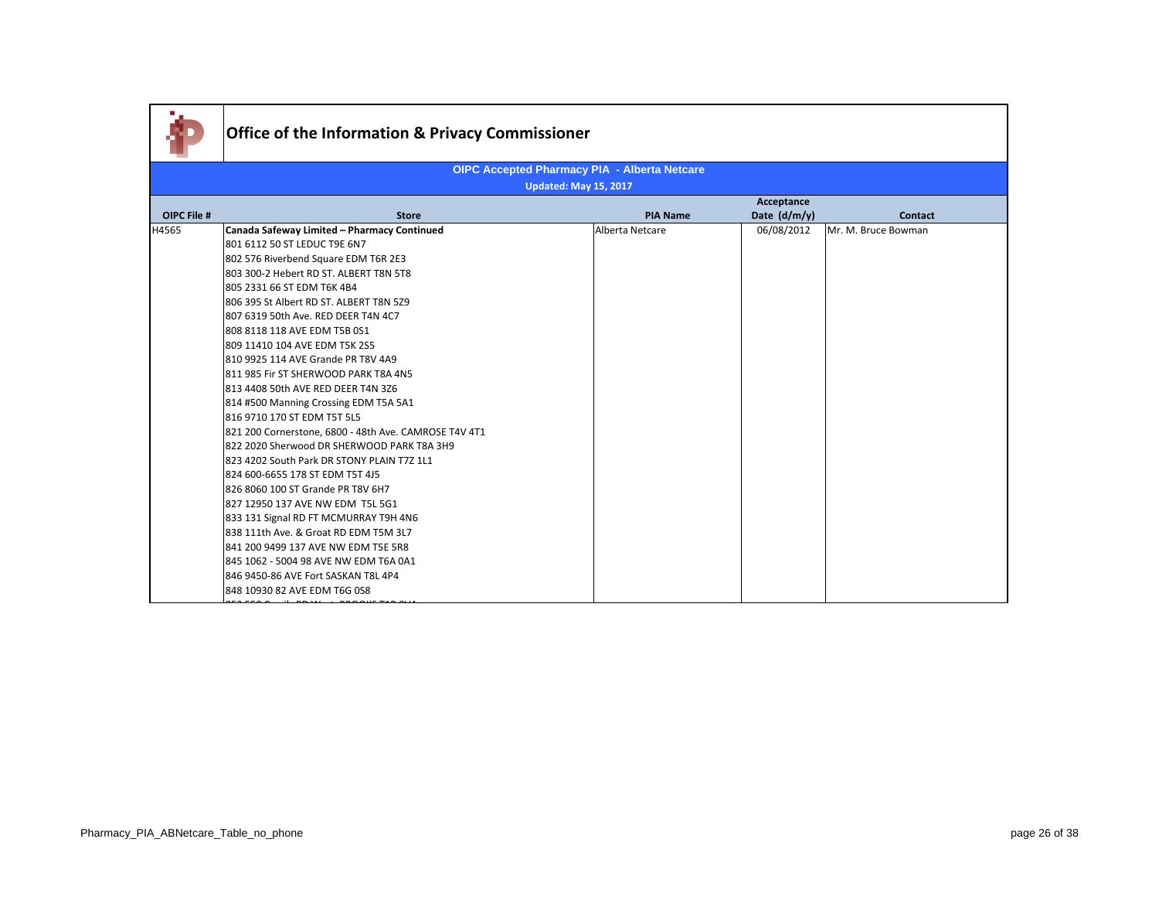|             | Office of the Information & Privacy Commissioner      |                                                     |                |                     |
|-------------|-------------------------------------------------------|-----------------------------------------------------|----------------|---------------------|
|             |                                                       | <b>OIPC Accepted Pharmacy PIA - Alberta Netcare</b> |                |                     |
|             |                                                       | <b>Updated: May 15, 2017</b>                        |                |                     |
|             |                                                       |                                                     | Acceptance     |                     |
| OIPC File # | <b>Store</b>                                          | <b>PIA Name</b>                                     | Date $(d/m/y)$ | Contact             |
| H4565       | Canada Safeway Limited - Pharmacy Continued           | Alberta Netcare                                     | 06/08/2012     | Mr. M. Bruce Bowman |
|             | 801 6112 50 ST LEDUC T9E 6N7                          |                                                     |                |                     |
|             | 802 576 Riverbend Square EDM T6R 2E3                  |                                                     |                |                     |
|             | 803 300-2 Hebert RD ST. ALBERT T8N 5T8                |                                                     |                |                     |
|             | 805 2331 66 ST EDM T6K 4B4                            |                                                     |                |                     |
|             | 806 395 St Albert RD ST. ALBERT T8N 5Z9               |                                                     |                |                     |
|             | 807 6319 50th Ave. RED DEER T4N 4C7                   |                                                     |                |                     |
|             | 808 8118 118 AVE EDM T5B 0S1                          |                                                     |                |                     |
|             | 809 11410 104 AVE EDM T5K 2S5                         |                                                     |                |                     |
|             | 810 9925 114 AVE Grande PR T8V 4A9                    |                                                     |                |                     |
|             | 811 985 Fir ST SHERWOOD PARK T8A 4N5                  |                                                     |                |                     |
|             | 813 4408 50th AVE RED DEER T4N 3Z6                    |                                                     |                |                     |
|             | 814 #500 Manning Crossing EDM T5A 5A1                 |                                                     |                |                     |
|             | 816 9710 170 ST EDM T5T 5L5                           |                                                     |                |                     |
|             | 821 200 Cornerstone, 6800 - 48th Ave. CAMROSE T4V 4T1 |                                                     |                |                     |
|             | 822 2020 Sherwood DR SHERWOOD PARK T8A 3H9            |                                                     |                |                     |
|             | 823 4202 South Park DR STONY PLAIN T7Z 1L1            |                                                     |                |                     |
|             | 824 600-6655 178 ST EDM T5T 4J5                       |                                                     |                |                     |
|             | 826 8060 100 ST Grande PR T8V 6H7                     |                                                     |                |                     |
|             | 827 12950 137 AVE NW EDM T5L 5G1                      |                                                     |                |                     |
|             | 833 131 Signal RD FT MCMURRAY T9H 4N6                 |                                                     |                |                     |
|             | 838 111th Ave. & Groat RD EDM T5M 3L7                 |                                                     |                |                     |
|             | 841 200 9499 137 AVE NW EDM T5E 5R8                   |                                                     |                |                     |
|             | 845 1062 - 5004 98 AVE NW EDM T6A 0A1                 |                                                     |                |                     |
|             | 846 9450-86 AVE Fort SASKAN T8L 4P4                   |                                                     |                |                     |
|             | 848 10930 82 AVE EDM T6G 0S8                          |                                                     |                |                     |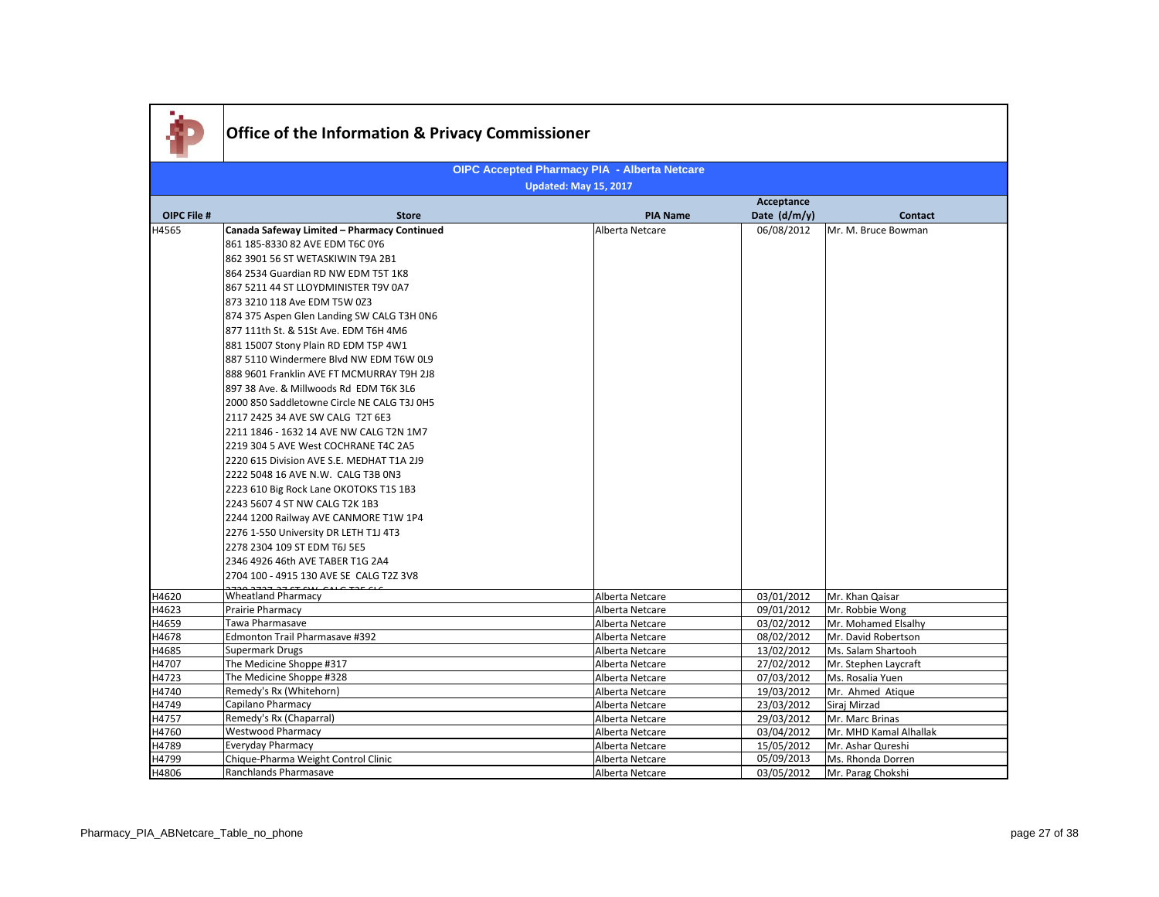| <b>OIPC Accepted Pharmacy PIA - Alberta Netcare</b><br><b>Updated: May 15, 2017</b><br>Acceptance<br><b>OIPC File #</b><br>Date (d/m/y)<br><b>Store</b><br><b>PIA Name</b><br><b>Contact</b><br>H4565<br>Canada Safeway Limited - Pharmacy Continued<br>06/08/2012<br>Alberta Netcare<br>Mr. M. Bruce Bowman<br>861 185-8330 82 AVE EDM T6C 0Y6<br>862 3901 56 ST WETASKIWIN T9A 2B1<br>864 2534 Guardian RD NW EDM T5T 1K8<br>867 5211 44 ST LLOYDMINISTER T9V 0A7<br>873 3210 118 Ave EDM T5W 0Z3<br>874 375 Aspen Glen Landing SW CALG T3H 0N6<br>877 111th St. & 51St Ave. EDM T6H 4M6<br>881 15007 Stony Plain RD EDM T5P 4W1<br>887 5110 Windermere Blvd NW EDM T6W 0L9<br>888 9601 Franklin AVE FT MCMURRAY T9H 2J8<br>897 38 Ave. & Millwoods Rd EDM T6K 3L6<br>2000 850 Saddletowne Circle NE CALG T3J 0H5<br>2117 2425 34 AVE SW CALG T2T 6E3<br>2211 1846 - 1632 14 AVE NW CALG T2N 1M7<br>2219 304 5 AVE West COCHRANE T4C 2A5<br>2220 615 Division AVE S.E. MEDHAT T1A 2J9<br>2222 5048 16 AVE N.W. CALG T3B 0N3<br>2223 610 Big Rock Lane OKOTOKS T1S 1B3<br>2243 5607 4 ST NW CALG T2K 1B3<br>2244 1200 Railway AVE CANMORE T1W 1P4<br>2276 1-550 University DR LETH T1J 4T3<br>2278 2304 109 ST EDM T6J 5E5<br>2346 4926 46th AVE TABER T1G 2A4<br>2704 100 - 4915 130 AVE SE CALG T2Z 3V8<br><b>Wheatland Pharmacy</b><br>H4620<br>03/01/2012<br>Mr. Khan Qaisar<br>Alberta Netcare<br>Prairie Pharmacy<br>H4623<br>Alberta Netcare<br>09/01/2012<br>Mr. Robbie Wong<br>Tawa Pharmasave<br>H4659<br>Alberta Netcare<br>03/02/2012<br>Mr. Mohamed Elsalhy<br>Edmonton Trail Pharmasave #392<br>H4678<br>08/02/2012<br>Mr. David Robertson<br>Alberta Netcare<br>Supermark Drugs<br>H4685<br>Ms. Salam Shartooh<br>Alberta Netcare<br>13/02/2012<br>The Medicine Shoppe #317<br>27/02/2012<br>Mr. Stephen Laycraft<br>H4707<br>Alberta Netcare<br>The Medicine Shoppe #328<br>H4723<br>07/03/2012<br>Ms. Rosalia Yuen<br>Alberta Netcare<br>Remedy's Rx (Whitehorn)<br>H4740<br>Mr. Ahmed Atique<br>Alberta Netcare<br>19/03/2012<br>Capilano Pharmacy<br>23/03/2012<br>Siraj Mirzad<br>H4749<br>Alberta Netcare<br>Remedy's Rx (Chaparral)<br>H4757<br>29/03/2012<br>Mr. Marc Brinas<br>Alberta Netcare<br><b>Westwood Pharmacy</b><br>H4760<br>03/04/2012<br>Mr. MHD Kamal Alhallak<br>Alberta Netcare<br>Everyday Pharmacy<br>H4789<br>Alberta Netcare<br>15/05/2012<br>Mr. Ashar Qureshi<br>H4799<br>05/09/2013<br>Chique-Pharma Weight Control Clinic<br>Ms. Rhonda Dorren<br>Alberta Netcare |       | Office of the Information & Privacy Commissioner |                 |            |                   |
|-------------------------------------------------------------------------------------------------------------------------------------------------------------------------------------------------------------------------------------------------------------------------------------------------------------------------------------------------------------------------------------------------------------------------------------------------------------------------------------------------------------------------------------------------------------------------------------------------------------------------------------------------------------------------------------------------------------------------------------------------------------------------------------------------------------------------------------------------------------------------------------------------------------------------------------------------------------------------------------------------------------------------------------------------------------------------------------------------------------------------------------------------------------------------------------------------------------------------------------------------------------------------------------------------------------------------------------------------------------------------------------------------------------------------------------------------------------------------------------------------------------------------------------------------------------------------------------------------------------------------------------------------------------------------------------------------------------------------------------------------------------------------------------------------------------------------------------------------------------------------------------------------------------------------------------------------------------------------------------------------------------------------------------------------------------------------------------------------------------------------------------------------------------------------------------------------------------------------------------------------------------------------------------------------------------------------------------------------------------------------------------------------------------------------------------------------------------------------------------------------------------------|-------|--------------------------------------------------|-----------------|------------|-------------------|
|                                                                                                                                                                                                                                                                                                                                                                                                                                                                                                                                                                                                                                                                                                                                                                                                                                                                                                                                                                                                                                                                                                                                                                                                                                                                                                                                                                                                                                                                                                                                                                                                                                                                                                                                                                                                                                                                                                                                                                                                                                                                                                                                                                                                                                                                                                                                                                                                                                                                                                                   |       |                                                  |                 |            |                   |
|                                                                                                                                                                                                                                                                                                                                                                                                                                                                                                                                                                                                                                                                                                                                                                                                                                                                                                                                                                                                                                                                                                                                                                                                                                                                                                                                                                                                                                                                                                                                                                                                                                                                                                                                                                                                                                                                                                                                                                                                                                                                                                                                                                                                                                                                                                                                                                                                                                                                                                                   |       |                                                  |                 |            |                   |
|                                                                                                                                                                                                                                                                                                                                                                                                                                                                                                                                                                                                                                                                                                                                                                                                                                                                                                                                                                                                                                                                                                                                                                                                                                                                                                                                                                                                                                                                                                                                                                                                                                                                                                                                                                                                                                                                                                                                                                                                                                                                                                                                                                                                                                                                                                                                                                                                                                                                                                                   |       |                                                  |                 |            |                   |
|                                                                                                                                                                                                                                                                                                                                                                                                                                                                                                                                                                                                                                                                                                                                                                                                                                                                                                                                                                                                                                                                                                                                                                                                                                                                                                                                                                                                                                                                                                                                                                                                                                                                                                                                                                                                                                                                                                                                                                                                                                                                                                                                                                                                                                                                                                                                                                                                                                                                                                                   |       |                                                  |                 |            |                   |
|                                                                                                                                                                                                                                                                                                                                                                                                                                                                                                                                                                                                                                                                                                                                                                                                                                                                                                                                                                                                                                                                                                                                                                                                                                                                                                                                                                                                                                                                                                                                                                                                                                                                                                                                                                                                                                                                                                                                                                                                                                                                                                                                                                                                                                                                                                                                                                                                                                                                                                                   |       |                                                  |                 |            |                   |
|                                                                                                                                                                                                                                                                                                                                                                                                                                                                                                                                                                                                                                                                                                                                                                                                                                                                                                                                                                                                                                                                                                                                                                                                                                                                                                                                                                                                                                                                                                                                                                                                                                                                                                                                                                                                                                                                                                                                                                                                                                                                                                                                                                                                                                                                                                                                                                                                                                                                                                                   |       |                                                  |                 |            |                   |
|                                                                                                                                                                                                                                                                                                                                                                                                                                                                                                                                                                                                                                                                                                                                                                                                                                                                                                                                                                                                                                                                                                                                                                                                                                                                                                                                                                                                                                                                                                                                                                                                                                                                                                                                                                                                                                                                                                                                                                                                                                                                                                                                                                                                                                                                                                                                                                                                                                                                                                                   |       |                                                  |                 |            |                   |
|                                                                                                                                                                                                                                                                                                                                                                                                                                                                                                                                                                                                                                                                                                                                                                                                                                                                                                                                                                                                                                                                                                                                                                                                                                                                                                                                                                                                                                                                                                                                                                                                                                                                                                                                                                                                                                                                                                                                                                                                                                                                                                                                                                                                                                                                                                                                                                                                                                                                                                                   |       |                                                  |                 |            |                   |
|                                                                                                                                                                                                                                                                                                                                                                                                                                                                                                                                                                                                                                                                                                                                                                                                                                                                                                                                                                                                                                                                                                                                                                                                                                                                                                                                                                                                                                                                                                                                                                                                                                                                                                                                                                                                                                                                                                                                                                                                                                                                                                                                                                                                                                                                                                                                                                                                                                                                                                                   |       |                                                  |                 |            |                   |
|                                                                                                                                                                                                                                                                                                                                                                                                                                                                                                                                                                                                                                                                                                                                                                                                                                                                                                                                                                                                                                                                                                                                                                                                                                                                                                                                                                                                                                                                                                                                                                                                                                                                                                                                                                                                                                                                                                                                                                                                                                                                                                                                                                                                                                                                                                                                                                                                                                                                                                                   |       |                                                  |                 |            |                   |
|                                                                                                                                                                                                                                                                                                                                                                                                                                                                                                                                                                                                                                                                                                                                                                                                                                                                                                                                                                                                                                                                                                                                                                                                                                                                                                                                                                                                                                                                                                                                                                                                                                                                                                                                                                                                                                                                                                                                                                                                                                                                                                                                                                                                                                                                                                                                                                                                                                                                                                                   |       |                                                  |                 |            |                   |
|                                                                                                                                                                                                                                                                                                                                                                                                                                                                                                                                                                                                                                                                                                                                                                                                                                                                                                                                                                                                                                                                                                                                                                                                                                                                                                                                                                                                                                                                                                                                                                                                                                                                                                                                                                                                                                                                                                                                                                                                                                                                                                                                                                                                                                                                                                                                                                                                                                                                                                                   |       |                                                  |                 |            |                   |
|                                                                                                                                                                                                                                                                                                                                                                                                                                                                                                                                                                                                                                                                                                                                                                                                                                                                                                                                                                                                                                                                                                                                                                                                                                                                                                                                                                                                                                                                                                                                                                                                                                                                                                                                                                                                                                                                                                                                                                                                                                                                                                                                                                                                                                                                                                                                                                                                                                                                                                                   |       |                                                  |                 |            |                   |
|                                                                                                                                                                                                                                                                                                                                                                                                                                                                                                                                                                                                                                                                                                                                                                                                                                                                                                                                                                                                                                                                                                                                                                                                                                                                                                                                                                                                                                                                                                                                                                                                                                                                                                                                                                                                                                                                                                                                                                                                                                                                                                                                                                                                                                                                                                                                                                                                                                                                                                                   |       |                                                  |                 |            |                   |
|                                                                                                                                                                                                                                                                                                                                                                                                                                                                                                                                                                                                                                                                                                                                                                                                                                                                                                                                                                                                                                                                                                                                                                                                                                                                                                                                                                                                                                                                                                                                                                                                                                                                                                                                                                                                                                                                                                                                                                                                                                                                                                                                                                                                                                                                                                                                                                                                                                                                                                                   |       |                                                  |                 |            |                   |
|                                                                                                                                                                                                                                                                                                                                                                                                                                                                                                                                                                                                                                                                                                                                                                                                                                                                                                                                                                                                                                                                                                                                                                                                                                                                                                                                                                                                                                                                                                                                                                                                                                                                                                                                                                                                                                                                                                                                                                                                                                                                                                                                                                                                                                                                                                                                                                                                                                                                                                                   |       |                                                  |                 |            |                   |
|                                                                                                                                                                                                                                                                                                                                                                                                                                                                                                                                                                                                                                                                                                                                                                                                                                                                                                                                                                                                                                                                                                                                                                                                                                                                                                                                                                                                                                                                                                                                                                                                                                                                                                                                                                                                                                                                                                                                                                                                                                                                                                                                                                                                                                                                                                                                                                                                                                                                                                                   |       |                                                  |                 |            |                   |
|                                                                                                                                                                                                                                                                                                                                                                                                                                                                                                                                                                                                                                                                                                                                                                                                                                                                                                                                                                                                                                                                                                                                                                                                                                                                                                                                                                                                                                                                                                                                                                                                                                                                                                                                                                                                                                                                                                                                                                                                                                                                                                                                                                                                                                                                                                                                                                                                                                                                                                                   |       |                                                  |                 |            |                   |
|                                                                                                                                                                                                                                                                                                                                                                                                                                                                                                                                                                                                                                                                                                                                                                                                                                                                                                                                                                                                                                                                                                                                                                                                                                                                                                                                                                                                                                                                                                                                                                                                                                                                                                                                                                                                                                                                                                                                                                                                                                                                                                                                                                                                                                                                                                                                                                                                                                                                                                                   | H4806 | Ranchlands Pharmasave                            | Alberta Netcare | 03/05/2012 | Mr. Parag Chokshi |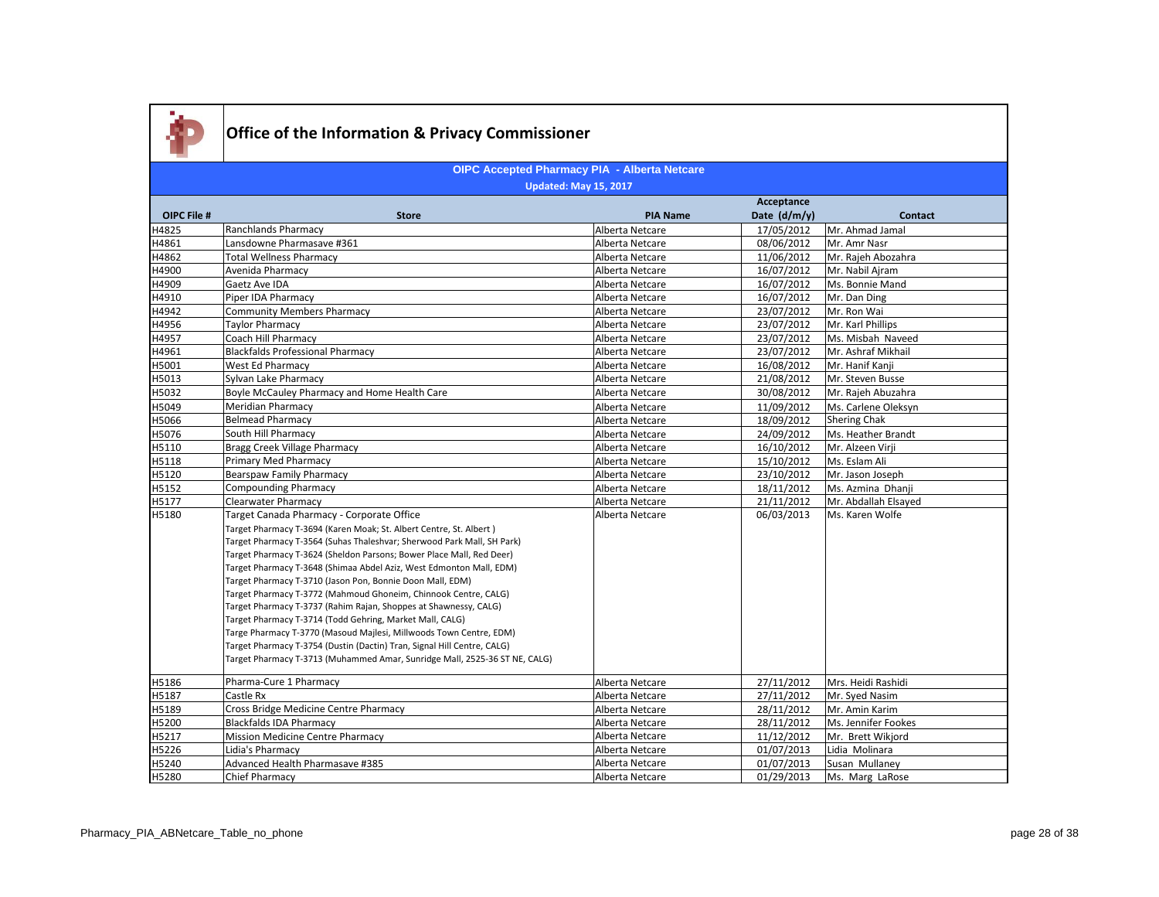

|                    |                                                                            |                 | Acceptance   |                      |
|--------------------|----------------------------------------------------------------------------|-----------------|--------------|----------------------|
| <b>OIPC File #</b> | <b>Store</b>                                                               | <b>PIA Name</b> | Date (d/m/y) | <b>Contact</b>       |
| H4825              | Ranchlands Pharmacy                                                        | Alberta Netcare | 17/05/2012   | Mr. Ahmad Jamal      |
| H4861              | Lansdowne Pharmasave #361                                                  | Alberta Netcare | 08/06/2012   | Mr. Amr Nasr         |
| H4862              | <b>Total Wellness Pharmacy</b>                                             | Alberta Netcare | 11/06/2012   | Mr. Rajeh Abozahra   |
| H4900              | Avenida Pharmacy                                                           | Alberta Netcare | 16/07/2012   | Mr. Nabil Ajram      |
| H4909              | Gaetz Ave IDA                                                              | Alberta Netcare | 16/07/2012   | Ms. Bonnie Mand      |
| H4910              | Piper IDA Pharmacy                                                         | Alberta Netcare | 16/07/2012   | Mr. Dan Ding         |
| H4942              | <b>Community Members Pharmacy</b>                                          | Alberta Netcare | 23/07/2012   | Mr. Ron Wai          |
| H4956              | <b>Taylor Pharmacy</b>                                                     | Alberta Netcare | 23/07/2012   | Mr. Karl Phillips    |
| H4957              | Coach Hill Pharmacy                                                        | Alberta Netcare | 23/07/2012   | Ms. Misbah Naveed    |
| H4961              | <b>Blackfalds Professional Pharmacy</b>                                    | Alberta Netcare | 23/07/2012   | Mr. Ashraf Mikhail   |
| H5001              | <b>West Ed Pharmacy</b>                                                    | Alberta Netcare | 16/08/2012   | Mr. Hanif Kanii      |
| H5013              | Sylvan Lake Pharmacy                                                       | Alberta Netcare | 21/08/2012   | Mr. Steven Busse     |
| H5032              | Boyle McCauley Pharmacy and Home Health Care                               | Alberta Netcare | 30/08/2012   | Mr. Rajeh Abuzahra   |
| H5049              | Meridian Pharmacy                                                          | Alberta Netcare | 11/09/2012   | Ms. Carlene Oleksyn  |
| H5066              | <b>Belmead Pharmacy</b>                                                    | Alberta Netcare | 18/09/2012   | <b>Shering Chak</b>  |
| H5076              | South Hill Pharmacy                                                        | Alberta Netcare | 24/09/2012   | Ms. Heather Brandt   |
| H5110              | Bragg Creek Village Pharmacy                                               | Alberta Netcare | 16/10/2012   | Mr. Alzeen Virji     |
| H5118              | Primary Med Pharmacy                                                       | Alberta Netcare | 15/10/2012   | Ms. Eslam Ali        |
| H5120              | Bearspaw Family Pharmacy                                                   | Alberta Netcare | 23/10/2012   | Mr. Jason Joseph     |
| H5152              | <b>Compounding Pharmacy</b>                                                | Alberta Netcare | 18/11/2012   | Ms. Azmina Dhanii    |
| H5177              | <b>Clearwater Pharmacy</b>                                                 | Alberta Netcare | 21/11/2012   | Mr. Abdallah Elsayed |
| H5180              | Target Canada Pharmacy - Corporate Office                                  | Alberta Netcare | 06/03/2013   | Ms. Karen Wolfe      |
|                    | Target Pharmacy T-3694 (Karen Moak; St. Albert Centre, St. Albert)         |                 |              |                      |
|                    | Target Pharmacy T-3564 (Suhas Thaleshvar; Sherwood Park Mall, SH Park)     |                 |              |                      |
|                    | Target Pharmacy T-3624 (Sheldon Parsons; Bower Place Mall, Red Deer)       |                 |              |                      |
|                    | Target Pharmacy T-3648 (Shimaa Abdel Aziz, West Edmonton Mall, EDM)        |                 |              |                      |
|                    | Target Pharmacy T-3710 (Jason Pon, Bonnie Doon Mall, EDM)                  |                 |              |                      |
|                    | Target Pharmacy T-3772 (Mahmoud Ghoneim, Chinnook Centre, CALG)            |                 |              |                      |
|                    | Target Pharmacy T-3737 (Rahim Rajan, Shoppes at Shawnessy, CALG)           |                 |              |                      |
|                    | Target Pharmacy T-3714 (Todd Gehring, Market Mall, CALG)                   |                 |              |                      |
|                    | Targe Pharmacy T-3770 (Masoud Majlesi, Millwoods Town Centre, EDM)         |                 |              |                      |
|                    | Target Pharmacy T-3754 (Dustin (Dactin) Tran, Signal Hill Centre, CALG)    |                 |              |                      |
|                    | Target Pharmacy T-3713 (Muhammed Amar, Sunridge Mall, 2525-36 ST NE, CALG) |                 |              |                      |
| H5186              | Pharma-Cure 1 Pharmacy                                                     | Alberta Netcare | 27/11/2012   | Mrs. Heidi Rashidi   |
| H5187              | Castle Rx                                                                  | Alberta Netcare | 27/11/2012   | Mr. Syed Nasim       |
| H5189              | Cross Bridge Medicine Centre Pharmacy                                      | Alberta Netcare | 28/11/2012   | Mr. Amin Karim       |
| H5200              | <b>Blackfalds IDA Pharmacy</b>                                             | Alberta Netcare | 28/11/2012   | Ms. Jennifer Fookes  |
| H5217              | Mission Medicine Centre Pharmacy                                           | Alberta Netcare | 11/12/2012   | Mr. Brett Wikjord    |
| H5226              | Lidia's Pharmacy                                                           | Alberta Netcare | 01/07/2013   | Lidia Molinara       |
| H5240              | Advanced Health Pharmasave #385                                            | Alberta Netcare | 01/07/2013   | Susan Mullaney       |
| H5280              | <b>Chief Pharmacy</b>                                                      | Alberta Netcare | 01/29/2013   | Ms. Marg LaRose      |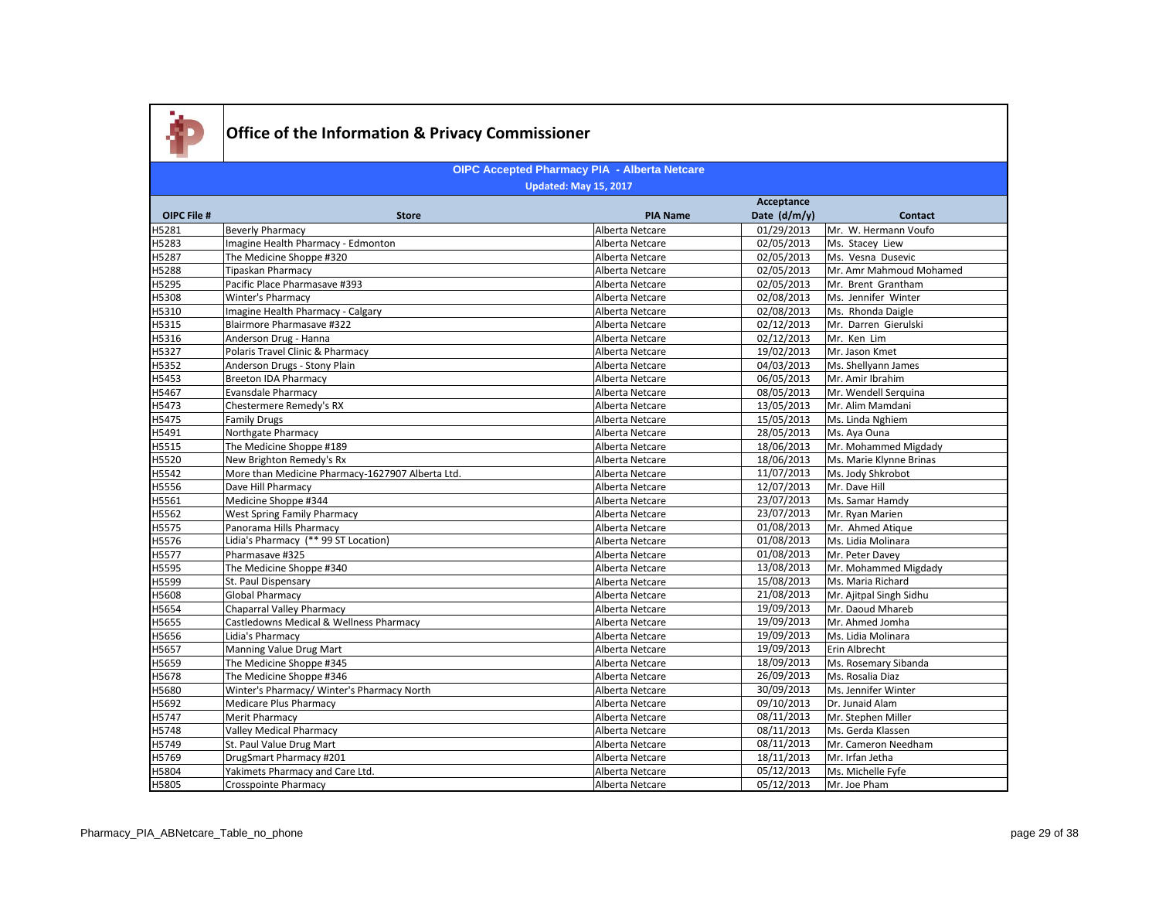

|                    |                                                  |                 | Acceptance   |                         |
|--------------------|--------------------------------------------------|-----------------|--------------|-------------------------|
| <b>OIPC File #</b> | <b>Store</b>                                     | <b>PIA Name</b> | Date (d/m/y) | <b>Contact</b>          |
| H5281              | <b>Beverly Pharmacy</b>                          | Alberta Netcare | 01/29/2013   | Mr. W. Hermann Voufo    |
| H5283              | Imagine Health Pharmacy - Edmonton               | Alberta Netcare | 02/05/2013   | Ms. Stacey Liew         |
| H5287              | The Medicine Shoppe #320                         | Alberta Netcare | 02/05/2013   | Ms. Vesna Dusevic       |
| H5288              | <b>Tipaskan Pharmacy</b>                         | Alberta Netcare | 02/05/2013   | Mr. Amr Mahmoud Mohamed |
| H5295              | Pacific Place Pharmasave #393                    | Alberta Netcare | 02/05/2013   | Mr. Brent Grantham      |
| H5308              | Winter's Pharmacy                                | Alberta Netcare | 02/08/2013   | Ms. Jennifer Winter     |
| H5310              | Imagine Health Pharmacy - Calgary                | Alberta Netcare | 02/08/2013   | Ms. Rhonda Daigle       |
| H5315              | Blairmore Pharmasave #322                        | Alberta Netcare | 02/12/2013   | Mr. Darren Gierulski    |
| H5316              | Anderson Drug - Hanna                            | Alberta Netcare | 02/12/2013   | Mr. Ken Lim             |
| H5327              | Polaris Travel Clinic & Pharmacy                 | Alberta Netcare | 19/02/2013   | Mr. Jason Kmet          |
| H5352              | Anderson Drugs - Stony Plain                     | Alberta Netcare | 04/03/2013   | Ms. Shellyann James     |
| H5453              | <b>Breeton IDA Pharmacy</b>                      | Alberta Netcare | 06/05/2013   | Mr. Amir Ibrahim        |
| H5467              | <b>Evansdale Pharmacy</b>                        | Alberta Netcare | 08/05/2013   | Mr. Wendell Serguina    |
| H5473              | Chestermere Remedy's RX                          | Alberta Netcare | 13/05/2013   | Mr. Alim Mamdani        |
| H5475              | <b>Family Drugs</b>                              | Alberta Netcare | 15/05/2013   | Ms. Linda Nghiem        |
| H5491              | Northgate Pharmacy                               | Alberta Netcare | 28/05/2013   | Ms. Aya Ouna            |
| H5515              | The Medicine Shoppe #189                         | Alberta Netcare | 18/06/2013   | Mr. Mohammed Migdady    |
| H5520              | New Brighton Remedy's Rx                         | Alberta Netcare | 18/06/2013   | Ms. Marie Klynne Brinas |
| H5542              | More than Medicine Pharmacy-1627907 Alberta Ltd. | Alberta Netcare | 11/07/2013   | Ms. Jody Shkrobot       |
| H5556              | Dave Hill Pharmacy                               | Alberta Netcare | 12/07/2013   | Mr. Dave Hill           |
| H5561              | Medicine Shoppe #344                             | Alberta Netcare | 23/07/2013   | Ms. Samar Hamdy         |
| H5562              | <b>West Spring Family Pharmacy</b>               | Alberta Netcare | 23/07/2013   | Mr. Ryan Marien         |
| H5575              | Panorama Hills Pharmacy                          | Alberta Netcare | 01/08/2013   | Mr. Ahmed Atique        |
| H5576              | Lidia's Pharmacy (** 99 ST Location)             | Alberta Netcare | 01/08/2013   | Ms. Lidia Molinara      |
| H5577              | Pharmasave #325                                  | Alberta Netcare | 01/08/2013   | Mr. Peter Davey         |
| H5595              | The Medicine Shoppe #340                         | Alberta Netcare | 13/08/2013   | Mr. Mohammed Migdady    |
| H5599              | St. Paul Dispensary                              | Alberta Netcare | 15/08/2013   | Ms. Maria Richard       |
| H5608              | <b>Global Pharmacy</b>                           | Alberta Netcare | 21/08/2013   | Mr. Ajitpal Singh Sidhu |
| H5654              | Chaparral Valley Pharmacy                        | Alberta Netcare | 19/09/2013   | Mr. Daoud Mhareb        |
| H5655              | Castledowns Medical & Wellness Pharmacy          | Alberta Netcare | 19/09/2013   | Mr. Ahmed Jomha         |
| H5656              | Lidia's Pharmacy                                 | Alberta Netcare | 19/09/2013   | Ms. Lidia Molinara      |
| H5657              | Manning Value Drug Mart                          | Alberta Netcare | 19/09/2013   | Erin Albrecht           |
| H5659              | The Medicine Shoppe #345                         | Alberta Netcare | 18/09/2013   | Ms. Rosemary Sibanda    |
| H5678              | The Medicine Shoppe #346                         | Alberta Netcare | 26/09/2013   | Ms. Rosalia Diaz        |
| H5680              | Winter's Pharmacy/ Winter's Pharmacy North       | Alberta Netcare | 30/09/2013   | Ms. Jennifer Winter     |
| H5692              | <b>Medicare Plus Pharmacy</b>                    | Alberta Netcare | 09/10/2013   | Dr. Junaid Alam         |
| H5747              | Merit Pharmacy                                   | Alberta Netcare | 08/11/2013   | Mr. Stephen Miller      |
| H5748              | <b>Valley Medical Pharmacy</b>                   | Alberta Netcare | 08/11/2013   | Ms. Gerda Klassen       |
| H5749              | St. Paul Value Drug Mart                         | Alberta Netcare | 08/11/2013   | Mr. Cameron Needham     |
| H5769              | DrugSmart Pharmacy #201                          | Alberta Netcare | 18/11/2013   | Mr. Irfan Jetha         |
| H5804              | Yakimets Pharmacy and Care Ltd.                  | Alberta Netcare | 05/12/2013   | Ms. Michelle Fyfe       |
| H5805              | <b>Crosspointe Pharmacy</b>                      | Alberta Netcare | 05/12/2013   | Mr. Joe Pham            |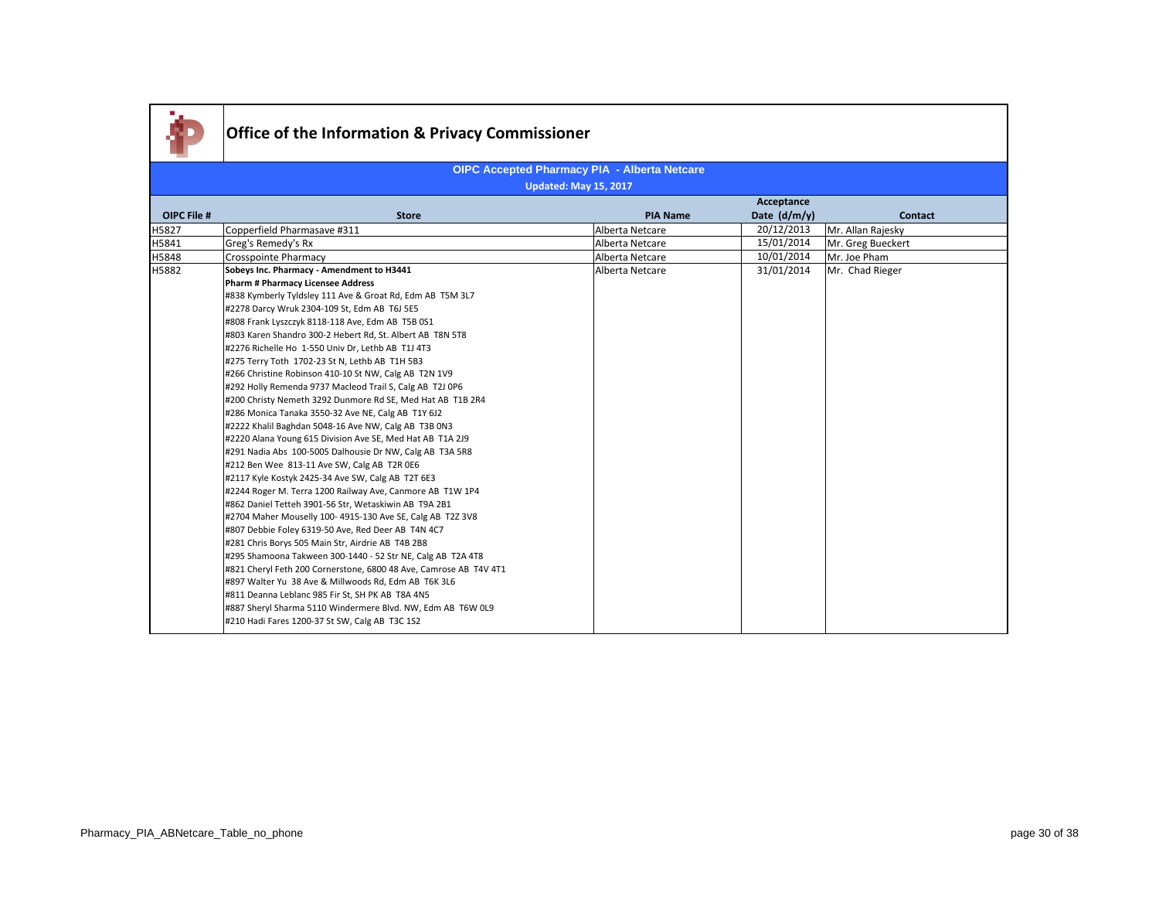

|                    |                                                                   |                 | Acceptance     |                   |
|--------------------|-------------------------------------------------------------------|-----------------|----------------|-------------------|
| <b>OIPC File #</b> | <b>Store</b>                                                      | <b>PIA Name</b> | Date $(d/m/v)$ | Contact           |
| H5827              | Copperfield Pharmasave #311                                       | Alberta Netcare | 20/12/2013     | Mr. Allan Rajesky |
| H5841              | Greg's Remedy's Rx                                                | Alberta Netcare | 15/01/2014     | Mr. Greg Bueckert |
| H5848              | Crosspointe Pharmacy                                              | Alberta Netcare | 10/01/2014     | Mr. Joe Pham      |
| H5882              | Sobeys Inc. Pharmacy - Amendment to H3441                         | Alberta Netcare | 31/01/2014     | Mr. Chad Rieger   |
|                    | <b>Pharm # Pharmacy Licensee Address</b>                          |                 |                |                   |
|                    | #838 Kymberly Tyldsley 111 Ave & Groat Rd, Edm AB T5M 3L7         |                 |                |                   |
|                    | #2278 Darcy Wruk 2304-109 St, Edm AB T6J 5E5                      |                 |                |                   |
|                    | #808 Frank Lyszczyk 8118-118 Ave, Edm AB T5B 0S1                  |                 |                |                   |
|                    | #803 Karen Shandro 300-2 Hebert Rd, St. Albert AB T8N 5T8         |                 |                |                   |
|                    | #2276 Richelle Ho 1-550 Univ Dr, Lethb AB T1J 4T3                 |                 |                |                   |
|                    | #275 Terry Toth 1702-23 St N, Lethb AB T1H 5B3                    |                 |                |                   |
|                    | #266 Christine Robinson 410-10 St NW, Calg AB T2N 1V9             |                 |                |                   |
|                    | #292 Holly Remenda 9737 Macleod Trail S, Calg AB T2J 0P6          |                 |                |                   |
|                    | #200 Christy Nemeth 3292 Dunmore Rd SE, Med Hat AB T1B 2R4        |                 |                |                   |
|                    | #286 Monica Tanaka 3550-32 Ave NE, Calg AB T1Y 6J2                |                 |                |                   |
|                    | #2222 Khalil Baghdan 5048-16 Ave NW, Calg AB T3B 0N3              |                 |                |                   |
|                    | #2220 Alana Young 615 Division Ave SE, Med Hat AB T1A 2J9         |                 |                |                   |
|                    | #291 Nadia Abs 100-5005 Dalhousie Dr NW, Calg AB T3A 5R8          |                 |                |                   |
|                    | #212 Ben Wee 813-11 Ave SW, Calg AB T2R 0E6                       |                 |                |                   |
|                    | #2117 Kyle Kostyk 2425-34 Ave SW, Calg AB T2T 6E3                 |                 |                |                   |
|                    | #2244 Roger M. Terra 1200 Railway Ave, Canmore AB T1W 1P4         |                 |                |                   |
|                    | #862 Daniel Tetteh 3901-56 Str, Wetaskiwin AB T9A 2B1             |                 |                |                   |
|                    | #2704 Maher Mouselly 100-4915-130 Ave SE, Calg AB T2Z 3V8         |                 |                |                   |
|                    | #807 Debbie Foley 6319-50 Ave, Red Deer AB T4N 4C7                |                 |                |                   |
|                    | #281 Chris Borys 505 Main Str, Airdrie AB T4B 2B8                 |                 |                |                   |
|                    | #295 Shamoona Takween 300-1440 - 52 Str NE, Calg AB T2A 4T8       |                 |                |                   |
|                    | #821 Cheryl Feth 200 Cornerstone, 6800 48 Ave, Camrose AB T4V 4T1 |                 |                |                   |
|                    | #897 Walter Yu 38 Ave & Millwoods Rd, Edm AB T6K 3L6              |                 |                |                   |
|                    | #811 Deanna Leblanc 985 Fir St, SH PK AB T8A 4N5                  |                 |                |                   |
|                    | #887 Sheryl Sharma 5110 Windermere Blvd. NW, Edm AB T6W 0L9       |                 |                |                   |
|                    | #210 Hadi Fares 1200-37 St SW, Calg AB T3C 1S2                    |                 |                |                   |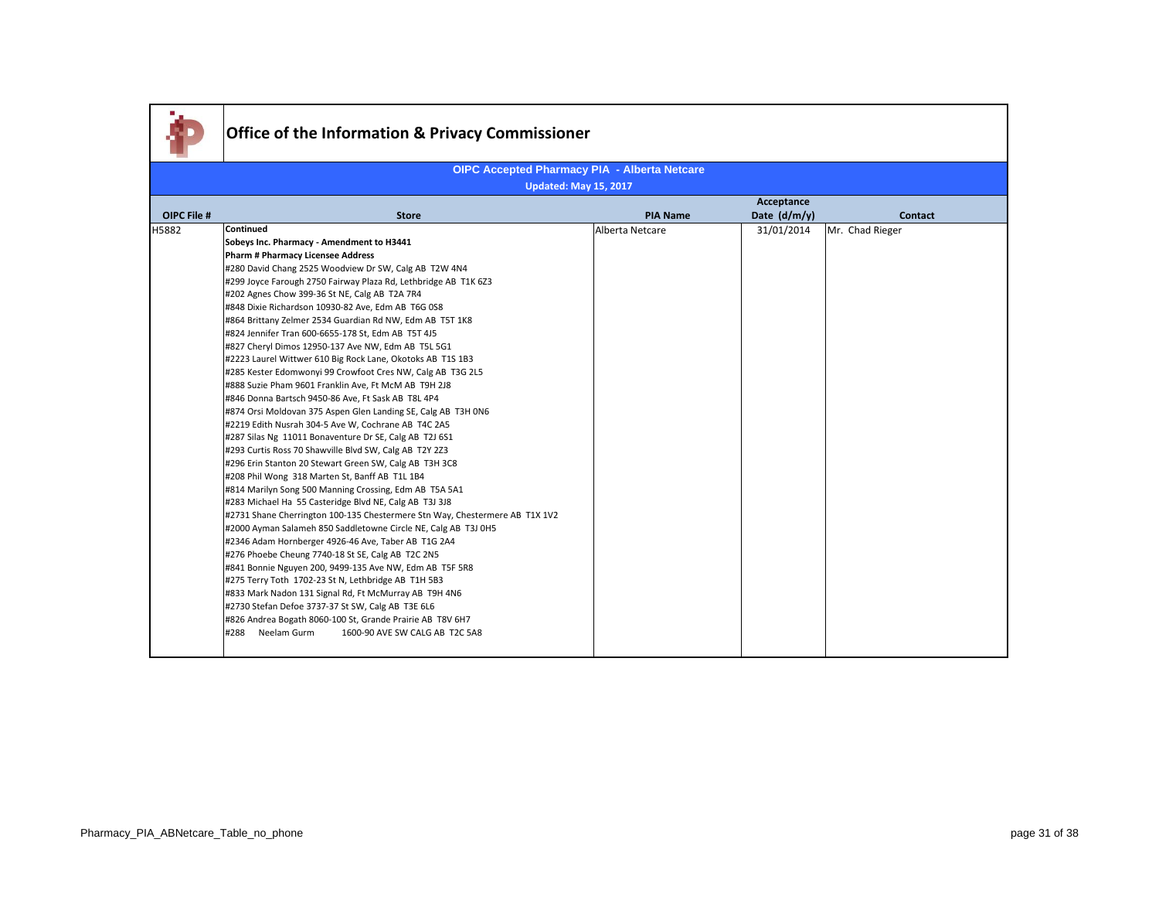|                    | Office of the Information & Privacy Commissioner                                                                                      |                 |              |                 |
|--------------------|---------------------------------------------------------------------------------------------------------------------------------------|-----------------|--------------|-----------------|
|                    | <b>OIPC Accepted Pharmacy PIA - Alberta Netcare</b>                                                                                   |                 |              |                 |
|                    | <b>Updated: May 15, 2017</b>                                                                                                          |                 |              |                 |
|                    |                                                                                                                                       |                 | Acceptance   |                 |
| <b>OIPC File #</b> | <b>Store</b>                                                                                                                          | <b>PIA Name</b> | Date (d/m/y) | <b>Contact</b>  |
| H5882              | Continued                                                                                                                             | Alberta Netcare | 31/01/2014   | Mr. Chad Rieger |
|                    | Sobeys Inc. Pharmacy - Amendment to H3441                                                                                             |                 |              |                 |
|                    | <b>Pharm # Pharmacy Licensee Address</b>                                                                                              |                 |              |                 |
|                    | #280 David Chang 2525 Woodview Dr SW, Calg AB T2W 4N4                                                                                 |                 |              |                 |
|                    | #299 Joyce Farough 2750 Fairway Plaza Rd, Lethbridge AB T1K 6Z3                                                                       |                 |              |                 |
|                    | #202 Agnes Chow 399-36 St NE, Calg AB T2A 7R4                                                                                         |                 |              |                 |
|                    | #848 Dixie Richardson 10930-82 Ave, Edm AB T6G 0S8                                                                                    |                 |              |                 |
|                    | #864 Brittany Zelmer 2534 Guardian Rd NW, Edm AB T5T 1K8                                                                              |                 |              |                 |
|                    | #824 Jennifer Tran 600-6655-178 St, Edm AB T5T 4J5                                                                                    |                 |              |                 |
|                    | #827 Cheryl Dimos 12950-137 Ave NW, Edm AB T5L 5G1                                                                                    |                 |              |                 |
|                    | #2223 Laurel Wittwer 610 Big Rock Lane, Okotoks AB T1S 1B3                                                                            |                 |              |                 |
|                    | #285 Kester Edomwonyi 99 Crowfoot Cres NW, Calg AB T3G 2L5                                                                            |                 |              |                 |
|                    | #888 Suzie Pham 9601 Franklin Ave, Ft McM AB T9H 2J8                                                                                  |                 |              |                 |
|                    | #846 Donna Bartsch 9450-86 Ave, Ft Sask AB T8L 4P4                                                                                    |                 |              |                 |
|                    | #874 Orsi Moldovan 375 Aspen Glen Landing SE, Calg AB T3H 0N6                                                                         |                 |              |                 |
|                    | #2219 Edith Nusrah 304-5 Ave W, Cochrane AB T4C 2A5                                                                                   |                 |              |                 |
|                    | #287 Silas Ng 11011 Bonaventure Dr SE, Calg AB T2J 6S1                                                                                |                 |              |                 |
|                    | #293 Curtis Ross 70 Shawville Blvd SW, Calg AB T2Y 2Z3                                                                                |                 |              |                 |
|                    | #296 Erin Stanton 20 Stewart Green SW, Calg AB T3H 3C8                                                                                |                 |              |                 |
|                    | #208 Phil Wong 318 Marten St, Banff AB T1L 1B4                                                                                        |                 |              |                 |
|                    | #814 Marilyn Song 500 Manning Crossing, Edm AB T5A 5A1                                                                                |                 |              |                 |
|                    | #283 Michael Ha 55 Casteridge Blvd NE, Calg AB T3J 3J8<br>#2731 Shane Cherrington 100-135 Chestermere Stn Way, Chestermere AB T1X 1V2 |                 |              |                 |
|                    | #2000 Ayman Salameh 850 Saddletowne Circle NE, Calg AB T3J 0H5                                                                        |                 |              |                 |
|                    | #2346 Adam Hornberger 4926-46 Ave, Taber AB T1G 2A4                                                                                   |                 |              |                 |
|                    | #276 Phoebe Cheung 7740-18 St SE, Calg AB T2C 2N5                                                                                     |                 |              |                 |
|                    | #841 Bonnie Nguyen 200, 9499-135 Ave NW, Edm AB T5F 5R8                                                                               |                 |              |                 |
|                    | #275 Terry Toth 1702-23 St N, Lethbridge AB T1H 5B3                                                                                   |                 |              |                 |
|                    | #833 Mark Nadon 131 Signal Rd, Ft McMurray AB T9H 4N6                                                                                 |                 |              |                 |
|                    | #2730 Stefan Defoe 3737-37 St SW, Calg AB T3E 6L6                                                                                     |                 |              |                 |
|                    | #826 Andrea Bogath 8060-100 St, Grande Prairie AB T8V 6H7                                                                             |                 |              |                 |
|                    | #288<br>Neelam Gurm<br>1600-90 AVE SW CALG AB T2C 5A8                                                                                 |                 |              |                 |
|                    |                                                                                                                                       |                 |              |                 |

×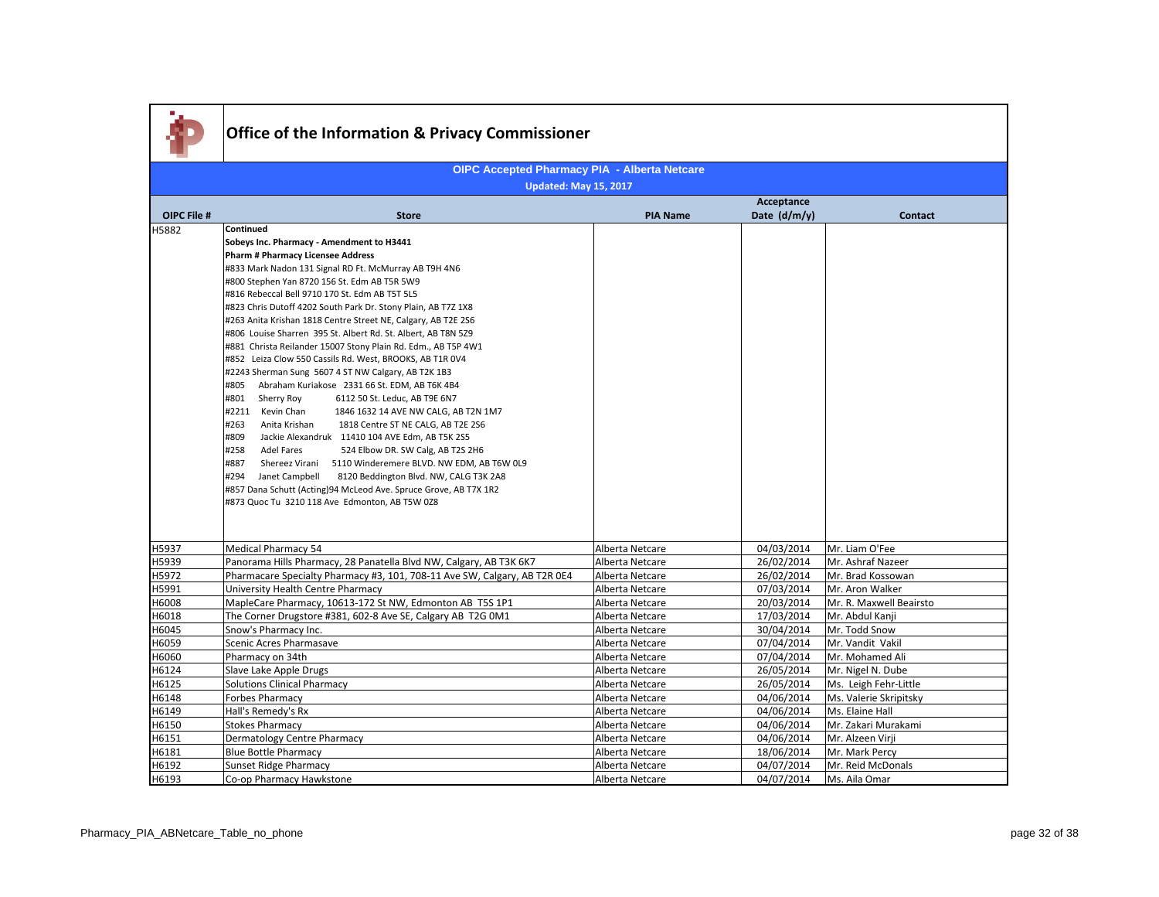|             | <b>Office of the Information &amp; Privacy Commissioner</b>                                            |                 |              |                         |  |
|-------------|--------------------------------------------------------------------------------------------------------|-----------------|--------------|-------------------------|--|
|             |                                                                                                        |                 |              |                         |  |
|             | <b>OIPC Accepted Pharmacy PIA - Alberta Netcare</b><br>Updated: May 15, 2017                           |                 |              |                         |  |
|             | Acceptance                                                                                             |                 |              |                         |  |
| OIPC File # | <b>Store</b>                                                                                           | <b>PIA Name</b> | Date (d/m/y) | <b>Contact</b>          |  |
| H5882       | Continued                                                                                              |                 |              |                         |  |
|             | Sobeys Inc. Pharmacy - Amendment to H3441                                                              |                 |              |                         |  |
|             | <b>Pharm # Pharmacy Licensee Address</b>                                                               |                 |              |                         |  |
|             | #833 Mark Nadon 131 Signal RD Ft. McMurray AB T9H 4N6                                                  |                 |              |                         |  |
|             | #800 Stephen Yan 8720 156 St. Edm AB T5R 5W9                                                           |                 |              |                         |  |
|             | #816 Rebeccal Bell 9710 170 St. Edm AB T5T 5L5                                                         |                 |              |                         |  |
|             | #823 Chris Dutoff 4202 South Park Dr. Stony Plain, AB T7Z 1X8                                          |                 |              |                         |  |
|             | #263 Anita Krishan 1818 Centre Street NE, Calgary, AB T2E 2S6                                          |                 |              |                         |  |
|             | #806 Louise Sharren 395 St. Albert Rd. St. Albert, AB T8N 5Z9                                          |                 |              |                         |  |
|             | #881 Christa Reilander 15007 Stony Plain Rd. Edm., AB T5P 4W1                                          |                 |              |                         |  |
|             | #852 Leiza Clow 550 Cassils Rd. West, BROOKS, AB T1R 0V4                                               |                 |              |                         |  |
|             | #2243 Sherman Sung 5607 4 ST NW Calgary, AB T2K 1B3                                                    |                 |              |                         |  |
|             | #805 Abraham Kuriakose 2331 66 St. EDM, AB T6K 4B4<br>#801 Sherry Roy<br>6112 50 St. Leduc, AB T9E 6N7 |                 |              |                         |  |
|             | #2211 Kevin Chan<br>1846 1632 14 AVE NW CALG, AB T2N 1M7                                               |                 |              |                         |  |
|             | #263<br>Anita Krishan<br>1818 Centre ST NE CALG, AB T2E 2S6                                            |                 |              |                         |  |
|             | #809<br>Jackie Alexandruk 11410 104 AVE Edm, AB T5K 2S5                                                |                 |              |                         |  |
|             | #258<br>Adel Fares<br>524 Elbow DR. SW Calg, AB T2S 2H6                                                |                 |              |                         |  |
|             | #887<br>Shereez Virani<br>5110 Winderemere BLVD. NW EDM, AB T6W 0L9                                    |                 |              |                         |  |
|             | #294<br>Janet Campbell<br>8120 Beddington Blvd. NW, CALG T3K 2A8                                       |                 |              |                         |  |
|             | #857 Dana Schutt (Acting)94 McLeod Ave. Spruce Grove, AB T7X 1R2                                       |                 |              |                         |  |
|             | #873 Quoc Tu 3210 118 Ave Edmonton, AB T5W 0Z8                                                         |                 |              |                         |  |
|             |                                                                                                        |                 |              |                         |  |
|             |                                                                                                        |                 |              |                         |  |
| H5937       | <b>Medical Pharmacy 54</b>                                                                             | Alberta Netcare | 04/03/2014   | Mr. Liam O'Fee          |  |
| H5939       | Panorama Hills Pharmacy, 28 Panatella Blvd NW, Calgary, AB T3K 6K7                                     | Alberta Netcare | 26/02/2014   | Mr. Ashraf Nazeer       |  |
| H5972       | Pharmacare Specialty Pharmacy #3, 101, 708-11 Ave SW, Calgary, AB T2R 0E4                              | Alberta Netcare | 26/02/2014   | Mr. Brad Kossowan       |  |
| H5991       | University Health Centre Pharmacy                                                                      | Alberta Netcare | 07/03/2014   | Mr. Aron Walker         |  |
| H6008       | MapleCare Pharmacy, 10613-172 St NW, Edmonton AB T5S 1P1                                               | Alberta Netcare | 20/03/2014   | Mr. R. Maxwell Beairsto |  |
| H6018       | The Corner Drugstore #381, 602-8 Ave SE, Calgary AB T2G 0M1                                            | Alberta Netcare | 17/03/2014   | Mr. Abdul Kanji         |  |
| H6045       | Snow's Pharmacy Inc.                                                                                   | Alberta Netcare | 30/04/2014   | Mr. Todd Snow           |  |
| H6059       | Scenic Acres Pharmasave                                                                                | Alberta Netcare | 07/04/2014   | Mr. Vandit Vakil        |  |
| H6060       | Pharmacy on 34th                                                                                       | Alberta Netcare | 07/04/2014   | Mr. Mohamed Ali         |  |
| H6124       | Slave Lake Apple Drugs                                                                                 | Alberta Netcare | 26/05/2014   | Mr. Nigel N. Dube       |  |
| H6125       | <b>Solutions Clinical Pharmacy</b>                                                                     | Alberta Netcare | 26/05/2014   | Ms. Leigh Fehr-Little   |  |
| H6148       | Forbes Pharmacy                                                                                        | Alberta Netcare | 04/06/2014   | Ms. Valerie Skripitsky  |  |
| H6149       | Hall's Remedy's Rx                                                                                     | Alberta Netcare | 04/06/2014   | Ms. Elaine Hall         |  |
| H6150       | <b>Stokes Pharmacy</b>                                                                                 | Alberta Netcare | 04/06/2014   | Mr. Zakari Murakami     |  |
| H6151       | Dermatology Centre Pharmacy                                                                            | Alberta Netcare | 04/06/2014   | Mr. Alzeen Virji        |  |
| H6181       | <b>Blue Bottle Pharmacy</b>                                                                            | Alberta Netcare | 18/06/2014   | Mr. Mark Percy          |  |
| H6192       | Sunset Ridge Pharmacy                                                                                  | Alberta Netcare | 04/07/2014   | Mr. Reid McDonals       |  |
| H6193       | Co-op Pharmacy Hawkstone                                                                               | Alberta Netcare | 04/07/2014   | Ms. Aila Omar           |  |

- 11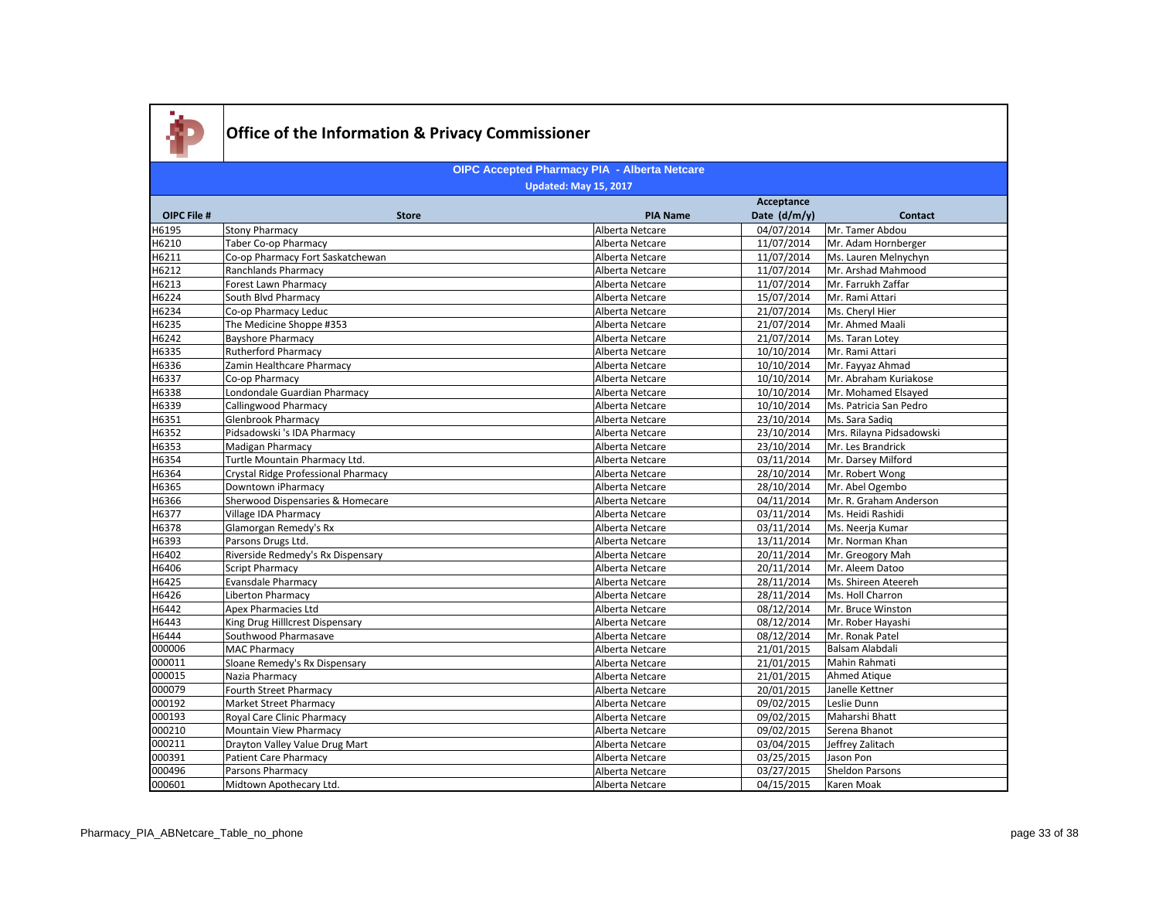

|             |                                     |                 | Acceptance   |                          |
|-------------|-------------------------------------|-----------------|--------------|--------------------------|
| OIPC File # | <b>Store</b>                        | <b>PIA Name</b> | Date (d/m/y) | <b>Contact</b>           |
| H6195       | <b>Stony Pharmacy</b>               | Alberta Netcare | 04/07/2014   | Mr. Tamer Abdou          |
| H6210       | Taber Co-op Pharmacy                | Alberta Netcare | 11/07/2014   | Mr. Adam Hornberger      |
| H6211       | Co-op Pharmacy Fort Saskatchewan    | Alberta Netcare | 11/07/2014   | Ms. Lauren Melnychyn     |
| H6212       | Ranchlands Pharmacy                 | Alberta Netcare | 11/07/2014   | Mr. Arshad Mahmood       |
| H6213       | Forest Lawn Pharmacy                | Alberta Netcare | 11/07/2014   | Mr. Farrukh Zaffar       |
| H6224       | South Blvd Pharmacy                 | Alberta Netcare | 15/07/2014   | Mr. Rami Attari          |
| H6234       | Co-op Pharmacy Leduc                | Alberta Netcare | 21/07/2014   | Ms. Cheryl Hier          |
| H6235       | The Medicine Shoppe #353            | Alberta Netcare | 21/07/2014   | Mr. Ahmed Maali          |
| H6242       | <b>Bayshore Pharmacy</b>            | Alberta Netcare | 21/07/2014   | Ms. Taran Lotey          |
| H6335       | <b>Rutherford Pharmacy</b>          | Alberta Netcare | 10/10/2014   | Mr. Rami Attari          |
| H6336       | Zamin Healthcare Pharmacy           | Alberta Netcare | 10/10/2014   | Mr. Fayyaz Ahmad         |
| H6337       | Co-op Pharmacy                      | Alberta Netcare | 10/10/2014   | Mr. Abraham Kuriakose    |
| H6338       | Londondale Guardian Pharmacy        | Alberta Netcare | 10/10/2014   | Mr. Mohamed Elsayed      |
| H6339       | Callingwood Pharmacy                | Alberta Netcare | 10/10/2014   | Ms. Patricia San Pedro   |
| H6351       | Glenbrook Pharmacy                  | Alberta Netcare | 23/10/2014   | Ms. Sara Sadig           |
| H6352       | Pidsadowski 's IDA Pharmacy         | Alberta Netcare | 23/10/2014   | Mrs. Rilayna Pidsadowski |
| H6353       | Madigan Pharmacy                    | Alberta Netcare | 23/10/2014   | Mr. Les Brandrick        |
| H6354       | Turtle Mountain Pharmacy Ltd.       | Alberta Netcare | 03/11/2014   | Mr. Darsey Milford       |
| H6364       | Crystal Ridge Professional Pharmacy | Alberta Netcare | 28/10/2014   | Mr. Robert Wong          |
| H6365       | Downtown iPharmacy                  | Alberta Netcare | 28/10/2014   | Mr. Abel Ogembo          |
| H6366       | Sherwood Dispensaries & Homecare    | Alberta Netcare | 04/11/2014   | Mr. R. Graham Anderson   |
| H6377       | Village IDA Pharmacy                | Alberta Netcare | 03/11/2014   | Ms. Heidi Rashidi        |
| H6378       | Glamorgan Remedy's Rx               | Alberta Netcare | 03/11/2014   | Ms. Neerja Kumar         |
| H6393       | Parsons Drugs Ltd.                  | Alberta Netcare | 13/11/2014   | Mr. Norman Khan          |
| H6402       | Riverside Redmedy's Rx Dispensary   | Alberta Netcare | 20/11/2014   | Mr. Greogory Mah         |
| H6406       | Script Pharmacy                     | Alberta Netcare | 20/11/2014   | Mr. Aleem Datoo          |
| H6425       | Evansdale Pharmacy                  | Alberta Netcare | 28/11/2014   | Ms. Shireen Ateereh      |
| H6426       | Liberton Pharmacy                   | Alberta Netcare | 28/11/2014   | Ms. Holl Charron         |
| H6442       | Apex Pharmacies Ltd                 | Alberta Netcare | 08/12/2014   | Mr. Bruce Winston        |
| H6443       | King Drug Hillcrest Dispensary      | Alberta Netcare | 08/12/2014   | Mr. Rober Hayashi        |
| H6444       | Southwood Pharmasave                | Alberta Netcare | 08/12/2014   | Mr. Ronak Patel          |
| 000006      | MAC Pharmacy                        | Alberta Netcare | 21/01/2015   | Balsam Alabdali          |
| 000011      | Sloane Remedy's Rx Dispensary       | Alberta Netcare | 21/01/2015   | Mahin Rahmati            |
| 000015      | Nazia Pharmacy                      | Alberta Netcare | 21/01/2015   | Ahmed Atique             |
| 000079      | Fourth Street Pharmacy              | Alberta Netcare | 20/01/2015   | Janelle Kettner          |
| 000192      | Market Street Pharmacy              | Alberta Netcare | 09/02/2015   | Leslie Dunn              |
| 000193      | Royal Care Clinic Pharmacy          | Alberta Netcare | 09/02/2015   | Maharshi Bhatt           |
| 000210      | Mountain View Pharmacy              | Alberta Netcare | 09/02/2015   | Serena Bhanot            |
| 000211      | Drayton Valley Value Drug Mart      | Alberta Netcare | 03/04/2015   | Jeffrey Zalitach         |
| 000391      | Patient Care Pharmacy               | Alberta Netcare | 03/25/2015   | Jason Pon                |
| 000496      | Parsons Pharmacy                    | Alberta Netcare | 03/27/2015   | <b>Sheldon Parsons</b>   |
| 000601      | Midtown Apothecary Ltd.             | Alberta Netcare | 04/15/2015   | Karen Moak               |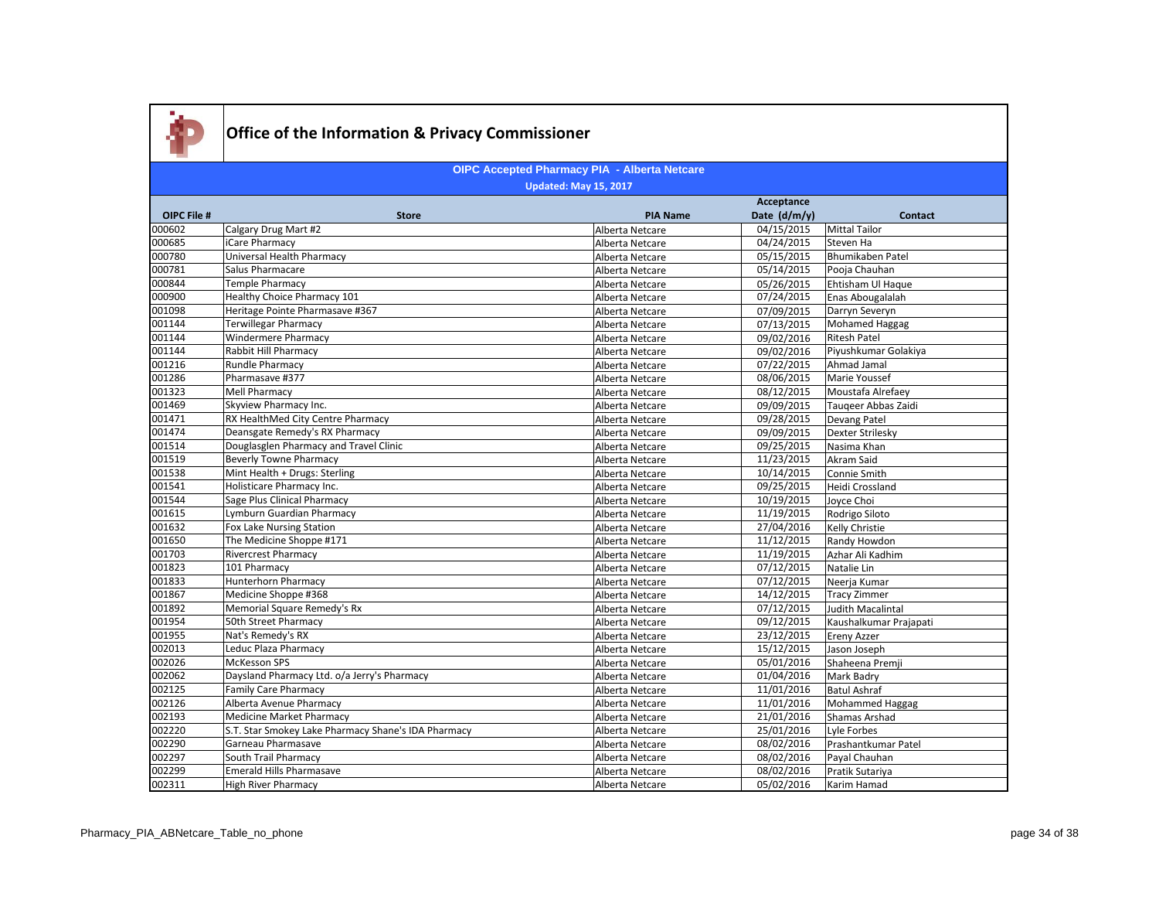

|                    |                                                     |                 | Acceptance   |                          |
|--------------------|-----------------------------------------------------|-----------------|--------------|--------------------------|
| <b>OIPC File #</b> | <b>Store</b>                                        | <b>PIA Name</b> | Date (d/m/y) | <b>Contact</b>           |
| 000602             | Calgary Drug Mart #2                                | Alberta Netcare | 04/15/2015   | Mittal Tailor            |
| 000685             | iCare Pharmacy                                      | Alberta Netcare | 04/24/2015   | Steven Ha                |
| 000780             | Universal Health Pharmacy                           | Alberta Netcare | 05/15/2015   | Bhumikaben Patel         |
| 000781             | Salus Pharmacare                                    | Alberta Netcare | 05/14/2015   | Pooja Chauhan            |
| 000844             | <b>Temple Pharmacy</b>                              | Alberta Netcare | 05/26/2015   | Ehtisham Ul Haque        |
| 000900             | Healthy Choice Pharmacy 101                         | Alberta Netcare | 07/24/2015   | Enas Abougalalah         |
| 001098             | Heritage Pointe Pharmasave #367                     | Alberta Netcare | 07/09/2015   | Darryn Severyn           |
| 001144             | <b>Terwillegar Pharmacy</b>                         | Alberta Netcare | 07/13/2015   | Mohamed Haggag           |
| 001144             | <b>Windermere Pharmacy</b>                          | Alberta Netcare | 09/02/2016   | <b>Ritesh Patel</b>      |
| 001144             | <b>Rabbit Hill Pharmacy</b>                         | Alberta Netcare | 09/02/2016   | Piyushkumar Golakiya     |
| 001216             | Rundle Pharmacy                                     | Alberta Netcare | 07/22/2015   | Ahmad Jamal              |
| 001286             | Pharmasave #377                                     | Alberta Netcare | 08/06/2015   | Marie Youssef            |
| 001323             | <b>Mell Pharmacy</b>                                | Alberta Netcare | 08/12/2015   | Moustafa Alrefaey        |
| 001469             | Skyview Pharmacy Inc.                               | Alberta Netcare | 09/09/2015   | Taugeer Abbas Zaidi      |
| 001471             | RX HealthMed City Centre Pharmacy                   | Alberta Netcare | 09/28/2015   | Devang Patel             |
| 001474             | Deansgate Remedy's RX Pharmacy                      | Alberta Netcare | 09/09/2015   | Dexter Strilesky         |
| 001514             | Douglasglen Pharmacy and Travel Clinic              | Alberta Netcare | 09/25/2015   | Nasima Khan              |
| 001519             | <b>Beverly Towne Pharmacy</b>                       | Alberta Netcare | 11/23/2015   | Akram Said               |
| 001538             | Mint Health + Drugs: Sterling                       | Alberta Netcare | 10/14/2015   | Connie Smith             |
| 001541             | Holisticare Pharmacy Inc.                           | Alberta Netcare | 09/25/2015   | Heidi Crossland          |
| 001544             | Sage Plus Clinical Pharmacy                         | Alberta Netcare | 10/19/2015   | Joyce Choi               |
| 001615             | Lymburn Guardian Pharmacy                           | Alberta Netcare | 11/19/2015   | Rodrigo Siloto           |
| 001632             | Fox Lake Nursing Station                            | Alberta Netcare | 27/04/2016   | Kelly Christie           |
| 001650             | The Medicine Shoppe #171                            | Alberta Netcare | 11/12/2015   | Randy Howdon             |
| 001703             | <b>Rivercrest Pharmacy</b>                          | Alberta Netcare | 11/19/2015   | Azhar Ali Kadhim         |
| 001823             | 101 Pharmacy                                        | Alberta Netcare | 07/12/2015   | Natalie Lin              |
| 001833             | <b>Hunterhorn Pharmacy</b>                          | Alberta Netcare | 07/12/2015   | Neerja Kumar             |
| 001867             | Medicine Shoppe #368                                | Alberta Netcare | 14/12/2015   | <b>Tracy Zimmer</b>      |
| 001892             | Memorial Square Remedy's Rx                         | Alberta Netcare | 07/12/2015   | <b>Judith Macalintal</b> |
| 001954             | 50th Street Pharmacy                                | Alberta Netcare | 09/12/2015   | Kaushalkumar Prajapati   |
| 001955             | Nat's Remedy's RX                                   | Alberta Netcare | 23/12/2015   | Ereny Azzer              |
| 002013             | Leduc Plaza Pharmacy                                | Alberta Netcare | 15/12/2015   | Jason Joseph             |
| 002026             | <b>McKesson SPS</b>                                 | Alberta Netcare | 05/01/2016   | Shaheena Premji          |
| 002062             | Daysland Pharmacy Ltd. o/a Jerry's Pharmacy         | Alberta Netcare | 01/04/2016   | Mark Badry               |
| 002125             | <b>Family Care Pharmacy</b>                         | Alberta Netcare | 11/01/2016   | <b>Batul Ashraf</b>      |
| 002126             | Alberta Avenue Pharmacy                             | Alberta Netcare | 11/01/2016   | Mohammed Haggag          |
| 002193             | <b>Medicine Market Pharmacy</b>                     | Alberta Netcare | 21/01/2016   | Shamas Arshad            |
| 002220             | S.T. Star Smokey Lake Pharmacy Shane's IDA Pharmacy | Alberta Netcare | 25/01/2016   | Lyle Forbes              |
| 002290             | Garneau Pharmasave                                  | Alberta Netcare | 08/02/2016   | Prashantkumar Patel      |
| 002297             | South Trail Pharmacy                                | Alberta Netcare | 08/02/2016   | Payal Chauhan            |
| 002299             | <b>Emerald Hills Pharmasave</b>                     | Alberta Netcare | 08/02/2016   | Pratik Sutariya          |
| 002311             | <b>High River Pharmacy</b>                          | Alberta Netcare | 05/02/2016   | Karim Hamad              |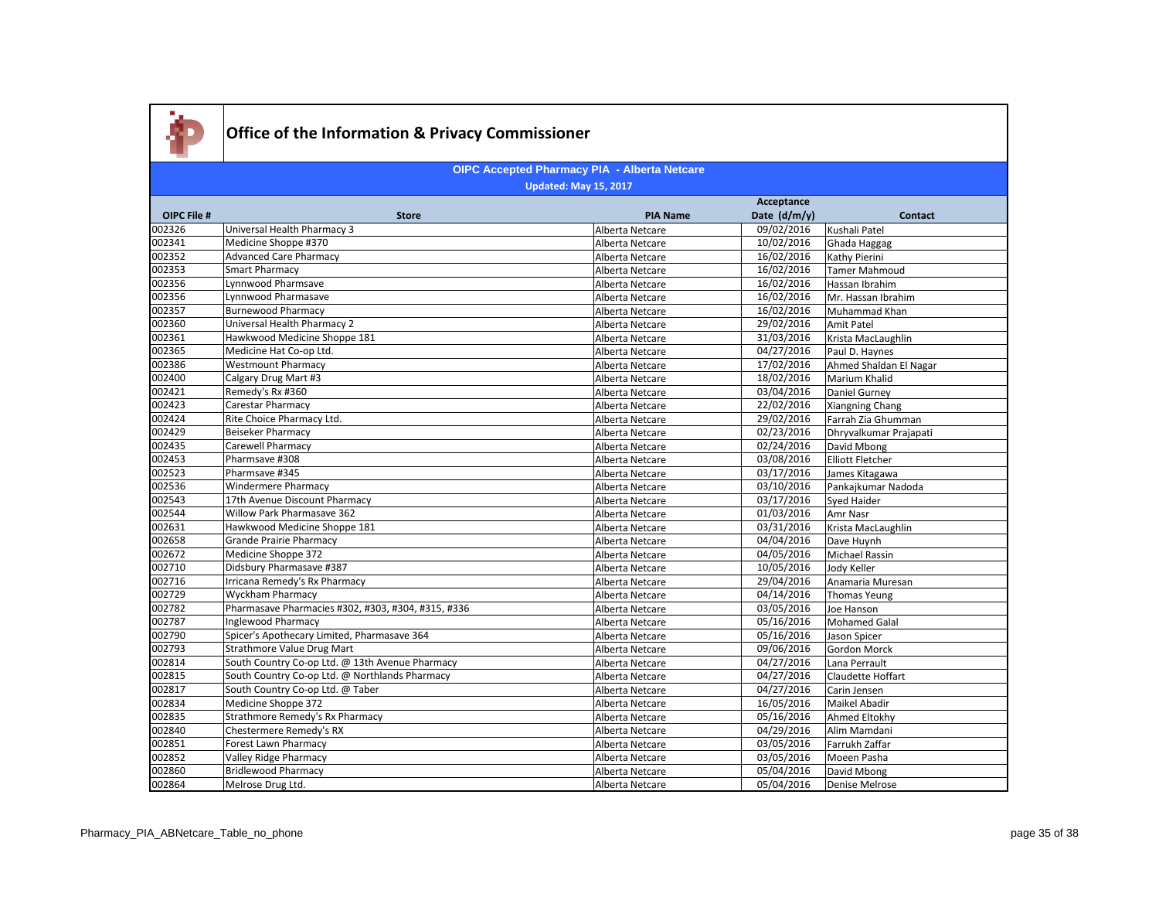

|                    |                                                    |                 | Acceptance            |                         |
|--------------------|----------------------------------------------------|-----------------|-----------------------|-------------------------|
| <b>OIPC File #</b> | <b>Store</b>                                       | <b>PIA Name</b> | Date (d/m/y)          | <b>Contact</b>          |
| 002326             | Universal Health Pharmacy 3                        | Alberta Netcare | 09/02/2016            | Kushali Patel           |
| 002341             | Medicine Shoppe #370                               | Alberta Netcare | 10/02/2016            | Ghada Haggag            |
| 002352             | <b>Advanced Care Pharmacy</b>                      | Alberta Netcare | 16/02/2016            | Kathy Pierini           |
| 002353             | Smart Pharmacy                                     | Alberta Netcare | 16/02/2016            | <b>Tamer Mahmoud</b>    |
| 002356             | Lynnwood Pharmsave                                 | Alberta Netcare | 16/02/2016            | Hassan Ibrahim          |
| 002356             | Lynnwood Pharmasave                                | Alberta Netcare | 16/02/2016            | Mr. Hassan Ibrahim      |
| 002357             | <b>Burnewood Pharmacy</b>                          | Alberta Netcare | 16/02/2016            | Muhammad Khan           |
| 002360             | Universal Health Pharmacy 2                        | Alberta Netcare | 29/02/2016            | Amit Patel              |
| 002361             | Hawkwood Medicine Shoppe 181                       | Alberta Netcare | 31/03/2016            | Krista MacLaughlin      |
| 002365             | Medicine Hat Co-op Ltd.                            | Alberta Netcare | $\frac{04}{27}{2016}$ | Paul D. Haynes          |
| 002386             | <b>Westmount Pharmacy</b>                          | Alberta Netcare | 17/02/2016            | Ahmed Shaldan El Nagar  |
| 002400             | Calgary Drug Mart #3                               | Alberta Netcare | 18/02/2016            | Marium Khalid           |
| 002421             | Remedy's Rx #360                                   | Alberta Netcare | 03/04/2016            | Daniel Gurney           |
| 002423             | <b>Carestar Pharmacy</b>                           | Alberta Netcare | 22/02/2016            | <b>Xiangning Chang</b>  |
| 002424             | Rite Choice Pharmacy Ltd.                          | Alberta Netcare | 29/02/2016            | Farrah Zia Ghumman      |
| 002429             | Beiseker Pharmacy                                  | Alberta Netcare | 02/23/2016            | Dhryvalkumar Prajapati  |
| 002435             | <b>Carewell Pharmacy</b>                           | Alberta Netcare | 02/24/2016            | David Mbong             |
| 002453             | Pharmsave #308                                     | Alberta Netcare | 03/08/2016            | <b>Elliott Fletcher</b> |
| 002523             | Pharmsave #345                                     | Alberta Netcare | 03/17/2016            | James Kitagawa          |
| 002536             | <b>Windermere Pharmacy</b>                         | Alberta Netcare | 03/10/2016            | Pankajkumar Nadoda      |
| 002543             | 17th Avenue Discount Pharmacy                      | Alberta Netcare | 03/17/2016            | Sved Haider             |
| 002544             | Willow Park Pharmasave 362                         | Alberta Netcare | 01/03/2016            | Amr Nasr                |
| 002631             | Hawkwood Medicine Shoppe 181                       | Alberta Netcare | 03/31/2016            | Krista MacLaughlin      |
| 002658             | <b>Grande Prairie Pharmacy</b>                     | Alberta Netcare | 04/04/2016            | Dave Huynh              |
| 002672             | Medicine Shoppe 372                                | Alberta Netcare | 04/05/2016            | Michael Rassin          |
| 002710             | Didsbury Pharmasave #387                           | Alberta Netcare | 10/05/2016            | Jody Keller             |
| 002716             | Irricana Remedy's Rx Pharmacy                      | Alberta Netcare | 29/04/2016            | Anamaria Muresan        |
| 002729             | <b>Wyckham Pharmacy</b>                            | Alberta Netcare | 04/14/2016            | Thomas Yeung            |
| 002782             | Pharmasave Pharmacies #302, #303, #304, #315, #336 | Alberta Netcare | 03/05/2016            | Joe Hanson              |
| 002787             | Inglewood Pharmacy                                 | Alberta Netcare | 05/16/2016            | Mohamed Galal           |
| 002790             | Spicer's Apothecary Limited, Pharmasave 364        | Alberta Netcare | 05/16/2016            | Jason Spicer            |
| 002793             | Strathmore Value Drug Mart                         | Alberta Netcare | 09/06/2016            | <b>Gordon Morck</b>     |
| 002814             | South Country Co-op Ltd. @ 13th Avenue Pharmacy    | Alberta Netcare | 04/27/2016            | Lana Perrault           |
| 002815             | South Country Co-op Ltd. @ Northlands Pharmacy     | Alberta Netcare | 04/27/2016            | Claudette Hoffart       |
| 002817             | South Country Co-op Ltd. @ Taber                   | Alberta Netcare | 04/27/2016            | Carin Jensen            |
| 002834             | Medicine Shoppe 372                                | Alberta Netcare | 16/05/2016            | <b>Maikel Abadir</b>    |
| 002835             | Strathmore Remedy's Rx Pharmacy                    | Alberta Netcare | 05/16/2016            | Ahmed Eltokhy           |
| 002840             | Chestermere Remedy's RX                            | Alberta Netcare | 04/29/2016            | Alim Mamdani            |
| 002851             | Forest Lawn Pharmacy                               | Alberta Netcare | 03/05/2016            | Farrukh Zaffar          |
| 002852             | Valley Ridge Pharmacy                              | Alberta Netcare | 03/05/2016            | Moeen Pasha             |
| 002860             | <b>Bridlewood Pharmacy</b>                         | Alberta Netcare | 05/04/2016            | David Mbong             |
| 002864             | Melrose Drug Ltd.                                  | Alberta Netcare | 05/04/2016            | <b>Denise Melrose</b>   |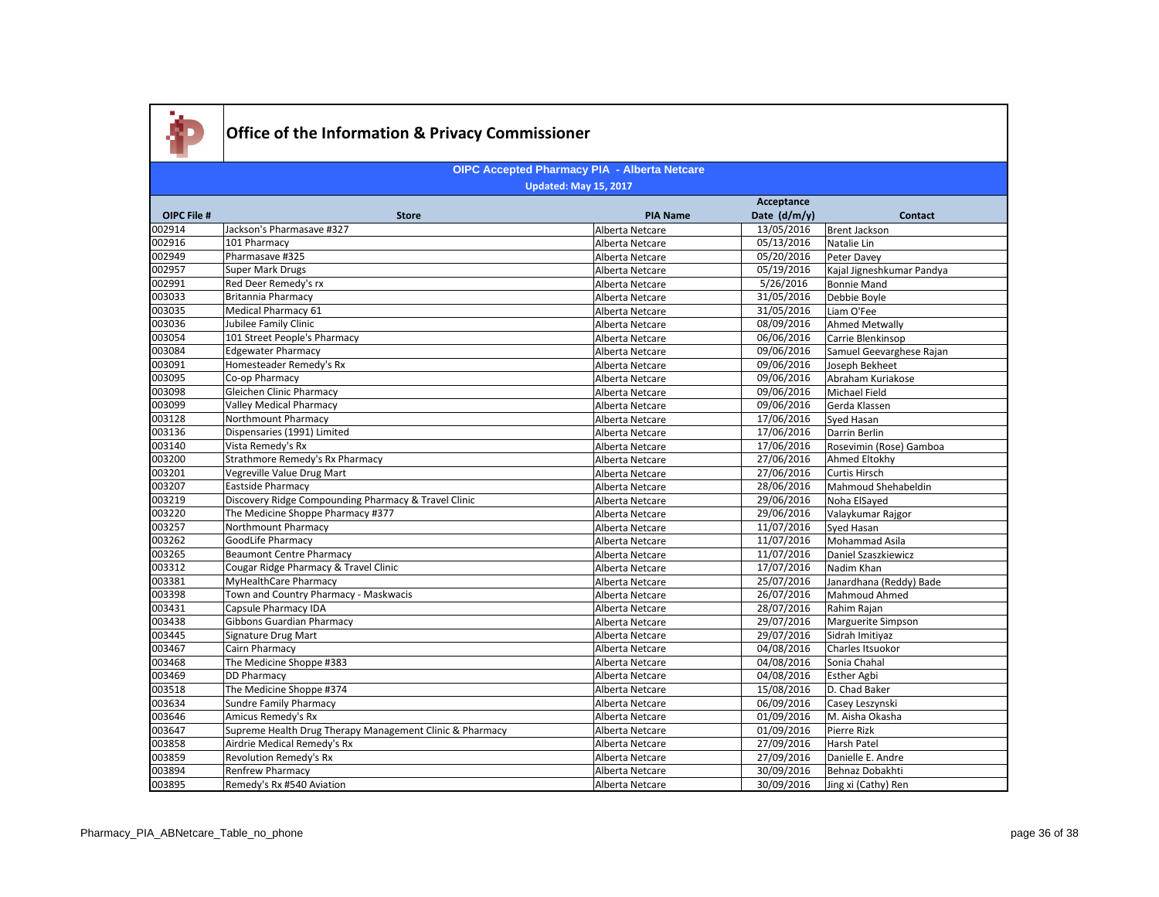

|                    |                                                          |                 | Acceptance     |                           |
|--------------------|----------------------------------------------------------|-----------------|----------------|---------------------------|
| <b>OIPC File #</b> | <b>Store</b>                                             | <b>PIA Name</b> | Date $(d/m/y)$ | <b>Contact</b>            |
| 002914             | Jackson's Pharmasave #327                                | Alberta Netcare | 13/05/2016     | <b>Brent Jackson</b>      |
| 002916             | 101 Pharmacy                                             | Alberta Netcare | 05/13/2016     | Natalie Lin               |
| 002949             | Pharmasave #325                                          | Alberta Netcare | 05/20/2016     | Peter Davey               |
| 002957             | Super Mark Drugs                                         | Alberta Netcare | 05/19/2016     | Kajal Jigneshkumar Pandya |
| 002991             | Red Deer Remedy's rx                                     | Alberta Netcare | 5/26/2016      | <b>Bonnie Mand</b>        |
| 003033             | <b>Britannia Pharmacy</b>                                | Alberta Netcare | 31/05/2016     | Debbie Boyle              |
| 003035             | Medical Pharmacy 61                                      | Alberta Netcare | 31/05/2016     | Liam O'Fee                |
| 003036             | Jubilee Family Clinic                                    | Alberta Netcare | 08/09/2016     | Ahmed Metwally            |
| 003054             | 101 Street People's Pharmacy                             | Alberta Netcare | 06/06/2016     | Carrie Blenkinsop         |
| 003084             | <b>Edgewater Pharmacy</b>                                | Alberta Netcare | 09/06/2016     | Samuel Geevarghese Rajan  |
| 003091             | Homesteader Remedy's Rx                                  | Alberta Netcare | 09/06/2016     | Joseph Bekheet            |
| 003095             | Co-op Pharmacy                                           | Alberta Netcare | 09/06/2016     | Abraham Kuriakose         |
| 003098             | Gleichen Clinic Pharmacy                                 | Alberta Netcare | 09/06/2016     | Michael Field             |
| 003099             | <b>Valley Medical Pharmacy</b>                           | Alberta Netcare | 09/06/2016     | Gerda Klassen             |
| 003128             | Northmount Pharmacy                                      | Alberta Netcare | 17/06/2016     | Syed Hasan                |
| 003136             | Dispensaries (1991) Limited                              | Alberta Netcare | 17/06/2016     | Darrin Berlin             |
| 003140             | Vista Remedy's Rx                                        | Alberta Netcare | 17/06/2016     | Rosevimin (Rose) Gamboa   |
| 003200             | Strathmore Remedy's Rx Pharmacy                          | Alberta Netcare | 27/06/2016     | Ahmed Eltokhy             |
| 003201             | Vegreville Value Drug Mart                               | Alberta Netcare | 27/06/2016     | <b>Curtis Hirsch</b>      |
| 003207             | <b>Eastside Pharmacy</b>                                 | Alberta Netcare | 28/06/2016     | Mahmoud Shehabeldin       |
| 003219             | Discovery Ridge Compounding Pharmacy & Travel Clinic     | Alberta Netcare | 29/06/2016     | Noha ElSayed              |
| 003220             | The Medicine Shoppe Pharmacy #377                        | Alberta Netcare | 29/06/2016     | Valaykumar Rajgor         |
| 003257             | Northmount Pharmacy                                      | Alberta Netcare | 11/07/2016     | Syed Hasan                |
| 003262             | GoodLife Pharmacy                                        | Alberta Netcare | 11/07/2016     | Mohammad Asila            |
| 003265             | <b>Beaumont Centre Pharmacy</b>                          | Alberta Netcare | 11/07/2016     | Daniel Szaszkiewicz       |
| 003312             | Cougar Ridge Pharmacy & Travel Clinic                    | Alberta Netcare | 17/07/2016     | Nadim Khan                |
| 003381             | MyHealthCare Pharmacy                                    | Alberta Netcare | 25/07/2016     | Janardhana (Reddy) Bade   |
| 003398             | Town and Country Pharmacy - Maskwacis                    | Alberta Netcare | 26/07/2016     | Mahmoud Ahmed             |
| 003431             | Capsule Pharmacy IDA                                     | Alberta Netcare | 28/07/2016     | Rahim Rajan               |
| 003438             | <b>Gibbons Guardian Pharmacy</b>                         | Alberta Netcare | 29/07/2016     | Marguerite Simpson        |
| 003445             | Signature Drug Mart                                      | Alberta Netcare | 29/07/2016     | Sidrah Imitiyaz           |
| 003467             | Cairn Pharmacy                                           | Alberta Netcare | 04/08/2016     | Charles Itsuokor          |
| 003468             | The Medicine Shoppe #383                                 | Alberta Netcare | 04/08/2016     | Sonia Chahal              |
| 003469             | <b>DD Pharmacv</b>                                       | Alberta Netcare | 04/08/2016     | <b>Esther Agbi</b>        |
| 003518             | The Medicine Shoppe #374                                 | Alberta Netcare | 15/08/2016     | D. Chad Baker             |
| 003634             | <b>Sundre Family Pharmacy</b>                            | Alberta Netcare | 06/09/2016     | Casey Leszynski           |
| 003646             | Amicus Remedy's Rx                                       | Alberta Netcare | 01/09/2016     | M. Aisha Okasha           |
| 003647             | Supreme Health Drug Therapy Management Clinic & Pharmacy | Alberta Netcare | 01/09/2016     | Pierre Rizk               |
| 003858             | Airdrie Medical Remedy's Rx                              | Alberta Netcare | 27/09/2016     | <b>Harsh Patel</b>        |
| 003859             | Revolution Remedy's Rx                                   | Alberta Netcare | 27/09/2016     | Danielle E. Andre         |
| 003894             | Renfrew Pharmacy                                         | Alberta Netcare | 30/09/2016     | Behnaz Dobakhti           |
| 003895             | Remedy's Rx #540 Aviation                                | Alberta Netcare | 30/09/2016     | Jing xi (Cathy) Ren       |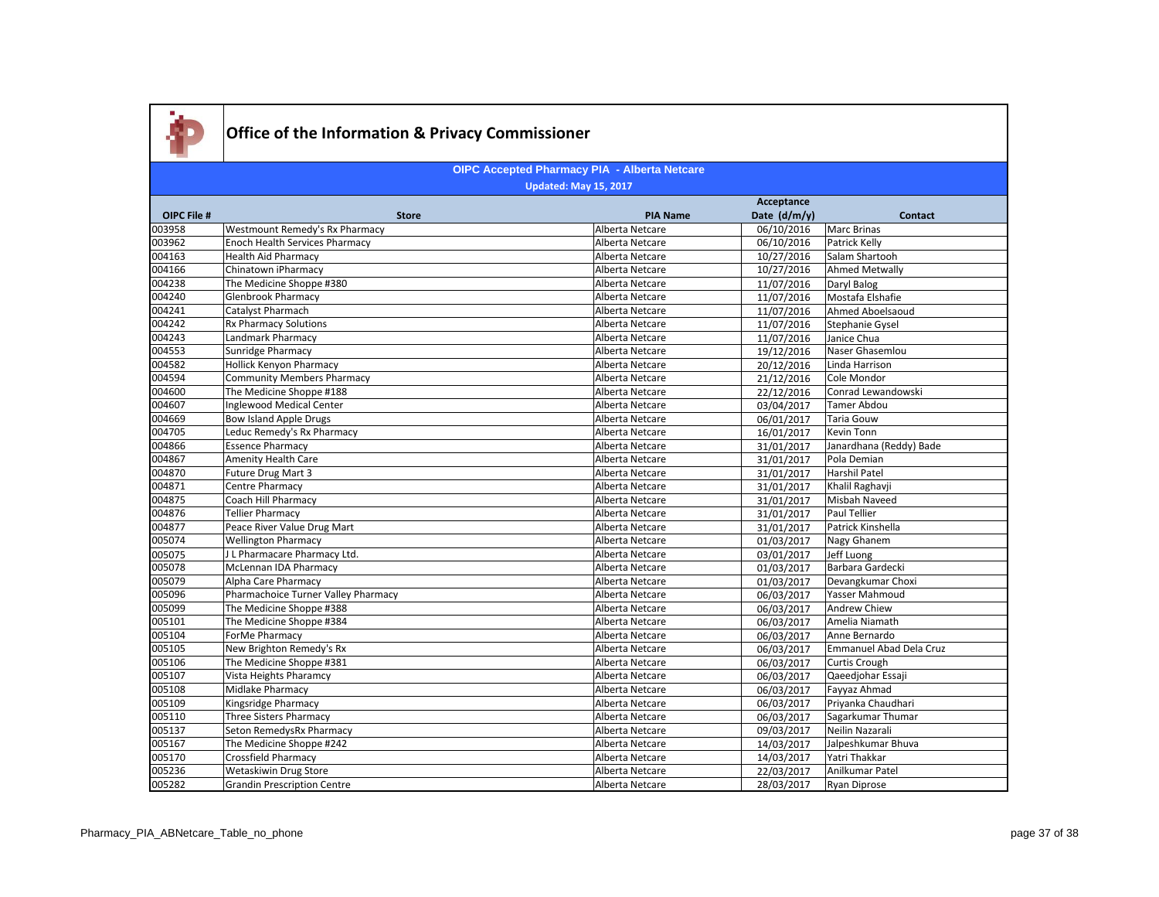

|                    |                                       |                 | Acceptance   |                                |
|--------------------|---------------------------------------|-----------------|--------------|--------------------------------|
| <b>OIPC File #</b> | <b>Store</b>                          | <b>PIA Name</b> | Date (d/m/y) | <b>Contact</b>                 |
| 003958             | Westmount Remedy's Rx Pharmacy        | Alberta Netcare | 06/10/2016   | <b>Marc Brinas</b>             |
| 003962             | <b>Enoch Health Services Pharmacy</b> | Alberta Netcare | 06/10/2016   | Patrick Kelly                  |
| 004163             | <b>Health Aid Pharmacy</b>            | Alberta Netcare | 10/27/2016   | Salam Shartooh                 |
| 004166             | Chinatown iPharmacy                   | Alberta Netcare | 10/27/2016   | <b>Ahmed Metwally</b>          |
| 004238             | The Medicine Shoppe #380              | Alberta Netcare | 11/07/2016   | Daryl Balog                    |
| 004240             | Glenbrook Pharmacy                    | Alberta Netcare | 11/07/2016   | Mostafa Elshafie               |
| 004241             | Catalyst Pharmach                     | Alberta Netcare | 11/07/2016   | Ahmed Aboelsaoud               |
| 004242             | <b>Rx Pharmacy Solutions</b>          | Alberta Netcare | 11/07/2016   | Stephanie Gysel                |
| 004243             | Landmark Pharmacy                     | Alberta Netcare | 11/07/2016   | Janice Chua                    |
| 004553             | Sunridge Pharmacy                     | Alberta Netcare | 19/12/2016   | Naser Ghasemlou                |
| 004582             | <b>Hollick Kenyon Pharmacy</b>        | Alberta Netcare | 20/12/2016   | Linda Harrison                 |
| 004594             | Community Members Pharmacy            | Alberta Netcare | 21/12/2016   | Cole Mondor                    |
| 004600             | The Medicine Shoppe #188              | Alberta Netcare | 22/12/2016   | Conrad Lewandowski             |
| 004607             | Inglewood Medical Center              | Alberta Netcare | 03/04/2017   | Tamer Abdou                    |
| 004669             | <b>Bow Island Apple Drugs</b>         | Alberta Netcare | 06/01/2017   | Taria Gouw                     |
| 004705             | Leduc Remedy's Rx Pharmacy            | Alberta Netcare | 16/01/2017   | Kevin Tonn                     |
| 004866             | <b>Essence Pharmacy</b>               | Alberta Netcare | 31/01/2017   | Janardhana (Reddy) Bade        |
| 004867             | Amenity Health Care                   | Alberta Netcare | 31/01/2017   | Pola Demian                    |
| 004870             | Future Drug Mart 3                    | Alberta Netcare | 31/01/2017   | Harshil Patel                  |
| 004871             | Centre Pharmacy                       | Alberta Netcare | 31/01/2017   | Khalil Raghavji                |
| 004875             | Coach Hill Pharmacy                   | Alberta Netcare | 31/01/2017   | Misbah Naveed                  |
| 004876             | <b>Tellier Pharmacy</b>               | Alberta Netcare | 31/01/2017   | Paul Tellier                   |
| 004877             | Peace River Value Drug Mart           | Alberta Netcare | 31/01/2017   | Patrick Kinshella              |
| 005074             | <b>Wellington Pharmacy</b>            | Alberta Netcare | 01/03/2017   | Nagy Ghanem                    |
| 005075             | J L Pharmacare Pharmacy Ltd.          | Alberta Netcare | 03/01/2017   | Jeff Luong                     |
| 005078             | McLennan IDA Pharmacy                 | Alberta Netcare | 01/03/2017   | Barbara Gardecki               |
| 005079             | Alpha Care Pharmacy                   | Alberta Netcare | 01/03/2017   | Devangkumar Choxi              |
| 005096             | Pharmachoice Turner Valley Pharmacy   | Alberta Netcare | 06/03/2017   | Yasser Mahmoud                 |
| 005099             | The Medicine Shoppe #388              | Alberta Netcare | 06/03/2017   | Andrew Chiew                   |
| 005101             | The Medicine Shoppe #384              | Alberta Netcare | 06/03/2017   | Amelia Niamath                 |
| 005104             | ForMe Pharmacy                        | Alberta Netcare | 06/03/2017   | Anne Bernardo                  |
| 005105             | New Brighton Remedy's Rx              | Alberta Netcare | 06/03/2017   | <b>Emmanuel Abad Dela Cruz</b> |
| 005106             | The Medicine Shoppe #381              | Alberta Netcare | 06/03/2017   | Curtis Crough                  |
| 005107             | Vista Heights Pharamcy                | Alberta Netcare | 06/03/2017   | Qaeedjohar Essaji              |
| 005108             | Midlake Pharmacy                      | Alberta Netcare | 06/03/2017   | Fayyaz Ahmad                   |
| 005109             | Kingsridge Pharmacy                   | Alberta Netcare | 06/03/2017   | Priyanka Chaudhari             |
| 005110             | <b>Three Sisters Pharmacy</b>         | Alberta Netcare | 06/03/2017   | Sagarkumar Thumar              |
| 005137             | Seton RemedysRx Pharmacy              | Alberta Netcare | 09/03/2017   | Neilin Nazarali                |
| 005167             | The Medicine Shoppe #242              | Alberta Netcare | 14/03/2017   | Jalpeshkumar Bhuva             |
| 005170             | Crossfield Pharmacy                   | Alberta Netcare | 14/03/2017   | Yatri Thakkar                  |
| 005236             | Wetaskiwin Drug Store                 | Alberta Netcare | 22/03/2017   | Anilkumar Patel                |
| 005282             | <b>Grandin Prescription Centre</b>    | Alberta Netcare | 28/03/2017   | <b>Ryan Diprose</b>            |